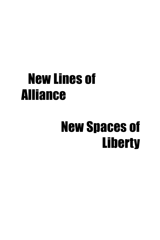# New Lines of Alliance

# New Spaces of **Liberty**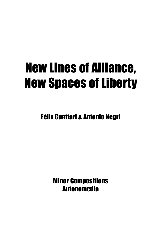## New Lines of Alliance, New Spaces of Liberty

Félix Guattari & Antonio Negri

Minor Compositions **Autonomedia**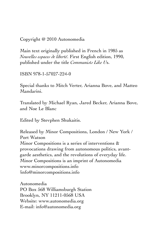#### Copyright @ 2010 Autonomedia

Main text originally published in French in 1985 as *Nouvelles espaces de liberté*. First English edition, 1990, published under the title *Communists Like U*s.

ISBN 978-1-57027-224-0

Special thanks to Mitch Verter, Arianna Bove, and Matteo Mandarini.

Translated by Michael Ryan, Jared Becker, Arianna Bove, and Noe Le Blanc

Edited by Stevphen Shukaitis.

Released by Minor Compositions, London / New York / Port Watson Minor Compositions is a series of interventions & provocations drawing from autonomous politics, avantgarde aesthetics, and the revolutions of everyday life. Minor Compositions is an imprint of Autonomedia www.minorcompositions.info |info@minorcompositions.info

Autonomedia PO Box 568 Williamsburgh Station Brooklyn, NY 11211-0568 USA Website: www.autonomedia.org E-mail: info@autonomedia.org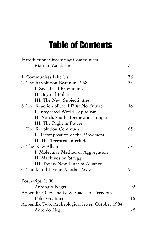## Table of Contents

| Introduction: Organising Communism               |     |
|--------------------------------------------------|-----|
| Matteo Mandarini                                 | 7   |
| 1. Communists Like Us                            | 26  |
| 2. The Revolution Began in 1968                  | 33  |
| I. Socialized Production                         |     |
| II. Beyond Politics                              |     |
| III. The New Subjectivities                      |     |
| 3. The Reaction of the 1970s: No Future          | 48  |
| I. Integrated World Capitalism                   |     |
| II. North/South: Terror and Hunger               |     |
| III. The Right in Power                          |     |
| 4. The Revolution Continues                      | 63  |
| I. Recomposition of the Movement                 |     |
| II. The Terrorist Interlude                      |     |
| 5. The New Alliance                              | 77  |
| I. Molecular Method of Aggregation               |     |
| II. Machines on Struggle                         |     |
| III. Today, New Lines of Alliance                |     |
| 6. Think and Live in Another Way                 | 92  |
| Postscript, 1990                                 |     |
| Antongio Negri                                   | 102 |
| Appendix One: The New Spaces of Freedom          |     |
| Félix Guattari                                   | 116 |
| Appendix Two: Archeological letter. October 1984 |     |
| Antonio Negri                                    | 128 |
|                                                  |     |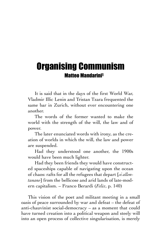### Organising Communism Matteo Mandarini1

It is said that in the days of the first World War, Vladmir Illic Lenin and Tristan Tzara frequented the same bar in Zurich, without ever encountering one another.

The words of the former wanted to make the world with the strength of the will, the law and of power.

The later enunciated words with irony, as the creation of worlds in which the will, the law and power are suspended.

Had they understood one another, the 1900s would have been much lighter.

Had they been friends they would have constructed spaceships capable of navigating upon the ocean of chaos: rafts for all the refugees that depart [*si allontanano*] from the bellicose and arid lands of late-modern capitalism. – Franco Berardi (*Felix*, p. 140)

This vision of the poet and militant meeting in a small oasis of peace surrounded by war and defeat – the defeat of anti-chauvinist social-democracy – as a moment that could have turned creation into a political weapon and steely will into an open process of collective singularisation, is merely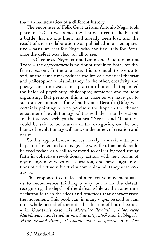that: an hallucination of a different history.

The encounter of Félix Guattari and Antonio Negri took place in 1977. It was a meeting that occurred in the heat of a battle that no one knew had already been lost, and the result of their collaboration was published in a – comparative – oasis, at least for Negri who had fled Italy for Paris, once the defeat was clear for all to see.

Of course, Negri is not Lenin and Guattari is not Tzara – the *approchement* is no doubt unfair to both, for different reasons. In the one case, it is too much to live up to and, at the same time, reduces the life of a political theorist and philosopher to his militancy; in the other, creativity and poetry can in no way sum up a contribution that spanned the fields of psychiatry, philosophy, semiotics and militant organising. But perhaps this is as close as we have got to such an encounter – for what Franco Berardi (Bifo) was certainly pointing to was precisely the hope in the chance encounter of revolutionary politics with desire and creation. In that sense, perhaps the names "Negri" and "Guattari" could be said to be bearers of the categories, on the one hand, of revolutionary will and, on the other, of creation and desire.

So this approchement serves merely to mark, with perhaps too far-fetched an image, the way that this book could be read today: as a call to respond to defeat by reaffirming faith in collective revolutionary action; with new forms of organising, new ways of association, and new singularisations of collective subjectivity combining militancy with creativity.

This response to a defeat of a collective movement asks us to recommence thinking a way out from the defeat; recognising the depth of the defeat while at the same time declaring faith in the ideas and practices that characterised the movement. This book can, in many ways, be said to sum up a whole period of theoretical reflection of both theorists – in Guattari's case, his *Molecular Revolution*, *L'Incoscient Machinique*, and *Il capitale mondiale integrato*; 2 and, in Negri's, *Marx Beyond Marx*, *Il comunismo e la guerra*, and *The*

8 / Mandarini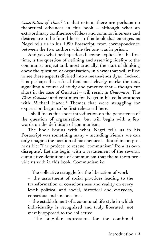*Constitution of Time*. 3 To that extent, there are perhaps no theoretical advances in this book – although what an extraordinary confluence of ideas and common interests and desires are to be found here, in this book that emerges, as Negri tells us in his 1990 Postscript, from correspondence between the two authors while the one was in prison.

And yet, what perhaps does become explicit for the first time, is the question of defining and asserting fidelity to the communist project and, most crucially, the start of thinking anew the question of organisation, in a way that will refuse to see these aspects divided into a means/ends dyad. Indeed, it is perhaps this refusal that most clearly marks the text, signalling a course of study and practice that – though cut short in the case of Guattari – will result in *Chaosmose*, The *Three Ecologies* and continues for Negri in his collaborations with Michael Hardt. 4 Themes that were struggling for expression began to be first rehearsed here.

I shall focus this short introduction on the persistence of the question of organisation, but will begin with a few words on the definition of communism.

The book begins with what Negri tells us in his Postscript was something many – including friends, we can only imagine the position of his enemies! – found incomprehensible: 'The project: to rescue "communism" from its own disrepute'. Let me begin with a restatement of the several, cumulative definitions of communism that the authors provide us with in this book. Communism is:

– 'the collective struggle for the liberation of work'

– 'the assortment of social practices leading to the transformation of consciousness and reality on every level: political and social, historical and everyday, conscious and unconscious'

– 'the establishment of a communal life style in which individuality is recognized and truly liberated, not merely opposed to the collective'

– 'the singular expression for the combined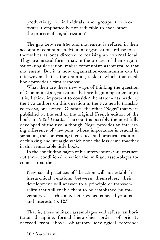productivity of individuals and groups ("collectivites") emphatically not reducible to each other… the process of singularization'

The gap between *telos* and movement is refused in their account of communism. Militant organisations refuse to see themselves as ones directed to realising an external ideal. They are instead forms that, in the process of their organisation-singularisation, realise communism as integral to that movement. But it is how organisation-communism can be interwoven that is the daunting task to which this small book provides a first response.

What then are these new ways of thinking the question of (communist)organisation that are beginning to emerge? It is, I think, important to consider the statements made by the two authors on this question in the two newly translated essays, one signed "Guattari" the other "Negri" that were published at the end of the original French edition of the book in 1985.<sup>5</sup> Guattari's account is possibly the most fully developed of the two, although Negri provides an interesting difference of viewpoint whose importance is crucial in signalling the contrasting theoretical and practical traditions of thinking and struggle which none the less came together in this remarkable little book.

In the concluding pages of his intervention, Guattari sets out three 'conditions' to which the 'militant assemblages tocome'. First, the

New social practices of liberation will not establish hierarchical relations between themselves; their development will answer to a principle of transversality that will enable them to be established by traversing, as a rhizome, heterogeneous social groups and interests (p. 123 )

That is, these militant assemblages will refuse 'authoritarian discipline, formal hierarchies, orders of priority decreed from above, obligatory ideological reference

10 / Mandarini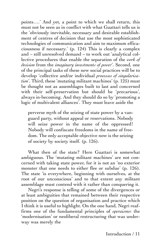points….' And yet, a point to which we shall return, this must not be seen as in conflict with what Guattari tells us is the 'obviously inevitable, necessary and desirable establishment of centres of decision that use the most sophisticated technologies of communication and aim to maximum efficaciousness if necessary.' (p. 124) This is clearly a complex and – still unresolved demand – to work out 'analytical collective procedures that enable the separation of the *work of decision* from the *imaginary investments of power*'. Second, one of the principal tasks of these new social practices will be to develop 'collective and/or individual *processes of singularisation*'. Third, these 'mutating militant machines' (p. 125) must be thought not as assemblages built to last and concerned with their self-preservation but should be 'precarious', always in-becoming. And they should do so by 'promoting a logic of multivalent alliances'. They must leave aside the

perverse myth of the seizing of state power by a vanguard party, without appeal or reservations. Nobody will seize power in the name of the oppressed! Nobody will confiscate freedoms in the name of freedom. The only acceptable objective now is the seizing of society by society itself. (p. 126).

What then of the state? Here Guattari is somewhat ambiguous. The 'mutating militant machines' are not concerned with taking state power, for it is not an 'no exterior monster that one needs to either flee or subdue' (p. 126). The state 'is everywhere, beginning with ourselves, at the root of our unconscious' and to that extent any militant assemblage must contend with it rather than conquering it.

Negri's response is telling of some of the divergences or at least ambiguities that remained between their respective position on the question of organisation and practice which I think it is useful to highlight. On the one hand, Negri reaffirms one of the fundamental principles of *operaismo*: the 'modernisation' or neoliberal restructuring that was underway was merely the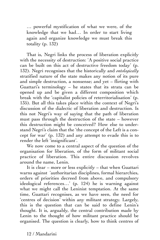… powerful mystification of what we were, of the knowledge that we had… In order to start living again and organize knowledge we must break this totality (p. 132)

That is, Negri links the process of liberation explicitly with the necessity of destruction: 'A positive social practice can be built on this act of destructive freedom today' (p. 132). Negri recognises that the historically and *ontologically* stratified nature of the state makes any notion of its pure and simple destruction, a nonsense; and yet – flirting with Guattari's terminology  $-$  he states that its strata can be opened up and be given a different composition which break with the 'capitalist policies of reterritorialisation' (p. 135). But all this takes place within the context of Negri's discussion of the dialectic of liberation and destruction. Is this not Negri's way of saying that the path of liberation must pass through the destruction of the state – however this destruction might be conceived? How else to understand Negri's claim that the 'the concept of the Left is a concept for war' (p. 132) and any attempt to evade this is to render the left 'insignificant'.

We now come to a central aspect of the question of the organisation for liberation, of the form of militant social practice of liberation. This entire discussion revolves around the name, Lenin.

It is clear – more or less explicitly – that when Guattari warns against 'authoritarian disciplines, formal hierarchies, orders of priorities decreed from above, and compulsory ideological references…' (p. 124) he is warning against what we might call the Leninist temptation. At the same time, Guattari recognises, as we have seen, the need for 'centres of decision' within any militant strategy. Largely, this is the question that can be said to define Lenin's thought. It is, arguably, the central contribution made by Lenin to the thought of how militant practice should be organised. The question is clearly, how to think centres of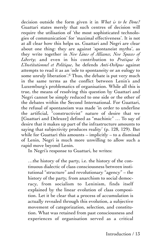decision outside the form given it in *What is to be Done?* Guattari states merely that such centres of decision will require the utilisation of 'the most sophisticated technologies of communication' for 'maximal effectiveness'. It is not at all clear how this helps us. Guattari and Negri are clear about one thing: they are against 'spontaneist myths', as they write together in *New Lines of Alliance, New Spaces of Liberty*; and even in his contribution to *Pratique de L'Institutionnel et Politique*, he defends *Anti-Oedipus* against attempts to read it as an 'ode to spontaneity or an eulogy to some unruly liberation'. 6 Thus, the debate is put very much in the same terms as the conflict between Lenin's and Luxemburg's problematics of organisation. While all this is true, the means of resolving this question by Guattari and Negri cannot be simply reduced to one side or the other of the debates within the Second International. For Guattari, the refusal of spontaneism was made 'in order to underline the artificial, "constructivist" nature of desire that we [Guattari and Deleuze] defined as "machinic" … To say of desire that it makes up part of the infrastructure amounts to saying that subjectivity produces reality' (p. 128, 129). But while for Guattari this amounts – implicitly – to a dismissal of Lenin, Negri is much more unwilling to allow such a rapid move beyond Lenin.

In Negri's response to Guattari, he writes:

…the history of the party, i.e. the history of the continuous dialectic of class consciousness between institutional "structure" and revolutionary "agency" – the history of the party, from anarchism to social democracy, from socialism to Leninism, finds itself explained by the linear evolution of class composition. Let it be clear that a process of accumulation is actually revealed through this evolution, a subjective movement of categorization, selection, and constitution. What was retained from past consciousness and experiences of organisation served as a critical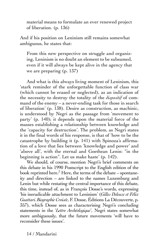material means to formulate an ever renewed project of liberation. (p. 136)

And if his position on Leninism still remains somewhat ambiguous, he states that:

From this new perspective on struggle and organizing, Leninism is no doubt an element to be subsumed, even if it will always be kept alive in the agency that we are preparing (p. 137)

And what is this always living moment of Leninism, this 'stark reminder of the unforgettable function of class war (which cannot be erased or neglected), as an indication of the necessity to destroy the totality of the *dispositif* of command of the enemy – a never-ending task for those in search of liberation' (p. 138). Desire as construction, as machinic, is understood by Negri as the passage from 'movement to party' (p. 140); it depends upon the material force of the masses establishing a relationship between knowledge and the 'capacity for destruction'. The problem, as Negri states it in the final words of his response, is that of 'how to be the catastrophe by building it (p. 141) with Spinoza's affirmation of a love that lies between 'knowledge and power' and 'above all', with the eternal and Goethean Lenin: "in the beginning is action". Let us make haste' (p. 142).

We should, of course, mention Negri's brief comments on this debate in his 1990 Postscript to the English edition of the book reprinted here. 7 Here, the terms of the debate – spontaneity and direction – are linked to the names Luxemburg and Lenin but while restating the central importance of this debate, this time, instead of, as in François Dosse's words, expressing 'his ineradicable attachment to Leninism' (*Gilles Deleuze et Félix Guattari. Biographie Croisée*, F. Dosse, Éditions La Découverte, p. 357), which Dosse sees as characterising Negri's concluding statements in the '*Lettre Archéologique*', Negri states somewhat more ambiguously, that the future movements 'will have to reconsider these issues'.

14 / Mandarini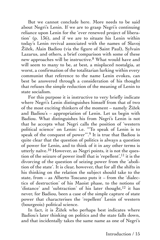But we cannot conclude here. More needs to be said about Negri's Lenin. If we are to grasp Negri's continuing reliance upon Lenin for the 'ever renewed project of liberation' (p. 136), and if we are to situate his Lenin within today's Lenin revival associated with the names of Slavoj Žižek, Alain Badiou (via the figure of Saint Paul), Sylvain Lazarus, and others, a brief comparison with some of these new approaches will be instructive. 8 What would have and will seem to many to be, at best, a misplaced nostalgia, at worst, a confirmation of the totalitarian lurking within every communist that reference to the name Lenin evokes, can best be answered through a consideration of his thought that refuses the simple reduction of the meaning of Lenin to state socialism.

For this purpose it is instructive to very briefly indicate where Negri's Lenin distinguishes himself from that of two of the most exciting thinkers of the moment – namely Žižek and Badiou's – appropriation of Lenin. Let us begin with Badiou. What distinguishes his from Negri's Lenin is not that he accepts what Negri calls the position of 'western political science' on Lenin: i.e. '"To speak of Lenin is to speak of the conquest of power"<sup>". 9</sup> It is true that Badiou is quite clear that the question of politics is always a question of power for Lenin, and to think of it in any other terms is utterly naïve. 10 However, as Negri points, it is not the question of the seizure of power itself that is 'repellent', 11 it is the divorcing of the question of seizing power from the 'abolition of the state'. It is clear, however, that for all the shifts in his thinking on the relation the subject should take to the state, from – as Alberto Toscano puts it – from the 'dialectics of destruction' of his Maoist phase, to the notions of 'distance' and 'subtraction' of his later thought, 12 it has never, for Badiou, been a case of the simple capture of state power that characterises the 'repellent' Lenin of western (bourgeois) political science.

In fact, it is Žižek who perhaps best indicates where Badiou's later thinking on politics and the state falls down, and that incidentally takes the same name as one of Negri's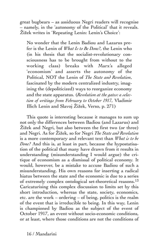great bugbears – as assiduous Negri readers will recognise – namely, in the 'autonomy of the Political' that it reveals. Žižek writes in 'Repeating Lenin: Lenin's Choice':

No wonder that the Lenin Badiou and Lazarus prefer is the Lenin of *What Is to Be Done?*, the Lenin who (in his thesis that the socialist-revolutionary consciousness has to be brought from without to the working class) breaks with Marx's alleged 'economism' and asserts the autonomy of the Political, NOT the Lenin of *The State and Revolution*, fascinated by the modern centralized industry, imagining the (depoliticized) ways to reorganize economy and the state apparatus. (*Revolution at the gates: a selection of writings from February to October 1917*, Vladimir Illich Lenin and Slavoj Žižek, Verso, p. 271)

This quote is interesting because it manages to sum up not only the differences between Badiou (and Lazarus) and Žižek and Negri, but also between the first two (or three) and Negri. As for Žižek, so for Negri *The State and Revolution* is a more contemporary and relevant text than *What is to be Done?* And this is, at least in part, because the hypostatisation of the political that many have drawn from it results in understanding (misunderstanding I would argue) the critique of economism as a dismissal of political economy. It would, however, be a mistake to accuse Badiou of such a misunderstanding. His own reasons for inserting a radical hiatus between the state and the economic is due to a series of extremely complex ontological set-theoretical reasons.<sup>13</sup> Caricaturising this complex discussion to limits set by this short introduction, whereas the state, society, economics, etc. are the work – ordering – of being, politics is the realm of the event that is irreducible to being. In this way, Lenin is championed by Badiou as the subject of the event of October 1917, an event without socio-economic conditions, or at least, where those conditions are not the conditions of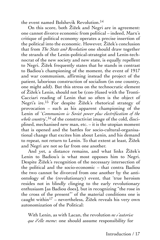the event named Bolshevik Revolution. 14

On this score, both Žižek and Negri are in agreement: one cannot divorce economic from political – indeed, Marx's critique of political economy operates a precise insertion of the political into the economic. However, Žižek's conclusion that from *The State and Revolution* one should draw together the strands of the Lenin-political-strategist and Lenin-technocrat of the new society and new state, is equally repellent to Negri. Žižek frequently states that he stands in contrast to Badiou's championing of the moment, the event of 1917 and war communism, affirming instead the project of the patient, laborious construction of socialism (in one country, one might add). But this stress on the technocratic element of Žižek's Lenin, should not be (con-)fused with the Tronti-Cacciari reading of Lenin that so often is the object of Negri's ire. 15 For despite Žižek's rhetorical strategy of provocation – such as his apparent championing of the Lenin of '*Communism is Soviet power plus electrification of the whole country*', 16 of the constructivist image of the cold, disciplined, mechanised new man, etc. – it is the utopian moment that is opened and the battles for socio-cultural-organisational change that excites him about Lenin, and his demand to repeat, not return to Lenin. To that extent at least, Žižek and Negri are not so far from one another.

And yet, a distance remains, and what links Žižek's Lenin to Badiou's is what most opposes him to Negri. Despite Žižek's recognition of the necessary intersection of the political and the socio-economic – that contra Badiou the two cannot be divorced from one another by the antiontology of the (revolutionary) event, that 'true heroism resides not in blindly clinging to the early revolutionary enthusiasm [as Badiou does], but in recognizing "the rose in the cross of the present"' of the material conditions one is caught within<sup>17</sup> – nevertheless, Žižek reveals his very own autonomization of the Political:

With Lenin, as with Lacan, the revolution *ne s'autorise que d'elle meme*: one should assume responsibility for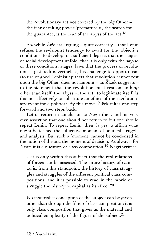the revolutionary act not covered by the big Other – the fear of taking power 'prematurely', the search for the guarantee, is the fear of the abyss of the act.<sup>18</sup>

So, while Žižek is arguing – quite correctly – that Lenin refuses the revisionist tendency to await for the 'objective conditions' to develop to a sufficient degree, that the 'stages' of social development unfold, that it is only with the say-so of these conditions, stages, laws that the process of revolution is justified; nevertheless, his challenge to opportunism (to use of good Leninist epithet) that revolution cannot rest upon the big Other, does not amount – as  $\tilde{Z}$ ižek suggests – to the statement that the revolution must rest on nothing other than itself, the 'abyss of the act', to legitimate itself. Is this not effectively to substitute an ethics of the revolutionary event for a politics? By this move Žižek takes one step forward and two steps back.

Let us return in conclusion to Negri then, and his very own assertion that one should not return to but one should repeat Lenin. To repeat Lenin, then, is yes to affirm what might be termed the subjective moment of political struggle and analysis. But such a 'moment' cannot be condensed in the notion of the act, the moment of decision. As always, for Negri it is a question of class composition. 19 Negri writes:

…it is only within this subject that the real relations of forces can be assessed. The entire history of capital is, from this standpoint, the history of class struggles and struggles of the different political class compositions, and it is possible to read in the fabric of struggle the history of capital as its effect.<sup>20</sup>

No materialist conception of the subject can be given other than through the filter of class composition: it is only class composition that gives us the material and political complexity of the figure of the subject. 21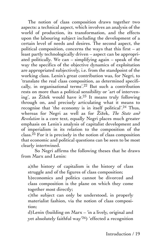The notion of class composition draws together two aspects: a technical aspect, which involves an analysis of the world of production, its transformation, and the effects upon the labouring subject including the development of a certain level of needs and desires. The second aspect, the political composition, concerns the ways that this first – at least partly technologically driven – aspect can be appropriated politically. We can – simplifying again – speak of the way the specifics of the objective dynamics of exploitation are appropriated subjectively, i.e. from the standpoint of the working class. Lenin's great contribution was, for Negri, to 'translate the real class composition, as determined specifically, in organisational terms'. 22 But such a contribution rests on more than a political sensibility or 'art of intervening', as Žižek would have it. 23 It means truly following through on, and precisely articulating what it means to recognise that 'the economy is in itself political'.<sup>24</sup> Thus, whereas for Negri as well as for Žižek, *The State and Revolution* is a core text, equally Negri places much greater emphasis on Lenin's analysis of capitalist development and of imperialism in its relation to the composition of the class. 25 For it is precisely in the notion of class composition that economic and political questions can be seen to be most clearly intertwined.

So Negri affirms the following theses that he draws from Marx and Lenin:

a)the history of capitalism is the history of class struggle and of the figures of class composition;

b)economics and politics cannot be divorced and class composition is the plane on which they come together most directly;

c)the subject can only be understood, in properly materialist fashion, via the notion of class composition;

d)Lenin (building on Marx – 'in a lively, original and yet absolutely faithful way' 26) 'effected a recognition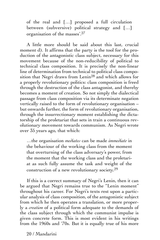of the real and […] proposed a full circulation between (subversive) political strategy and […] organisation of the masses'. 27

A little more should be said about this last, crucial moment d). It affirms that the party is the tool for the production of the antagonistic class subject, necessary for this movement because of the non-reducibility of political to technical class composition. It is precisely the non-linear line of determination from technical to political class composition that Negri draws from Lenin28 and which allows for a properly revolutionary politics: class composition is freed through the destruction of the class antagonist, and thereby becomes a moment of creation. So not simply the dialectical passage from class composition via its determinate negation vertically raised to the form of revolutionary organisation – but onwards further, the form of revolutionary organisation, through the insurrectionary moment establishing the dictatorship of the proletariat that sets in train a continuous revolutionary movement towards communism. As Negri wrote over 35 years ago, that which:

…the organisation *mediates* can be made *immediate* in the behaviour of the working class from the moment that overturning of the class adversary's power, from the moment that the working class and the proletariat as such fully assume the task and weight of the construction of a new revolutionary society. 29

If this is a correct summary of Negri's Lenin, then it can be argued that Negri remains true to the "Lenin moment" throughout his career. For Negri's texts rest upon a particular analysis of class composition, of the antagonistic subject from which he then operates a translation, or more properly a *creation* of a political form adequate to the demands of the class subject through which the communist impulse is given concrete form. This is most evident in his writings from the 1960s and '70s. But it is equally true of his more

20 / Mandarini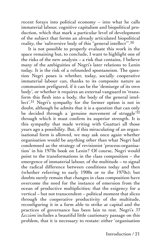recent forays into political economy – into what he calls immaterial labour, cognitive capitalism and biopolitical production, which that mark a particular level of development of the subject that forms an already articulated biopolitical reality, the 'subversive body of this "general intellect"'. 30

It is not possible to properly evaluate this work in the space remaining but, to conclude, I want to highlight one of the risks of the new analysis – a risk that contains, I believe many of the ambiguities of Negri's later relations to Lenin today. It is the risk of a refounded spontaneism. The question Negri poses is whether, today, socially cooperative immaterial labour can, thanks to its composite nature as communism prefigured, if it can be the 'demiurge of its own body', or whether it requires an external vanguard to 'transform this flesh into a body, the body of the general intellect'. 31 Negri's sympathy for the former option is not in doubt, although he admits that it is a question that can only be decided through a 'genuine movement of struggle' 32 through which it must confirm its superior strength. It is this sympathy that made writing with Guattari all those years ago a possibility. But, if this miraculating of an organisational form is allowed, we may ask once again whether organisation would be anything other than what Negri had condemned as the strategy of revisionist 'process-organisation' in his 1970s book on Lenin? Of course, Negri would point to the transformations in the class composition – the emergence of immaterial labour, of the multitude – to signal the radical difference between conditions today and then (whether referring to early 1900s or to the 1970s); but doubts surely remain that changes in class composition have overcome the need for the instance of emersion from the ocean of productive multiplicities; that the exigency for a vertical – but not transcendent – political moment that slices through the cooperative productivity of the multitude, reconfiguring it in a form able to strike at capital and the practices of governance has been lain to rest. Negri's *33 Lezzioni* includes a beautiful little cautionary passage on this problem, that it is necessary to restate: either 'organisation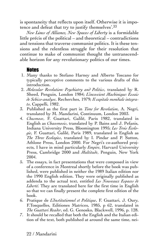is spontaneity that reflects upon itself. Otherwise it is impotence and defeat that try to justify themselves'. 33

*New Lines of Alliance, New Spaces of Liberty* is a formidable little précis of the political – and theoretical – contradictions and tensions that traverse communist politics. It is these tensions and the relentless struggle for their resolution that continue to make of communist thought the untranscendable horizon for any revolutionary politics of our times.

#### Notes

- 1. Many thanks to Stefano Harney and Alberto Toscano for typically perceptive comments to the various drafts of this introduction.
- 2. *Molecular Revolution: Psychiatry and Politics*, translated by R. Sheed, Penguin, London 1984; *L'incoscient Machinique: Essais de Schizo-analyse*, Recherches, 1979; *Il capitale mondiale integrato*, Cappelli, 1982.
- 3. Published as the first part in *Time for Revolution*, A. Negri, translated by M. Mandarini, Continuum, London 2003.
- 4. *Chasmose*, F. Guattari, Galilé, Paris 1982, translated in English as *Chaosmosis*, translated by P. Bains and J. Pefanis, Indiana University Press, Bloomington 1995; *Les Trois Écologie*, F. Guattari, Galilé, Paris 1989, translated in English as *The Three Ecologies*, translated by I. Pindar and P. Sutton, Athlone Press, London 2000. For Negri's co-authored projects, I have in mind particularly *Empire*, Harvard University Press, Cambridge 2000 and *Multitude*, Penguin, New York 2004.
- 5. The essays, in fact presentations that were composed in view of a conference in Montreal shortly before the book was published, were published in neither the 1989 Italian edition nor the 1990 English edition. They were originally published as addenda to the actual text, entitled *Les Nouveaux Espaces de Liberté.* They are translated here for the first time in English so that we can finally present the complete first edition of the book.
- 6. Pratique de *L'Institutionnel et Politique*, F. Guattari, J. Oury, F.Tosquelles, Editiones Matrices, 1985, p 62, translated in *The Guattari Reader*, ed. G. Genosko, Blackwell, 1996, p. 128.
- 7. It should be recalled that both the English and the Italian edition of the text, both published at around the same time, nei-

22 / Mandarini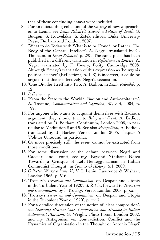ther of these concluding essays were included.

- 8. For an outstanding collection of the variety of new approaches to Lenin, see *Lenin Reloaded: Toward a Politics of Truth*, S. Budgen, S. Kouvelakis, S. Žižek editors, Duke University Press, Durham and London, 2007.
- 9. 'What to do Today with What is to be Done?, or Rather: The Body of the General Intellect', A. Negri, translated by G. Thomson, in *Lenin Reloaded*, p. 297. The same piece has been published in a different translation in *Reflections on Empire*, A. Negri, translated by E. Emery, Polity, Cambridge 2008. Although Emery's translation of this expression as 'bourgeois political science' (Reflections, p. 148) is incorrect, it could be argued that this is effectively Negri's accusation.
- 10. 'One Divides Itself into Two, A. Badiou, in *Lenin Reloaded*, p. 12.
- 11. *Reflections*, p.
- 12. 'From the State to the World?: Badiou and Anti-capitalism', A. Toscano, *Communication and Cognition*, 37, 3-4, 2004, p. 199.
- 13. For anyone who wants to acquaint themselves with Badiou's argument, they should turn to *Being and Event*, A. Badiou, translated by O. Feltham, Continuum, London 2005, in particular to Meditation 8 and 9. See also *Metapolitics*, A. Badiou, translated by J. Barker, Verso, London 2005, chapter 5 'Politics Unbound' in particular.
- 14. Or more precisely still, the event cannot be extracted from those conditions.
- 15. For some discussion of the debate between Negri and Cacciari and Tronti, see my 'Beyond Nihilism: Notes Towards a Critique of Left-Heideggerianism in Italian Communist Thought,' in *Cosmos & History*, 5:1, 2009.
- 16. *Collected Works volume 31*, V. I. Lenin, Lawrence & Wishart, London 1966, p. 516.
- 17. 'Trotsky's *Terrorism and Communism*, or, Despair and Utopia in the Turbulent Year of 1920', S. Žižek, forward to *Terrorism and Communism*, by l. Trotsky, Verso, London 2007, p. xxi.
- 18. 'Trotsky's *Terrorism and Communism*, or, Despair and Utopia in the Turbulent Year of 1920', p. xviii.
- 19. For a detailed discussion of the notion of 'class composition', see *Storming Heaven: Class Composition and Struggle in Italian Autonomist Marxism*, S. Wright, Pluto Press, London 2002, and my 'Antagonism vs. Contradiction: Conflict and the Dynamics of Organisation in the Thought of Antonio Negri'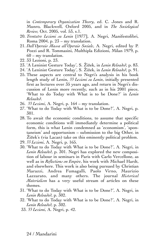in *Contemporary Organization Theory*, ed. C. Jones and R. Munro, Blackwell, Oxford 2005, and in *The Sociological Review,* Oct. 2005, vol. 53, s.1.

- 20. *Trentatre Lezioni su Lenin* [1977], A. Negri, Manifestolibri, Roma 2004, p. 23 – my translation.
- 21. *Dall'Operaio Massa all'Operaio Sociale*, A. Negri, edited by P. Pozzi and R. Tommasini, Multhipla Edizioni, Milan 1979, p. 60 – my translation.
- 22. 33 Lezioni, p. 23.
- 23. 'A Leninist Gesture Today', S. Žižek, in *Lenin Reloaded*, p. 83.
- 24. 'A Leninist Gesture Today', S. Žižek, in *Lenin Reloaded*, p. 91.
- 25. These aspects are central to Negri's analysis in his book length study of Lenin, *33 Lezioni su Lenin*, initially presented first as lectures over 35 years ago, and return in Negri's discussion of Lenin more recently, such as in his 2001 piece, 'What to do Today with What is to be Done?' in *Lenin Reloaded*.
- 26. *33 Lezioni*, A. Negri, p. 164 my translation.
- 27. 'What to do Today with What is to be Done?', A. Negri, p. 301.
- 28. To await the economic conditions, to assume that specific economic conditions will immediately determine a political form, this is what Lenin condemned as 'economism', 'spontaneism' and opportunism – submission to the big Other, in Žižek's (via Lacan) take on this eminently political problem.
- 29. *33 Lezioni*, A. Negri, p. 165.
- 30. 'What to do Today with What is to be Done?', A. Negri, in *Lenin Reloaded*, p. 301. Negri has explored the new composition of labour in seminars in Paris with Carlo Vercellone, as well as in *Reflections on Empire*, his work with Michael Hardt, and elsewhere. This work is also being pursued by Christian Marazzi, Andrea Fumagalli, Paolo Virno, Maurizio Lazzarato, and many others. The journal *Historical Materialism* has a very useful stream of articles on these themes.
- 31. 'What to do Today with What is to be Done?', A. Negri, in *Lenin Reloaded*, p. 302.
- 32. 'What to do Today with What is to be Done?', A. Negri, in *Lenin Reloaded*, p. 302.
- 33. *33 Lezioni*, A. Negri, p. 42.

#### 24 / Mandarini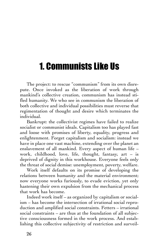### 1. Communists Like Us

The project: to rescue "communism" from its own disrepute. Once invoked as the liberation of work through mankind's collective creation, communism has instead stifled humanity. We who see in communism the liberation of both collective and individual possibilities must reverse that regimentation of thought and desire which terminates the individual.

Bankrupt: the collectivist regimes have failed to realize socialist or communist ideals. Capitalism too has played fast and loose with promises of liberty, equality, progress and enlightenment. Forget capitalism and socialism: instead we have in place one vast machine, extending over the planet an enslavement of all mankind. Every aspect of human life – work, childhood, love, life, thought, fantasy, art – is deprived of dignity in this workhouse. Everyone feels only the threat of social demise: unemployment, poverty, welfare.

Work itself defaults on its promise of developing the relations between humanity and the material environment; now everyone works furiously, to evade eviction, yet only hastening their own expulsion from the mechanical process that work has become.

Indeed work itself – as organized by capitalism or socialism – has become the intersection of irrational social reproduction and amplified social constraints. Fetters – irrational social constraints – are thus at the foundation of all subjective consciousness formed in the work process. And establishing this collective subjectivity of restriction and surveil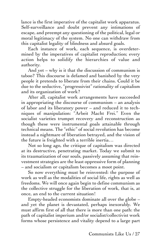lance is the first imperative of the capitalist work apparatus. Self-surveillance and doubt prevent any intimations of escape, and preempt any questioning of the political, legal or moral legitimacy of the system. No one can withdraw from this capitalist legality of blindness and absurd goals.

Each instance of work, each sequence, is overdetermined by the imperatives of capitalist reproduction; every action helps to solidify the hierarchies of value and authority.

And yet – why is it that the discussion of communism is taboo? This discourse is defamed and banished by the very people it pretends to liberate from their chains. Could it be due to the seductive, "progressivist" rationality of capitalism and its organization of work?

After all, capitalist work arrangements have succeeded in appropriating the discourse of communism – an analysis of labor and its liberatory power – and reduced it to techniques of manipulation: "Arbeit Macht Frei." Even the socialist varieties trumpet recovery and reconstruction as though these were instrumental goals attainable through technical means. The "ethic" of social revolution has become instead a nightmare of liberation betrayed, and the vision of the future is freighted with a terrible inertia…

Not so long ago, the critique of capitalism was directed at its destructive, penetrating market. Today we submit to its traumatization of our souls, passively assuming that reinvestment strategies are the least oppressive form of planning – and socialism or capitalism becomes a moot point.

So now everything must be reinvented: the purpose of work as well as the modalities of social life, rights as well as freedoms. We will once again begin to define communism as the collective struggle for the liberation of work, that is, at once, an end to the current situation!

Empty-headed economists dominate all over the globe – and yet the planet is devastated, perhaps inexorably. We must affirm first of all that there is more than one path: the path of capitalist imperium and/or socialist/collectivist work forms whose persistence and vitality depend to a large part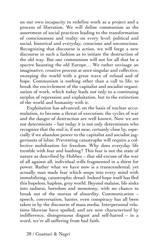on our own incapacity to redefine work as a project and a process of liberation. We will define communism as the assortment of social practices leading to the transformation of consciousness and reality on every level: political and social, historical and everyday, conscious and unconscious. Recognizing that discourse is action, we will forge a new discourse in such a fashion as to initiate the destruction of the old way. But our communism will not for all that be a spectre haunting the old Europe… We rather envisage an imaginative, creative process at once singular and collective, sweeping the world with a great wave of refusal and of hope. Communism is nothing other than a call to life: to break the encirclement of the capitalist and socialist organization of work, which today leads not only to a continuing surplus of repression and exploitation, but to the extinction of the world and humanity with it.

Exploitation has advanced, on the basis of nuclear accumulation, to become a threat of execution; the cycles of war and the danger of destruction are well known. Now we are not determinists – but today it is not only determinists who recognize that the end is, if not near, certainly close by, especially if we abandon power to the capitalist and socialist juggernauts of labor. Preventing catastrophe will require a collective mobilization for freedom. Why does everyday life tremble with fear and loathing? This fear is not the state of nature as described by Hobbes – that old excuse of the war of all against all, individual wills fragmented in a thirst for power. Rather what we have now is a transcendental, yet actually man made fear which seeps into every mind with immobilizing, catastrophic dread. Indeed hope itself has fled this hopeless, hapless, grey world. Beyond malaise, life sinks into sadness, boredom and monotony, with no chance to break out of the morass of absurdity. Communication – speech, conversation, banter, even conspiracy has all been taken in by the discourse of mass media. Interpersonal relations likewise have spoiled, and are now characterized by indifference, disingenuous disgust and self-hatred – in a word, we're all suffering from bad faith.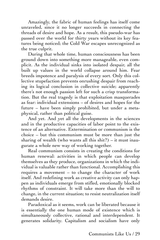Amazingly, the fabric of human feelings has itself come unraveled, since it no longer succeeds in connecting the threads of desire and hope. As a result, this pseudo-war has passed over the world for thirty years without its key features being noticed; the Cold War escapes unrecognized as the true culprit.

During that whole time, human consciousness has been ground down into something more manageable, even complicit. As the individual sinks into isolated despair, all the built up values in the world collapse around him. Fear breeds impotence and paralysis of every sort. Only this collective stupefaction prevents onrushing despair from reaching its logical conclusion in collective suicide; apparently there's not enough passion left for such a crisp transformation. But the real tragedy is that exploitation masquerades as fear: individual extensions – of desires and hopes for the future – have been simply prohibited, but under a metaphysical, rather than political guise.

And yet. And yet all the developments in the sciences and in the productive capacities of labor point to the existence of an alternative. Extermination or communism is the choice – but this communism must be more than just the sharing of wealth (who wants all this shit?) – it must inaugurate a whole new way of working together.

Real communism consists in creating the conditions for human renewal: activities in which people can develop themselves as they produce, organizations in which the individual is valuable rather than functional. Accomplishing this requires a movement – to change the character of work itself. And redefining work as creative activity can only happen as individuals emerge from stifled, emotionally blocked rhythms of constraint. It will take more than the will to change, in the current situation; to resist neutralization itself demands desire.

Paradoxical as it seems, work can be liberated because it is essentially the one human mode of existence which is simultaneously collective, rational and interdependent. It generates solidarity. Capitalism and socialism have only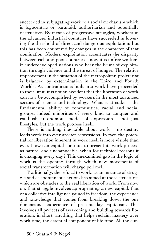succeeded in subjugating work to a social mechanism which is logocentric or paranoid, authoritarian and potentially destructive. By means of progressive struggles, workers in the advanced industrial countries have succeeded in lowering the threshold of direct and dangerous exploitation; but this has been countered by changes in the character of that domination. Modern exploitation accentuates the disparity between rich and poor countries – now it is unfree workers in underdeveloped nations who bear the brunt of exploitation through violence and the threat of hunger. The relative improvement in the situation of the metropolitan proletariat is balanced by extermination in the Third and Fourth Worlds. As contradictions built into work have proceeded to their limit, it is not an accident that the liberation of work can now be accomplished by workers in the most advanced sectors of science and technology. What is at stake is the fundamental ability of communities, racial and social groups, indeed minorities of every kind to conquer and establish autonomous modes of expression – not just lifestyles, but the work process itself.

There is nothing inevitable about work – no destiny leads work into ever greater repressions. In fact, the potential for liberation inherent in work itself is more visible than ever. How can capital continue to present its work process as natural and unchangeable, when for technical reasons it is changing every day? This unexamined gap in the logic of work is the opening through which new movements of social transformation will charge pell mell.

Traditionally, the refusal to work, as an instance of struggle and as spontaneous action, has aimed at those structures which are obstacles to the real liberation of work. From now on, that struggle involves appropriating a new capital, that of a collective intelligence gained in freedom, the experience and knowledge that comes from breaking down the one dimensional experience of present day capitalism. This involves all projects of awakening and building towards liberation; in short, anything that helps reclaim mastery over work time, the essential component of life time. All the cur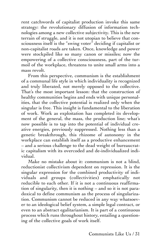rent catchwords of capitalist production invoke this same strategy: the revolutionary diffusion of information technologies among a new collective subjectivity. This is the new terrain of struggle, and it is not utopian to believe that consciousness itself is the "swing voter" deciding if capitalist or non-capitalist roads are taken. Once, knowledge and power were stockpiled like so many canon or missiles; now the empowering of a collective consciousness, part of the turmoil of the workplace, threatens to unite small arms into a mass revolt.

From this perspective, communism is the establishment of a communal life style in which individuality is recognized and truly liberated, not merely opposed to the collective. That's the most important lesson: that the construction of healthy communities begins and ends with unique personalities, that the collective potential is realized only when the singular is free. This insight is fundamental to the liberation of work. Work as exploitation has completed its development of the general, the mass, the production line; what's now possible is to tap into the potential of individual creative energies, previously suppressed. Nothing less than a genetic breakthrough, this rhizome of autonomy in the workplace can establish itself as a productive enhancement – and a serious challenge to the dead weight of bureaucratic capitalism with its overcoded and de-individualized individual.

Make no mistake about it: communism is not a blind, reductionist collectivism dependent on repression. It is the singular expression for the combined productivity of individuals and groups (collectivities) emphatically not reducible to each other. If it is not a continuous reaffirmation of singularity, then it is nothing – and so it is not paradoxical to define communism as the process of singularization. Communism cannot be reduced in any way whatsoever to an ideological belief system, a simple legal contract, or even to an abstract egalitarianism. It is part of a continuous process which runs throughout history, entailing a questioning of the collective goals of work itself.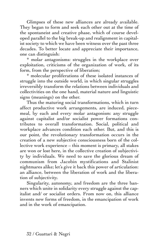Glimpses of these new alliances are already available. They began to form and seek each other out at the time of the spontaneist and creative phase, which of course developed parallel to the big break-up and realignment in capitalist society to which we have been witness over the past three decades. To better locate and appreciate their importance, one can distinguish:

\* molar antagonisms: struggles in the workplace over exploitation, criticisms of the organization of work, of its form, from the perspective of liberation;

\* molecular proliferations of these isolated instances of struggle into the outside world, in which singular struggles irreversibly transform the relations between individuals and collectivities on the one hand, material nature and linguistic signs (meanings) on the other.

Thus the maturing social transformations, which in turn affect productive work arrangements, are induced, piecemeal, by each and every molar antagonism: any struggle against capitalist and/or socialist power formations contributes to overall transformation. Social, political and workplace advances condition each other. But, and this is our point, the revolutionary transformation occurs in the creation of a new subjective consciousness born of the collective work experience – this moment is primary, all stakes are won or lost here, in the collective creation of subjectivity by individuals. We need to save the glorious dream of communism from Jacobin mystifications and Stalinist nightmares alike; let's give it back this power of articulation: an alliance, between the liberation of work and the liberation of subjectivity.

Singularity, autonomy, and freedom are the three banners which unite in solidarity every struggle against the capitalist and/ or socialist orders. From now on, this alliance invents new forms of freedom, in the emancipation of work and in the work of emancipation.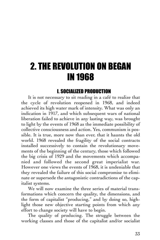## 2. THE REVOLUTION ON BEGAN IN 1968

### I. SOCIALIZED PRODUCTION

It is not necessary to sit reading in a café to realize that the cycle of revolution reopened in 1968, and indeed achieved its high water mark of intensity. What was only an indication in 1917, and which subsequent wars of national liberation failed to achieve in any lasting way, was brought to light by the events of 1968 as the immediate possibility of collective consciousness and action. Yes, communism is possible. It is true, more now than ever, that it haunts the old world. 1968 revealed the fragility of the social contracts installed successively to contain the revolutionary movements of the beginning of the century, those which followed the big crisis of 1929 and the movements which accompanied and followed the second great imperialist war. However one views the events of 1968, it is undeniable that they revealed the failure of this social compromise to eliminate or supersede the antagonistic contradictions of the capitalist systems.

We will now examine the three series of material transformations which concern the quality, the dimensions, and the form of capitalist "producing," and by doing so, highlight those new objective starting points from which any effort to change society will have to begin.

The quality of producing. The struggle between the working classes and those of the capitalist and/or socialist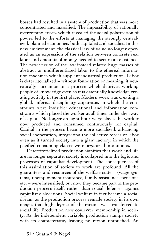bosses had resulted in a system of production that was more concentrated and massified. The impossibility of rationally overcoming crises, which revealed the social polarization of power, led to the efforts at managing the strongly centralized, planned economies, both capitalist and socialist. In this new environment, the classical law of value no longer operated as an expression of the relation between concrete real labor and amounts of money needed to secure an existence. The new version of the law instead related huge masses of abstract or undifferentiated labor to the ethereal information machines which supplant industrial production. Labor is deterritorialized – without foundation or meaning, it neurotically succumbs to a process which deprives working people of knowledge even as it is essentially knowledge creating activity in the first place. Modern work was creating a global, infernal disciplinary apparatus, in which the constraints were invisible: educational and information constraints which placed the worker at all times under the sway of capital. No longer an eight hour wage slave, the worker now produced and consumed continuously for capital. Capital in the process became more socialized, advancing social cooperation, integrating the collective forces of labor even as it turned society into a giant factory, in which the pacified consuming classes were organized into unions.

Deterritorialized production signifies that work and life are no longer separate; society is collapsed into the logic and processes of capitalist development. The consequences of this assimilation of society to work are profound: All the guarantees and resources of the welfare state – (wage systems, unemployment insurance, family assistance, pensions etc. – were intensified, but now they became part of the production process itself, rather than social defenses against capitalist dislocations. Social welfare in fact became a social dream: as the production process remade society in its own image, that high degree of abstraction was transferred to social life. Production now conferred membership in society. As the independent variable, production stamps society with its characteristic, leaving no region untouched. An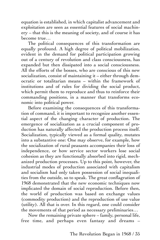equation is established, in which capitalist advancement and exploitation are seen as essential features of social machinery – that this is the meaning of society, and of course it has become true…

The political consequences of this transformation are equally profound. A high degree of political mobilization, evident in the demand for political participation growing out of a century of revolution and class consciousness, has expanded but then dissipated into a social consciousness. All the efforts of the bosses, who are conscious of this new socialization, consist of maintaining it – either through democratic or totalitarian means – within the framework of institutions and of rules for dividing the social product, which permit them to reproduce and thus to reinforce their commanding positions, in a manner that transforms economic into political power.

Before examining the consequences of this transformation of command, it is important to recognize another essential aspect of the changing character of production. The emergence of socialization as a crucial component of production has naturally affected the production process itself. Socialization, typically viewed as a formal quality, mutates into a substantive one: One may observe, for example, how the socialization of rural peasants accompanies their loss of independence, or how service sector workers lose social cohesion as they are functionally absorbed into rigid, mechanized production processes. Up to this point, however, the industrial modes of production associated with capitalism and socialism had only taken possession of social inequalities from the outside, so to speak. The great conflagration of 1968 demonstrated that the new economic techniques now implicated the domain of social reproduction. Before then, the world of production was based on exchange values (commodity production) and the reproduction of use value (utility). All that is over. In this regard, one could consider the movements of that period as necessary preliminaries…

Now the remaining private sphere – family, personal life, free time, and perhaps even fantasy and dreams –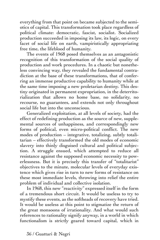everything from that point on became subjected to the semiotics of capital. This transformation took place regardless of political climate: democratic, fascist, socialist. Socialized production succeeded in imposing its law, its logic, on every facet of social life on earth, vampiristically appropriating free time, the lifeblood of humanity.

The events of 1968 posed themselves as an antagonistic recognition of this transformation of the social quality of production and work procedures. In a chaotic but nonetheless convincing way, they revealed the fundamental contradiction at the base of these transformations, that of conferring an immense productive capability to humanity while at the same time imposing a new proletarian destiny. This destiny originated in permanent expropriation, in the deterritorialization that allows no home base, no solidarity, no recourse, no guarantees, and extends not only throughout social life but into the unconscious.

Generalized exploitation, at all levels of society, had the effect of redefining production as the source of new, supplemental sources of unhappiness, and correspondingly new forms of political, even micro-political conflict. The new modes of production – integrative, totalizing, subtly totalitarian – effectively transformed the old modes of economic slavery into thinly disguised cultural and political subjection. A struggle ensued, which attempted to reduce all resistance against the supposed economic necessity to powerlessness. But it is precisely this transfer of "totalitarist" objectives to the minute, molecular levels of everyday existence which gives rise in turn to new forms of resistance on these most immediate levels, throwing into relief the entire problem of individual and collective isolation.

In 1968, this new "reactivity" expressed itself in the form of a tremendous short circuit. It would be useless to try to mystify these events, as the softheads of recovery have tried. It would be useless at this point to stigmatize the return of the great monsoons of irrationality. And what would such references to rationality signify anyway, in a world in which functionalism is strictly geared toward capital, which in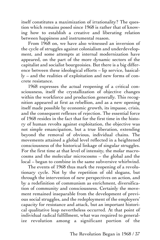itself constitutes a maximization of irrationality? The question which remains posed since 1968 is rather that of knowing how to establish a creative and liberating relation between happiness and instrumental reason.

From 1968 on, we have also witnessed an inversion of the cycle of struggles against colonialism and underdevelopment, and some attempts at internal modernization have appeared, on the part of the more dynamic sectors of the capitalist and socialist bourgeoisies. But there is a big difference between these ideological efforts – lip service, basically – and the realities of exploitation and new forms of concrete resistance.

1968 expresses the actual reopening of a critical consciousness, itself the crystallization of objective changes within the workforce and production generally. This recognition appeared at first as rebellion, and as a new opening itself made possible by economic growth, its impasse, crisis, and the consequent reflexes of rejection. The essential force of 1968 resides in the fact that for the first time in the history of human revolts against exploitation, the objective was not simple emancipation, but a true liberation, extending beyond the removal of obvious, individual chains. The movements attained a global level reflected in a heightened consciousness of the historical linkage of singular struggles. For the first time at that level of intensity, the molar macrocosms and the molecular microcosms – the global and the local – began to combine in the same subversive whirlwind.

The events of 1968 thus mark the reopening of a revolutionary cycle. Not by the repetition of old slogans, but through the intervention of new perspectives on action, and by a redefinition of communism as enrichment, diversification of community and consciousness. Certainly the movement remained inseparable from the development of previous social struggles, and the redeployment of the employers' capacity for resistance and attack, but an important historical qualitative leap nevertheless occurred. At that point of individual radical fulfillment, what was required to generalize revolution among a significant portion of the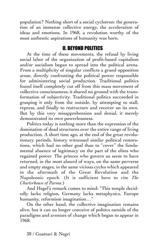population? Nothing short of a social cyclotron: the generation of an immense collective energy, the acceleration of ideas and emotions. In 1968, a revolution worthy of the most authentic aspirations of humanity was born.

#### II. BEYOND POLITICS

At the time of these movements, the refusal by living social labor of the organization of profit-based capitalism and/or socialism began to spread into the political arena. From a multiplicity of singular conflicts a grand opposition arose, directly confronting the political power responsible for administering social production. Traditional politics found itself completely cut off from this mass movement of collective consciousness; it shared no ground with the transformation of subjectivity. Traditional politics succeeded in grasping it only from the outside, by attempting to stall, repress, and finally to restructure and recover on its own. But by this very misapprehension and denial, it merely demonstrated its own powerlessness.

Politics today is nothing more than the expression of the domination of dead structures over the entire range of living production. A short time ago, at the end of the great revolutionary periods, history witnessed similar political restorations, which had no other goal than to "cover" the fundamental absence of legitimacy on the part of the elites who regained power. The princes who govern us seem to have returned, in the most absurd of ways, on the same perverse and empty stages, in the same vicious cycles which appeared in the aftermath of the Great Revolution and the Napoleonic epoch. (It is sufficient here to cite *The Charterhouse of Parma*.)

And Hegel's remark comes to mind: "This temple decidedly lacks religion, Germany lacks metaphysics, Europe humanity, reformism imagination…"

On the other hand, the collective imagination remains alive, but it can no longer conceive of politics outside of the paradigms and avenues of change which began to appear in 1968.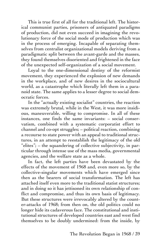This is true first of all for the traditional left. The historical communist parties, prisoners of antiquated paradigms of production, did not even succeed in imagining the revolutionary force of the social mode of production which was in the process of emerging. Incapable of separating themselves from centralist organizational models deriving from a paradigmatic split between the avant-garde and the masses, they found themselves disoriented and frightened in the face of the unexpected self-organization of a social movement.

Loyal to the one-dimensional destiny of the reformist movement, they experienced the explosion of new demands in the workplace, and of new desires in the sociocultural world, as a catastrophe which literally left them in a paranoid state. The same applies to a lesser degree to social democratic forces.

In the "actually existing socialist" countries, the reaction was extremely brutal, while in the West, it was more insidious, maneuverable, willing to compromise. In all of these instances, one finds the same invariants: – social conservatism, combined with a systematic corporatist effort to channel and co-opt struggles; – political reaction, combining a recourse to state power with an appeal to traditional structures, in an attempt to reestablish the legitimacy of the old "elites"; – the squandering of collective subjectivity, in particular through intense use of the mass media, governmental agencies, and the welfare state as a whole.

In fact, the left parties have been devastated by the effects of the movement of 1968 and, even more so, by the collective-singular movements which have emerged since then as the bearers of social transformation. The left has attached itself even more to the traditional statist structures; and in doing so it has jettisoned its own relationship of conflict and compromise, and thus its own basis of legitimacy. But these structures were irrevocably altered by the counter-attacks of 1968; from then on, the old politics could no longer hide its cadaverous face. The constitutional and institutional structures of developed countries east and west find themselves to be doubly undermined: from the inside, by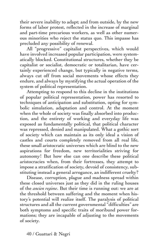their severe inability to adapt; and from outside, by the new forms of labor protest, reflected in the increase of marginal and part-time precarious workers, as well as other numerous minorities who reject the status quo. This impasse has precluded any possibility of renewal.

All "progressive" capitalist perspectives, which would have involved increased popular participation, were systematically blocked. Constitutional structures, whether they be capitalist or socialist, democratic or totalitarian, have certainly experienced change, but typically in negative terms, always cut off from social movements whose effects they endure, and always by mystifying the actual operation of the system of political representation.

Attempting to respond to this decline in the institutions of popular political representation, power has resorted to techniques of anticipation and substitution, opting for symbolic simulation, adaptation and control. At the moment when the whole of society was finally absorbed into production, and the entirety of working and everyday life was exposed as fundamentally political, that political character was repressed, denied and manipulated. What a gothic sort of society which can maintain as its only ideal a vision of castles and courts completely removed from all real life, these small aristocratic universes which are blind to the new aspirations for freedom, new territorialities striving for autonomy! But how else can one describe these political aristocracies when, from their fortresses, they attempt to impose a stratification of society, devoid of consistency, substituting instead a general arrogance, an indifferent cruelty?

Disease, corruption, plague and madness spread within these closed universes just as they did in the ruling houses of the *ancien regime*. But their time is running out: we are at the threshold between suffering and the moment when history's potential will realize itself. The paralysis of political structures and all the current governmental "difficulties" are both symptoms and specific traits of moribund power formations; they are incapable of adjusting to the movements of society.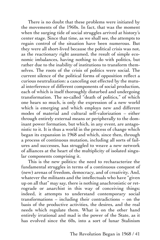There is no doubt that these problems were initiated by the movements of the 1960s. In fact, that was the moment when the surging tide of social struggles arrived at history's center stage. Since that time, as we shall see, the attempts to regain control of the situation have been numerous. But they were all short-lived because the political crisis was not, as the reactionary right assumed, the result of simple economic imbalances, having nothing to do with politics, but rather due to the inability of institutions to transform themselves. The roots of the crisis of politics were social. The current silence of the political forms of opposition reflect a curious neutralization: a canceling out effected by the mutual interference of different components of social production, each of which is itself thoroughly disturbed and undergoing transformation. The so-called "death of politics," of which one hears so much, is only the expression of a new world which is emerging and which employs new and different modes of material and cultural self-valorization – either through entirely external means or peripherally to the dominant power formation, but which, in any event, are antagonistic to it. It is thus a world in the process of change which began its expansion in 1968 and which, since then, through a process of continuous mutation, including all sorts of failures and successes, has struggled to weave a new network of alliances at the heart of the multiplicity of isolated singular components comprising it.

This is the new politics: the need to recharacterize the fundamental struggles in terms of a continuous conquest of (new) arenas of freedom, democracy, and of creativity. And, whatever the militants and the intellectuals who have "given up on all that" may say, there is nothing anachronistic or retrograde or anarchist in this way of conceiving things; indeed, it attempts to understand contemporary social transformations – including their contradictions – on the basis of the productive activities, the desires, and the real needs which regulate them. What is on the other hand entirely irrational and mad is the power of the State, as it has evolved since the 60s, into a sort of lunar Stalinism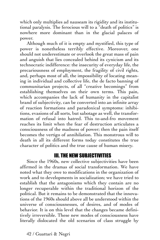which only multiplies ad nauseam its rigidity and its institutional paralysis. The ferocious will to a "death of politics" is nowhere more dominant than in the glacial palaces of power.

Although much of it is empty and mystified, this type of power is nonetheless terribly effective. Moreover, one should not underestimate or overlook the great mass of pain and anguish that lies concealed behind its cynicism and its technocratic indifference: the insecurity of everyday life, the precariousness of employment, the fragility of civil rights, and, perhaps most of all, the impossibility of locating meaning in individual and collective life, the de facto banning of communitarian projects, of all "creative becomings" from establishing themselves on their own terms. This pain, which accompanies the lack of humanity in the capitalist brand of subjectivity, can be converted into an infinite array of reaction formations and paradoxical symptoms: inhibitions, evasions of all sorts, but sabotage as well, the transformation of refusal into hatred. This to-and-fro movement reaches its limit when the fear of destruction articulates a consciousness of the madness of power; then the pain itself becomes the vertigo of annihilation. This monstrous will to death in all its different forms today constitutes the true character of politics and the true cause of human misery.

#### III. THE NEW SUBJECTIVITIES

Since the 1960s, new collective subjectivities have been affirmed in the dramas of social transformation. We have noted what they owe to modifications in the organization of work and to developments in socialization; we have tried to establish that the antagonisms which they contain are no longer recuperable within the traditional horizon of the political. But it remains to be demonstrated that the innovations of the 1960s should above all be understood within the universe of consciousnesses, of desires, and of modes of behavior. It is on this level that the changes became definitively irreversible. These new modes of consciousness have literally dislocated the old scenarios of class struggle by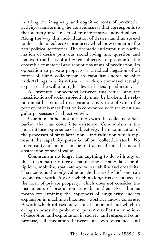invading the imaginary and cognitive roots of productive activity, transforming the consciousness that corresponds to that activity into an act of transformative individual will. Along the way this individuation of desire has thus spread to the realm of collective practices, which now constitute the new political territories. The dramatic and tumultuous affirmation of desire puts our social living into question and makes it the basis of a higher subjective expression of the ensemble of material and semiotic systems of production. Its opposition to private property is a radical negation of all forms of blind collectivism in capitalist and/or socialist undertakings, and its refusal of work on command actually expresses the will of a higher level of social production.

All seeming connections between this refusal and the massification of social subjectivity must be broken; the relation must be reduced to a paradox, by virtue of which the poverty of this massification is confronted with the most singular processes of subjective will.

Communism has nothing to do with the collectivist barbarism that has come into existence. Communism is the most intense experience of subjectivity, the maximization of the processes of singularization – individuation which represent the capability potential of our collective stock. No universality of man can be extracted from the naked abstraction of social value.

Communism no longer has anything to do with any of this. It is a matter rather of manifesting the singular as multiplicity, mobility, spatio-temporal variability and creativity. That today is the only value on the basis of which one can reconstruct work. A work which no longer is crystallized in the form of private property, which does not consider the instruments of production as ends in themselves, but as means for attaining the happiness of singularity and its expansion in machinic rhizomes – abstract and/or concrete. A work which refuses hierarchical command and which in doing so poses the problem of power, clarifies the functions of deception and exploitation in society, and refuses all compromise, all mediation between its own existence and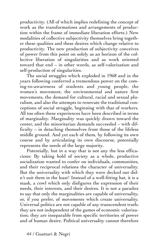productivity. (All of which implies redefining the concept of work as the transformations and arrangements of production within the frame of immediate liberation efforts.) New modalities of collective subjectivity themselves bring together these qualities and these desires which change relative to productivity. The new production of subjectivity conceives of power from this point on solely as an horizon of the collective liberation of singularities and as work oriented toward that end – in other words, as self-valorization and self-production of singularities.

The social struggles which exploded in 1968 and in the years following conferred a tremendous power on the coming-to-awareness of students and young people, the women's movement, the environmental and nature first movements, the demand for cultural, racial and sexual pluralism, and also the attempts to renovate the traditional conceptions of social struggle, beginning with that of workers. All too often these experiences have been described in terms of marginality. Marginality was quickly drawn toward the center, and the minoritarian demands succeeded – with difficulty – in detaching themselves from those of the lifeless middle ground. And yet each of them, by following its own course and by articulating its own discourse, potentially represents the needs of the large majority.

Potentially, but in a way that is not any the less efficacious: By taking hold of society as a whole, productive socialization wanted to confer on individuals, communities, and their reciprocal relations the character of universality. But the universality with which they were decked out didn't suit them in the least! Instead of a well-fitting hat, it is a mask, a cowl which only disfigures the expression of their needs, their interests, and their desires. It is not a paradox to say that only the marginalities are capable of universality, or, if you prefer, of movements which create universality. Universal politics are not capable of any transcendent truth; they are not independent of the games of economic valorization; they are inseparable from specific territories of power and of human desire. Political universality cannot therefore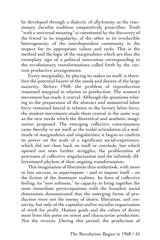be developed through a dialectic of ally/enemy as the reactionary Jacobin tradition competitively prescribes. Truth "with a universal meaning" is constituted by the discovery of the friend in its singularity, of the other in its irreducible heterogeneity, of the interdependent community in the respect for its appropriate values and ends. This is the method and the logic of the marginalities which are thus the exemplary sign of a political innovation corresponding to the revolutionary transformations called forth by the current productive arrangements.

Every marginality, by placing its stakes on itself, is therefore the potential bearer of the needs and desires of the large majority. Before 1968, the problem of reproduction remained marginal in relation to production. The women's movement has made it central. Although the questions relating to the preparation of the abstract and immaterial labor force remained lateral in relation to the factory labor force, the student movements made them central in the same way as the new needs which the theoretical and aesthetic imagination proposed. The emerging collective consciousness came thereby to see itself as the nodal articulation of a multitude of marginalities and singularities; it began to confirm its power on the scale of a significant social-experience, which did not close back on itself or conclude, but which opened out onto further struggles, the proliferation of processes of collective singularization and the infinitely differentiated phylum of their ongoing transformation.

This imagination of liberation thus undertook, with more or less success, to superimpose – and to impose itself – on the fiction of the dominant realities. Its lines of collective feeling, its "new softness," its capacity to bring together the most immediate preoccupations with the broadest social dimensions demonstrated that the emerging forms of production were not the enemy of desire, liberation, and creativity, but only of the capitalist and/or socialist organization of work for profit. Human goals and the values of desire must from this point on orient and characterize production. Not the reverse. During this period, the production of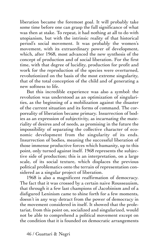liberation became the foremost goal. It will probably take some time before one can grasp the full significance of what was then at stake. To repeat, it had nothing at all to do with utopianism, but with the intrinsic reality of that historical period's social movement. It was probably the women's movement, with its extraordinary power of development, which, after 1968, most advanced the new synthesis of the concept of production and of social liberation. For the first time, with that degree of lucidity, production for profit and work for the reproduction of the species were overturned, revolutionized on the basis of the most extreme singularity, that of the total conception of the child and of generating a new softness to life.

But this incredible experience was also a symbol: the revolution was understood as an optimization of singularities, as the beginning of a mobilization against the disaster of the current situation and its forms of command. The corporeality of liberation became primary. Insurrection of bodies as an expression of subjectivity, as incarnating the materiality of desires and of needs, as promising in the future the impossibility of separating the collective character of economic development from the singularity of its ends. Insurrection of bodies, meaning the successful liberation of those immense productive forces which humanity, up to this point, only turned against itself. 1968 represents the subjective side of production; this is an interpretation, on a large scale, of its social texture, which displaces the previous political problematics onto the terrain of representation considered as a singular project of liberation.

1968 is also a magnificent reaffirmation of democracy. The fact that it was crossed by a certain naive Rousseauism, that through it a few last champions of Jacobinism and of a disfigured Leninism came to shine forth for a few moments, doesn't in any way detract from the power of democracy in the movement considered in itself. It showed that the proletariat, from this point on, socialized and singularized, would not be able to comprehend a political movement except on the condition that it is founded on democratic arrangements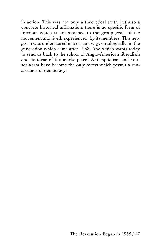in action. This was not only a theoretical truth but also a concrete historical affirmation: there is no specific form of freedom which is not attached to the group goals of the movement and lived, experienced, by its members. This new given was underscored in a certain way, ontologically, in the generation which came after 1968. And which wants today to send us back to the school of Anglo-American liberalism and its ideas of the marketplace! Anticapitalism and antisocialism have become the only forms which permit a renaissance of democracy.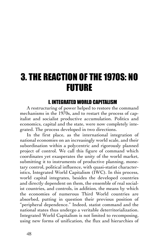## 3. THE REACTION OF THE 1970S: NO FUTURE

#### I. INTEGRATED WORLD CAPITALISM

A restructuring of power helped to restore the command mechanisms in the 1970s, and to restart the process of capitalist and socialist productive accumulation. Politics and economics, capital and the state, were now completely integrated. The process developed in two directions.

In the first place, as the international integration of national economies on an increasingly world scale, and their subordination within a polycentric and rigorously planned project of control. We call this figure of command which coordinates yet exasperates the unity of the world market, submitting it to instruments of productive planning, monetary control, political influence, with quasi-statist characteristics, Integrated World Capitalism (IWC). In this process, world capital integrates, besides the developed countries and directly dependent on them, the ensemble of real socialist countries, and controls, in addition, the means by which the economies of numerous Third World countries are absorbed, putting in question their previous position of "peripheral dependence." Indeed, statist command and the national states thus undergo a veritable deterritorialization. Integrated World Capitalism is not limited to recomposing, using new forms of unification, the flux and hierarchies of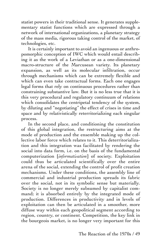statist powers in their traditional sense. It generates supplementary statist functions which are expressed through a network of international organizations, a planetary strategy of the mass media, rigorous taking control of the market, of technologies, etc.

It is certainly important to avoid an ingenuous or anthropomorphic conception of IWC which would entail describing it as the work of a Leviathan or as a one-dimensional macro-structure of the Marcusean variety. Its planetary expansion, as well as its molecular infiltration, occur through mechanisms which can be extremely flexible and which can even take contractual forms. Each one engages legal forms that rely on continuous procedures rather than constraining substantive law. But it is no less true that it is this very procedural and regulatory continuum of relations which consolidates the centripetal tendency of the system, by diluting and "negotiating" the effect of crises in time and space and by relativistically reterritorializing each singular process.

In the second place, and conditioning the constitution of this global integration, the restructuring aims at the mode of production and the ensemble making up the collective labor force which relates to it. This deterritorialization and this integration was facilitated by rendering the social into data form, i.e. on the basis of the fundamental computerization [*informatisation*] of society. Exploitation could thus be articulated scientifically over the entire arena of the social, extending the control of profit creation mechanisms. Under these conditions, the assembly line of commercial and industrial production spreads its fabric over the social, not in its symbolic sense but materially. Society is no longer merely subsumed by capitalist command; it is absorbed entirely by the integrated mode of production. Differences in productivity and in levels of exploitation can then be articulated in a smoother, more diffuse way within each geopolitical segment according to region, country, or continent. Competition, the key link in the bourgeois market, is no longer very important for this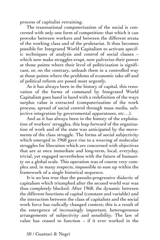process of capitalist retraining.

The transnational computerization of the social is concerned with only one form of competition: that which it can provoke between workers and between the different strata of the working class and of the proletariat. It thus becomes possible for Integrated World Capitalism to activate specific techniques of analysis and control of social classes – which now make struggles erupt, now pulverize their power at those points where their level of politicization is significant, or, on the contrary, unleash them in a controlled way at those points where the problems of economic take off and of political reform are posed most urgently.

As it has always been in the history of capital, this renovation of the forms of command by Integrated World Capitalism goes hand in hand with a redefinition of the ways surplus value is extracted (computerization of the work process, spread of social control through mass media, subjective integration by governmental apparatuses, etc…).

And as it has always been in the history of the exploitation of workers' struggles, this leap forward of the organization of work and of the state was anticipated by the movements of the class struggle. The forms of social subjectivity which emerged in 1968 gave rise to a weaving of molecular struggles for liberation which are concerned with objectives that are at once immediate and long-term, local, everyday, trivial, yet engaged nevertheless with the future of humanity on a global scale. This operation was of course very complex and, in many respects, impossible to sum up within the framework of a single historical sequence.

It is no less true that the pseudo-progressive dialectic of capitalism which triumphed after the second world war was thus completely blocked. After 1968, the dynamic between the different functions of capital (constant and variable) and the interaction between the class of capitalists and the social work force has radically changed context; this is a result of the emergence of increasingly important, heterogeneous arrangements of subjectivity and sensibility. The law of value has ceased to function – if it ever worked in the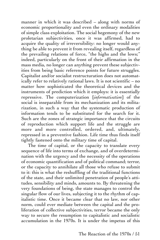manner in which it was described – along with norms of economic proportionality and even the ordinary modalities of simple class exploitation. The social hegemony of the new proletarian subjectivities, once it was affirmed, had to acquire the quality of irreversibility: no longer would anything be able to prevent it from revealing itself, regardless of the prevailing relations of force, "the highs and the lows;" indeed, particularly on the front of their affirmation in the mass media, no longer can anything prevent these subjectivities from being basic reference points for future struggles. Capitalist and/or socialist restructuration does not automatically refer to relatively rational laws. It is not scientific – no matter how sophisticated the theoretical devices and the instruments of prediction which it employs: it is essentially repressive. The computerization [*informatisation*] of the social is inseparable from its mechanization and its militarization, in such a way that the systematic production of information tends to be substituted for the search for it. Such are the zones of strategic importance that the circuits of reproduction which support life and the struggle are more and more controlled, ordered, and, ultimately, repressed in a preventive fashion. Life time thus finds itself tightly fastened onto the military time of capital.

The time of capital, or the capacity to translate every sequence of life into terms of exchange, and of overdetermination with the urgency and the necessity of the operations of economic quantification and of political command; terror, or the capacity to annihilate all those who refuse to submit to it: this is what the reshuffling of the traditional functions of the state, and their unlimited penetration of people's attitudes, sensibility and minds, amounts to. By threatening the very foundations of being, the state manages to control the singular flow of our lives, subjecting it to the rhythm of capitalistic time. Once it became clear that no law, nor other norm, could ever mediate between the capital and the proliferation of collective subjectivities, terror became the only way to secure the resumption to capitalistic and socialistic accumulation in the 1970s. It is under the impetus of this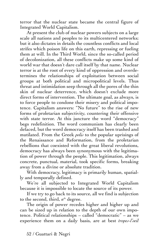terror that the nuclear state became the central figure of Integrated World Capitalism.

At present the club of nuclear powers subjects on a large scale all nations and peoples to its multicentered networks; but it also dictates in details the countless conflicts and local strifes which poison life on this earth, repressing or fueling them at will. In the Third World, since the so-called period of decolonization, all these conflicts make up some kind of world war that doesn't dare call itself by that name. Nuclear terror is at the root of every kind of oppression and overdetermines the relationships of exploitation between social groups at both political and micropolitical levels. Thus threat and intimidation seep through all the pores of the thin skin of nuclear deterrence, which doesn't exclude more direct forms of intervention. The ultimate goal, as always, is to force people to condone their misery and political impotence. Capitalism answers: "No future" to the rise of new forms of proletarian subjectivity, countering their offensive with state terror. At this juncture the word "democracy" begs redefinition. The word communism has clearly been defaced, but the word democracy itself has been trashed and mutilated. From the Greek *polis* to the popular uprisings of the Renaissance and Reformation, from the proletarian rebellions that coexisted with the great liberal revolutions, democracy has always been synonymous with the legitimation of power through the people. This legitimation, always concrete, punctual, material, took specific forms, breaking away from a divine or absolute tradition.

With democracy, legitimacy is primarily human, spatially and temporally defined.

We're all subjected to Integrated World Capitalism because it is impossible to locate the source of its power.

If we try to go back to its source, all we find is subjection to the second, third,  $n^{\text{th}}$  degree.

The origin of power recedes higher and higher up and can be sized up in relation to the depth of our own impotence. Political relationships – called "democratic" – as we experience them on a daily basis, are at best *tropes-l'oeil*

52 / Guattari & Negri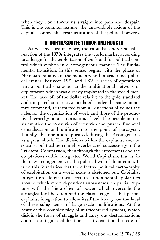when they don't throw us straight into pain and despair. This is the common feature, the unavoidable axiom of the capitalist or socialist restructuration of the political powers.

#### II. NORTH/SOUTH: TERROR AND HUNGER

As we have begun to see, the capitalist and/or socialist reaction of the 1970s integrates the world market according to a design for the exploitation of work and for political control which evolves in a homogeneous manner. The fundamental transition, in this sense, begins with the phase of Nixonian initiative in the monetary and international political arenas. Between 1971 and 1973, a series of operations lent a political character to the multinational network of exploitation which was already implanted in the world market. The take off of the dollar relative to the gold standard and the petroleum crisis articulated, under the same monetary command, (subtracted from all questions of value) the rules for the organization of work and those of the productive hierarchy on an international level. The petroleum crisis emptied the treasuries of countries and pushed financial centralization and unification to the point of paroxysm. Initially, this operation appeared, during the Kissinger era, as a great shock. The divisions within the capitalist and/ or socialist political personnel reverberated successively in the Trilateral Commission, then through the agreements and the cooptations within Integrated World Capitalism, that is, in the new arrangements of the political will of domination. It is on this foundation that the effective political cartography of exploitation on a world scale is sketched out. Capitalist integration determines certain fundamental polarities around which move dependent subsystems, in partial rupture with the hierarchies of power which overcode the struggles for liberation and the class struggles, that permit capitalist integration to allow itself the luxury, on the level of these subsystems, of large scale modifications. At the heart of this complex play of multicentered systems, which disjoin the flows of struggle and carry out destabilizations and/or strategic stabilizations, a transnational mode of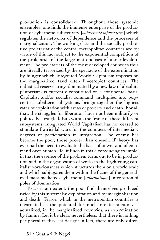production is consolidated. Throughout these systemic ensembles, one finds the immense enterprise of the production of cybernetic subjectivity [*subjectivité informative*] which regulates the networks of dependence and the processes of marginalization. The working class and the socially productive proletariat of the central metropolitan countries are by virtue of this fact subject to the exponential competition of the proletariat of the large metropolises of underdevelopment. The proletariats of the most developed countries thus are literally terrorized by the spectacle of the extermination by hunger which Integrated World Capitalism imposes on the marginalized (and often limotropic) countries. The industrial reserve army, dominated by a new law of absolute pauperism, is currently constituted on a continental basis. Capitalist and/or socialist command, multiplied into polycentric subaltern subsystems, brings together the highest rates of exploitation with areas of poverty and death. For all that, the struggles for liberation have not been militarily or politically strangled. But, within the frame of these different subsystems, Integrated World Capitalism has not ceased to stimulate fratricidal wars for the conquest of intermediary degrees of participation in integration. The enemy has become the poor, those poorer than oneself. If theory has ever had the need to evaluate the basis of power and of command over human life, it finds in this a convincing example, in that the essence of the problem turns out to be in production and in the organization of work, in the frightening capitalist voraciousness which structures them on a world scale and which subjugates them within the frame of the generalized mass mediated, cybernetic [*informatique*] integration of poles of domination.

To a certain extent, the poor find themselves produced twice by this system: by exploitation and by marginalization and death. Terror, which in the metropolitan countries is incarnated as the potential for nuclear extermination, is actualized, in the marginalized countries, as extermination by famine. Let it be clear, nevertheless, that there is nothing peripheral in this last design: in fact, there are only differ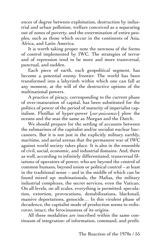ences of degree between exploitation, destruction by industrial and urban pollution, welfare conceived as a separating out of zones of poverty, and the extermination of entire peoples, such as those which occur in the continents of Asia, Africa, and Latin America.

It is worth taking proper note the newness of the forms of control implemented by IWC. The strategies of terror and of repression tend to be more and more transversal, punctual, and sudden.

Each piece of earth, each geopolitical segment, has become a potential enemy frontier. The world has been transformed into a labyrinth within which one can fall at any moment, at the will of the destructive options of the multinational powers.

A practice of piracy, corresponding to the current phase of over-maturation of capital, has been substituted for the politics of power of the period of maturity of imperialist capitalism. Flotillas of hyper-power [*sur-puissances*] plow the oceans and the seas the same as Morgan and the Dutch.

We should prepare for the settling of accounts between the submarines of the capitalist and/or socialist nuclear buccaneers. But it is not just in the explicitly military earthly, maritime, and aerial arenas that the permanent war of IWC against world society takes place. It is also in the ensemble of civil, social, economic, and industrial domains. And, there as well, according to infinitely differentiated, transversal filiations of operators of power, who are beyond the control of common humans, beyond union or political control – at least in the traditional sense – and in the middle of which can be found mixed up: multinationals, the Mafias, the military industrial complexes, the secret services, even the Vatican. On all levels, on all scales, everything is permitted: speculation, extortion, provocations, destabilizations, blackmail, massive deportations, genocide… In this virulent phase of decadence, the capitalist mode of production seems to rediscover, intact, the ferociousness of its origins.

All these modalities are inscribed within the same continuum of integration: of information, command, and profit.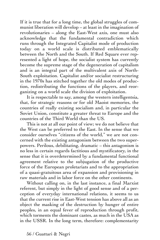If it is true that for a long time, the global struggles of communist liberation will develop – at least in the imagination of revolutionaries – along the East-West axis, one must also acknowledge that the fundamental contradiction which runs through the Integrated Capitalist mode of production today on a world scale is distributed emblematically between the North and the South. If Red Square ever represented a light of hope, the socialist system has currently become the supreme stage of the degeneration of capitalism and is an integral part of the multivalent axis of North-South exploitation. Capitalist and/or socialist restructuring in the 1970s has stitched together the old modes of production, redistributing the functions of the players, and reorganizing on a world scale the division of exploitation.

It is respectable to say, among the western intelligentsia, that, for strategic reasons or for old Maoist memories, the countries of really existing socialism and, in particular the Soviet Union, constitute a greater threat to Europe and the countries of the Third World than the US.

This is not at all our point of view; we do not believe that the West can be preferred to the East. In the sense that we consider ourselves "citizens of the world," we are not concerned with the existing antagonism between the two superpowers. Perilous, debilitating, dramatic – this antagonism is no less in certain regards factitious and mystificatory, in the sense that it is overdetermined by a fundamental functional agreement relative to the subjugation of the productive force of the European proletariats and to the appropriation of a quasi-gratuitous area of expansion and provisioning in raw materials and in labor force on the other continents.

Without calling on, in the last instance, a final Marxist referent, but simply in the light of good sense and of a perception of everyday international relations, it seems to us that the current rise in East-West tension has above all as an object the masking of the destruction by hunger of entire peoples, in an equal fever of reproduction through profit, which torments the dominant castes, as much in the USA as in the USSR. In the long term, therefore: complementarity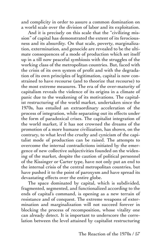and complicity in order to assure a common domination on a world scale over the division of labor and its exploitation.

And it is precisely on this scale that the "civilizing mission" of capital has demonstrated the extent of its ferociousness and its absurdity. On that scale, poverty, marginalization, extermination, and genocide are revealed to be the ultimate consequences of a mode of production which set itself up in a till now peaceful symbiosis with the struggles of the working class of the metropolitan countries. But, faced with the crisis of its own system of profit and with the degradation of its own principles of legitimation, capital is now constrained to have recourse (and to theorize that recourse) to the most extreme measures. The era of the over-maturity of capitalism reveals the violence of its origins in a climate of panic due to the weakening of its motivations. The capitalist restructuring of the world market, undertaken since the 1970s, has entailed an extraordinary acceleration of the process of integration, while separating out its effects under the form of paradoxical crises. The capitalist integration of the world market, if it has not crowned the dreams of the promotion of a more humane civilization, has shown, on the contrary, to what level the cruelty and cynicism of the capitalist mode of production can be raised. The attempts to overcome the internal contradictions initiated by the emergence of new collective subjectivities founded on the widening of the market, despite the caution of political personnel of the Kissinger or Carter type, have not only put an end to the internal crisis of the central metropolitan countries, but have pushed it to the point of paroxysm and have spread its devastating effects over the entire globe.

The space dominated by capital, which is subdivided, fragmented, segmented, and functionalized according to the ends of capital's command, is opening as a new terrain of resistance and of conquest. The extreme weapons of extermination and marginalization will not succeed forever in blocking the process of recomposition, whose vitality one can already detect. It is important to underscore the correlation between the level attained by capitalist restructuring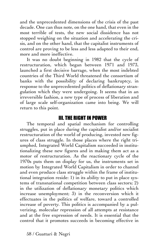and the unprecedented dimensions of the crisis of the past decade. One can thus note, on the one hand, that even in the most terrible of tests, the new social dissidence has not stopped weighing on the situation and accelerating the crisis, and on the other hand, that the capitalist instruments of control are proving to be less and less adapted to their end, more and more ineffective.

It was no doubt beginning in 1982 that the cycle of restructuration, which began between 1971 and 1973, launched a first decisive barrage, when the most indebted countries of the Third World threatened the consortium of banks with the possibility of declaring bankruptcy, in response to the unprecedented politics of deflationary strangulation which they were undergoing. It seems that in an irreversible fashion, a new type of process of liberation and of large scale self-organization came into being. We will return to this point.

#### III. THE RIGHT IN POWER

The temporal and spatial mechanism for controlling struggles, put in place during the capitalist and/or socialist restructuration of the world of producing, invested new figures of class struggle. In those places where the right triumphed, Integrated World Capitalism succeeded in institutionalizing these new figures and in making them act as a motor of restructuration. As the reactionary cycle of the 1970s puts them on display for us, the instruments set in motion by Integrated World Capitalism in order to channel and even produce class struggle within the frame of institutional integration reside: 1) in its ability to put in place systems of transnational competition between class sectors; 2) in the utilization of deflationary monetary politics which increase unemployment; 3) in the reconversion which it effectuates in the politics of welfare, toward a controlled increase of poverty. This politics is accompanied by a pulverizing, molecular repression of all attempts at resistance and at the free expression of needs. It is essential that the control that it promotes succeeds in becoming effective in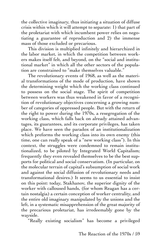the collective imaginary, thus initiating a situation of diffuse crisis within which it will attempt to separate: 1) that part of the proletariat with which incumbent power relies on negotiating a guarantee of reproduction and 2) the immense mass of those excluded or precarious.

This division is multiplied infinitely and hierarchized in the labor market, in which the competition between workers makes itself felt, and beyond, on the "social and institutional market" in which all the other sectors of the population are constrained to "make themselves valuable."

The revolutionary events of 1968, as well as the material transformations of the mode of production, have shown the determining weight which the working class continued to possess on the social stage. The spirit of competition between workers was thus weakened in favor of a recognition of revolutionary objectives concerning a growing number of categories of oppressed people. But with the return of the right to power during the 1970s, a resegregation of the working class, which falls back on already attained advantages, its guarantees, and its corporate privileges, has taken place. We have seen the paradox of an institutionalization which preforms the working class into its own enemy (this time, one can really speak of a "new working class"). In this context, the struggles were condemned to remain institutionalized, to be piloted by Integrated World Capitalism; frequently they even revealed themselves to be the best supports for political and social conservatism. (In particular, on the molecular terrain of capital's subsumption of social work and against the social diffusion of revolutionary needs and transformational desires.) It seems to us essential to insist on this point: today, Stakhanov, the superior dignity of the worker with calloused hands, (for whom Reagan has a certain nostalgia) a certain conception of worker centrality, and the entire old imaginary manipulated by the unions and the left, in a systematic misapprehension of the great majority of the precarious proletariat, has irredeemably gone by the wayside.

"Really existing socialism" has become a privileged

The Reaction of the 1970s / 59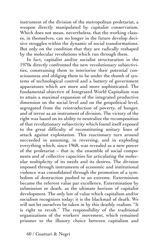instrument of the division of the metropolitan proletariat, a weapon directly manipulated by capitalist conservatism. Which does not mean, nevertheless, that the working classes, in themselves, can no longer in the future develop decisive struggles within the dynamic of social transformations. But only on the condition that they are radically reshaped by the molecular revolutions which run through them.

In fact, capitalist and/or socialist structuration in the 1970s directly confronted the new revolutionary subjectivities, constraining them to interiorize their potential consciousness and obliging them to be under the thumb of systems of technological control and a battery of government apparatuses which are more and more sophisticated. The fundamental objective of Integrated World Capitalism was to attain a maximal expansion of the integrated productive dimension on the social level and on the geopolitical level, segregated from the reintroduction of poverty, of hunger, and of terror as an instrument of division. The victory of the right was based on its ability to neutralize the recomposition of that revolutionary subjectivity which found itself exposed to the great difficulty of reconstituting unitary lines of attack against exploitation. This reactionary turn around succeeded in assuming, in reversing, and in exploding everything which, since 1968, was revealed as a new power of the proletariat – that is, the ensemble of social components and of collective capacities for articulating the molecular multiplicity of its needs and its desires. The division imposed through instruments of economic and institutional violence was consolidated through the promotion of a symbolism of destruction pushed to an extreme. Exterminism became the referent value par excellence. Extermination by submission or death, as the ultimate horizon of capitalist development. The only law of value which capitalism and/or socialism recognizes today: it is the blackmail of death. We will not let ourselves be taken in by this deathly realism. "It is right to revolt." The responsibility of the traditional organizations of the workers' movement, which remained prisoner to the illusory choice between capitalism and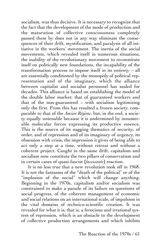socialism, was thus decisive. It is necessary to recognize that the fact that the development of the mode of production and the maturation of collective consciousness completely passed them by does not in any way eliminate the consequences of their drift, mystification, and paralysis of all initiative in the workers' movement. The inertia of the social movements, which revealed itself in numerous situations, the inability of the revolutionary movement to reconstitute itself on politically new foundations, the incapability of the transformation process to impose itself in its entirety – all are essentially conditioned by the monopoly of political representation and of the imaginary, which the alliance between capitalist and socialist personnel has sealed for decades. This alliance is based on establishing the model of the double labor market: that of guaranteed workers and that of the non-guaranteed – with socialism legitimizing only the first. From this has resulted a frozen society, comparable to that of the *Ancien Régime*, but, in the end, a society equally untenable because it is undermined by innumerable molecular forces expressing its productive essence. This is the source of its nagging thematics of security, of order, and of repression and of its imaginary of urgency, its obsession with crisis, the impression it gives of being able to act only a step at a time, without retreat and without a coherent project. Caught in the same drift, capitalism and socialism now constitute the two pillars of conservatism and in certain cases of quasi-fascist [*fascisante*] reaction.

It is no less true that a new revolution took off in 1968. It is not the fantasms of the "death of the political" or of the "implosion of the social" which will change anything. Beginning in the 1970s, capitalism and/or socialism was constrained to make a parade of its failure on questions of social progress, of the coherent management of economic and social relations on an international scale, of impulsion in the vital domains of technico-scientific creation. It was revealed for what it is, that is, a ferocious and irrational system of repression, which is an obstacle to the development of collective production arrangements and which inhibits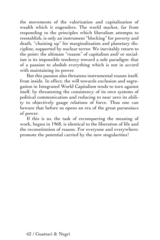the movements of the valorization and capitalization of wealth which it engenders. The world market, far from responding to the principles which liberalism attempts to reestablish, is only an instrument "blocking" for poverty and death, "chaining up" for marginalization and planetary discipline, supported by nuclear terror. We inevitably return to the point: the ultimate "reason" of capitalism and/ or socialism is its impossible tendency toward a sole paradigm: that of a passion to abolish everything which is not in accord with maintaining its power.

But this passion also threatens instrumental reason itself, from inside. In effect, the will towards exclusion and segregation in Integrated World Capitalism tends to turn against itself, by threatening the consistency of its own systems of political communication and reducing to near zero its ability to objectively gauge relations of force. Thus one can beware that before us opens an era of the great paranoiacs of power.

If this is so, the task of reconquering the meaning of work, begun in 1968, is identical to the liberation of life and the reconstitution of reason. For everyone and everywhere: promote the potential carried by the new singularities!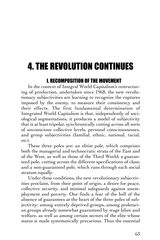# 4. THE REVOLUTION CONTINUES

### I. RECOMPOSITION OF THE MOVEMENT

In the context of Integral World Capitalism's restructuring of production, undertaken since 1968, the new revolutionary subjectivities are learning to recognize the ruptures imposed by the enemy, to measure their consistency and their effects. The first fundamental determination of Integrated World Capitalism is that, independently of sociological segmentations, it produces a model of subjectivity that is at least tripolar, synchronically cutting across all sorts of unconscious collective levels, personal consciousnesses, and group subjectivities (familial, ethnic, national, racial, etc).

These three poles are: an elitist pole, which comprises both the managerial and technocratic strata of the East and of the West, as well as those of the Third World; a guaranteed pole, cutting across the different specifications of class; and a non-guaranteed pole, which runs through each social stratum equally.

Under these conditions, the new revolutionary subjectivities proclaim, from their point of origin, a desire for peace, collective security, and minimal safeguards against unemployment and poverty. One finds a fear of the hell of the absence of guarantees at the heart of the three poles of subjectivity: among entirely deprived groups, among proletarian groups already somewhat guaranteed by wage labor and welfare, as well as among certain sectors of the elite whose status is made systematically precarious. Thus the essential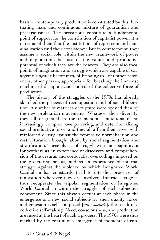basis of contemporary production is constituted by this fluctuating mass and continuous mixture of guarantism and precariousness. The precarious constitute a fundamental point of support for the constitution of capitalist power: it is in terms of them that the institutions of repression and marginalization find their consistency. But in counterpoint, they assume a social role within the new framework of power and exploitation, because of the values and productive potential of which they are the bearers. They are also focal points of imagination and struggle which are capable of catalyzing singular becomings, of bringing to light other references, other praxes, appropriate for breaking the immense machine of discipline and control of the collective force of production.

The history of the struggles of the 1970s has already sketched the process of recomposition and of social liberation. A number of matrices of rupture were opened then by the new proletarian movements. Whatever their diversity, they all originated in the tremendous mutations of an increasingly complex, overpowering, and deterritorializing social productive force, and they all affirm themselves with reinforced clarity against the repressive normalization and restructuration brought about by social segmentation and stratification. These phases of struggle were most significant for workers as an experience of discovery and comprehension of the cesuras and corporatist overcodings imposed on the proletarian socius, and as an experience of internal struggle against the violence by which Integrated World Capitalism has constantly tried to interdict processes of innovation wherever they are involved. Internal struggles thus recuperate the tripolar segmentation of Integrated World Capitalism within the struggles of each subjective component. Since this always occurs at each phase in the emergence of a new social subjectivity, their quality, force, and cohesion is self-composed [*auto-agencée*], the result of a collective self-making. Need, consciousness, and production are fused at the heart of such a process. The 1970s were thus marked by the continuous emergence of moments of rup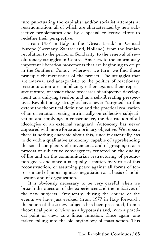ture punctuating the capitalist and/or socialist attempts at restructuration, all of which are characterized by new subjective problematics and by a special collective effort to redefine their perspective.

From 1977 in Italy to the "Great Break" in Central Europe (Germany, Switzerland, Holland), from the Iranian revolution to the period of Solidarity, to the renewal of revolutionary struggles in Central America, to the enormously important liberation movements that are beginning to erupt in the Southern Cone… wherever we turn, we find these principle characteristics of the project. The struggles that are internal and antagonistic to the politics of reactionary restructuration are mobilizing, either against their repressive texture, or inside these processes of subjective development as a unifying tension and as a self-liberating perspective. Revolutionary struggles have never "targeted" to this extent the theoretical definition and the practical realization of an orientation resting intrinsically on collective subjectivation and implying, in consequence, the destruction of all ideologies of an external vanguard. Autonomy has never appeared with more force as a primary objective. We repeat: there is nothing anarchic about this, since it essentially has to do with a qualitative autonomy, capable of apprehending the social complexity of movements, and of grasping it as a process of subjective convergence, centered on the quality of life and on the communitarian restructuring of production goals, and since it is equally a matter, by virtue of this reconstruction, of assuming peace against all forms of terrorism and of imposing mass negotiation as a basis of mobilization and of organization.

It is obviously necessary to be very careful when we broach the question of the experiences and the initiatives of the new subjects. Frequently, during the course of the events we have just evoked (from 1977 in Italy forward), the action of these new subjects has been presented, from a theoretical point of view, as a hypostasis and, from a practical point of view, as a linear function. Once again, one risked falling into the old mythology of mass action. This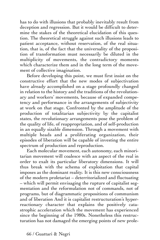has to do with illusions that probably inevitably result from deception and regression. But it would be difficult to determine the stakes of the theoretical elucidation of this question. The theoretical struggle against such illusions leads to patient acceptance, without reservation, of the real situation, that is, of the fact that the universality of the proposition of transformation must necessarily be diluted in the multiplicity of movements, the contradictory moments which characterize them and in the long term of the movement of collective imagination.

Before developing this point, we must first insist on the constructive effort that the new modes of subjectivation have already accomplished on a stage profoundly changed in relation to the history and the traditions of the revolutionary and workers' movements, because of expanded competency and performance in the arrangements of subjectivity at work on that stage. Confronted by the amplitude of the production of totalitarian subjectivity by the capitalist states, the revolutionary arrangements pose the problem of the quality of life, of reappropriation, and of self-production in an equally sizable dimension. Through a movement with multiple heads and a proliferating organization, their episodes of liberation will be capable of investing the entire spectrum of production and reproduction.

Each molecular movement, each autonomy, each minoritarian movement will coalesce with an aspect of the real in order to exalt its particular liberatory dimensions. It will thus break with the schema of exploitation that capital imposes as the dominant reality. It is this new consciousness of the modern proletariat – deterritorialized and fluctuating – which will permit envisaging the rupture of capitalist segmentation and the reformulation not of commands, not of programs, but of diagrammatic propositions of communism and of liberation And it is capitalist restructuration's hyperreactionary character that explains the positively catastrophic acceleration which the movement has experienced since the beginning of the 1980s. Nonetheless this restructuration has not damaged the emerging points of new prole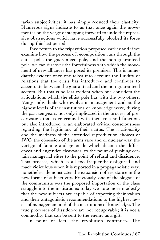tarian subjectivities; it has simply reduced their elasticity. Numerous signs indicate to us that once again the movement is on the verge of stepping forward to undo the repressive obstructions which have successfully blocked its force during this last period.

If we return to the tripartition proposed earlier and if we examine how the process of recomposition runs through the elitist pole, the guaranteed pole, and the non-guaranteed pole, we can discover the forcefulness with which the movement of new alliances has posed its premises. This is immediately evident once one takes into account the fluidity of relations that the crisis has introduced and continues to accentuate between the guaranteed and the non-guaranteed sectors. But this is no less evident when one considers the articulations which the elitist pole has with the two others. Many individuals who evolve in management and at the highest levels of the institutions of knowledge were, during the past ten years, not only implicated in the process of precarization that is coterminal with their role and function, but also introduced to an elaborated critical consciousness regarding the legitimacy of their status. The irrationality and the madness of the extended reproduction choices of IWC, the obsession of the arms race and of nuclear war, the vertigo of famine and genocide which deepen the differences and engender cleavages, to the point of pushing certain managerial elites to the point of refusal and dissidence. This process, which is all too frequently disfigured and made ridiculous when it is reported in a propagandistic way, nonetheless demonstrates the expansion of resistance in the new forms of subjectivity. Previously, one of the slogans of the communists was the proposed importation of the class struggle into the institutions: today we note more modestly that the new subjects are capable of exporting their values and their antagonistic recommendations to the highest levels of management and of the institutions of knowledge. The true processes of dissidence are not recuperable; it is not a commodity that can be sent to the enemy as a gift.

In point of fact, the revolution continues. The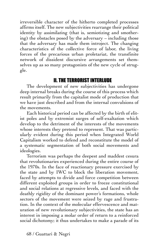irreversible character of the hitherto completed processes affirms itself. The new subjectivities rearrange their political identity by assimilating (that is, semiotizing and smothering) the obstacles posed by the adversary – including those that the adversary has made them introject. The changing characteristics of the collective force of labor, the living forces of the precarious urban proletariat, the transfinite network of dissident discursive arrangements set themselves up as so many protagonists of the new cycle of struggle.

#### II. THE TERRORIST INTERLUDE

The development of new subjectivities has undergone deep internal breaks during the course of this process which result primarily from the capitalist mode of production that we have just described and from the internal convulsions of the movements.

Each historical period can be affected by the birth of elitist poles and by extremist surges of self-exaltation which develop to the detriment of the interests of the movements whose interests they pretend to represent. That was particularly evident during this period when Integrated World Capitalism worked to defend and reconstitute the model of a systematic segmentation of both social movements and ideologies.

Terrorism was perhaps the deepest and maddest cesura that revolutionaries experienced during the entire course of the 1970s. In the face of reactionary pressure exercised by the state and by IWC to block the liberation movement, faced by attempts to divide and force competition between different exploited groups in order to freeze constitutional and social relations at regressive levels, and faced with the deathly rigidity of the dominant power's formations, whole sectors of the movement were seized by rage and frustration. In the context of the molecular effervescence and maturation of new revolutionary subjectivities, the state has an interest in imposing a molar order of return to a reinforced social dichotomy; it thus undertakes to make a parade of its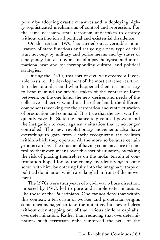power by adopting drastic measures and in deploying highly sophisticated mechanisms of control and repression. For the same occasion, state terrorism undertakes to destroy without distinction all political and existential dissidence.

On this terrain, IWC has carried out a veritable mobilization of state functions and set going a new type of civil war: not only by military and police means and by states of emergency, but also by means of a psychological and informational war and by corresponding cultural and political strategies.

During the 1970s, this sort of civil war created a favorable basis for the development of the most extreme reaction. In order to understand what happened then, it is necessary to bear in mind the sizable stakes of the contest of force between, on the one hand, the new desires and needs of the collective subjectivity, and on the other hand, the different components working for the restoration and restructuration of production and command. It is true that the civil war frequently gave the State the chance to give itself powers and the instigation to react against a situation that it no longer controlled. The new revolutionary movements also have everything to gain from clearly recognizing the realities within which they operate. All the more so because certain groups can have the illusion of having some measure of control by their own means over this sort of situation, by taking the risk of placing themselves on the molar terrain of confrontation hoped for by the enemy, by identifying in some sense with him, by entering fully into the imaginary traps of political domination which are dangled in front of the movement.

The 1970s were thus years of a civil war whose direction, imposed by IWC, led to pure and simple exterminations, like those of the Palestinians. One cannot deny that within this context, a terrorism of worker and proletarian origins sometimes managed to take the initiative, but nevertheless without ever stepping out of that vicious circle of capitalist overdetermination. Rather than reducing that overdetermination, such terrorism only reinforced the will of the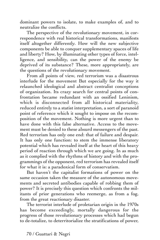dominant powers to isolate, to make examples of, and to neutralize the conflicts.

The perspective of the revolutionary movement, in correspondence with real historical transformations, manifests itself altogether differently. How will the new subjective components be able to conquer supplementary spaces of life and liberty? How, by illuminating other types of force, intelligence, and sensibility, can the power of the enemy be deprived of its substance? These, more appropriately, are the questions of the revolutionary movement.

From all points of view, red terrorism was a disastrous interlude for the movement But especially for the way it relaunched ideological and abstract centralist conceptions of organization. Its crazy search for central points of confrontation became redundant with an ossified Leninism, which is disconnected from all historical materiality, reduced entirely to a statist interpretation, a sort of paranoid point of reference which it sought to impose on the recomposition of the movement. Nothing is more urgent than to have done with this false alternative. Access to the movement must be denied to these absurd messengers of the past. Red terrorism has only one end: that of failure and despair. It has only one function: to stem the immense liberatory potential which has revealed itself at the heart of this heavy period of reaction through which we are going. In as much as it complied with the rhythms of history and with the programmings of the opponent, red terrorism has revealed itself for what it is: a paradoxical form of conservatism.

But haven't the capitalist formations of power on the same occasion taken the measure of the autonomous movements and secreted antibodies capable of robbing them of power? It is precisely this question which confronts the militants of prior generations who reemerge, as from a fog, from the great reactionary disaster.

The terrorist interlude of proletarian origin in the 1970s has become exceedingly, mortally dangerous for the progress of those revolutionary processes which had begun to de-totalize, to deterritorialize the stratifications of power,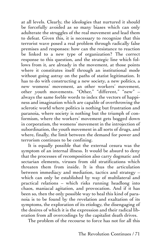at all levels. Clearly, the ideologies that nurtured it should be forcefully avoided as so many biases which can only adulterate the struggles of the real movement and lead them to defeat. Given this, it is necessary to recognize that this terrorist wave posed a real problem through radically false premises and responses: how can the resistance to reaction be linked to a new type of organization? The correct response to this question, and the strategic line which follows from it, are already in the movement, at those points where it constitutes itself through an institutional mode without going astray on the paths of statist legitimation. It has to do with constructing a new society, a new politics, a new womens' movement, an other workers' movement, other youth movements. "Other," "different," "new" – always the same feeble words to index the vectors of happiness and imagination which are capable of overthrowing the sclerotic world where politics is nothing but frustration and paranoia, where society is nothing but the triumph of conformism, where the workers' movement gets bogged down in corporatism, the womens' movement in the introjection of subordination, the youth movement in all sorts of drugs, and where, finally, the limit between the demand for power and terrorism continues to be confining.

It is equally possible that the external cesura was the symptom of an internal illness. It would be absurd to deny that the processes of recomposition also carry dogmatic and sectarian elements, viruses from old stratifications which threaten them from inside. It is thus the articulation between immediacy and mediation, tactics and strategy – which can only be established by way of multilateral and practical relations – which risks running headlong into chaos, maniacal agitation, and provocation. And if it has been so, then the only possible way to heal this kind of paranoia is to be found by the revelation and exaltation of its symptoms, the exploration of its etiology, the disengaging of the desires of which it is the expression and their radical liberation from all overcodings by the capitalist death drives.

The problem of the recourse to force has not for all this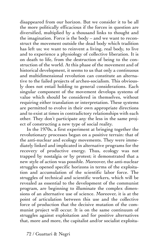disappeared from our horizon. But we consider it to be all the more politically efficacious if the forces in question are diversified, multiplied by a thousand links to thought and the imagination. Force is the body – and we want to reconstruct the movement outside the dead body which tradition has left us; we want to reinvent a living, real body, to live and to experience a physiology of collective liberation. It is on death to life, from the destruction of being to the construction of the world. At this phase of the movement and of historical development, it seems to us that only a continuous and multidimensional revolution can constitute an alternative to the failed projects of archeo-socialism. This obviously does not entail holding to general considerations. Each singular component of the movement develops systems of value which should be considered in themselves, without requiring either translation or interpretation. These systems are permitted to evolve in their own appropriate directions and to exist at times in contradictory relationships with each other. They don't participate any the less in the same project of constructing a new type of social reality.

In the 1970s, a first experiment at bringing together the revolutionary processes began on a positive terrain: that of the anti-nuclear and ecology movements. They were immediately linked and implicated in alternative programs for the recovery of productive energy. Thus, ecology was not trapped by nostalgia or by protest; it demonstrated that a new style of action was possible. Moreover, the anti-nuclear struggles opened specific horizons in terms of the exploitation and accumulation of the scientific labor force. The struggles of technical and scientific workers, which will be revealed as essential to the development of the communist program, are beginning to illuminate the complex dimensions of an alternative use of science. Moreover, it is at the point of articulation between this use and the collective force of production that the decisive mutation of the communist project will occur. It is on the same continuum of struggles against exploitation and for positive alternatives that, more and more, the capitalist and/or socialist exploita-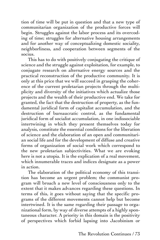tion of time will be put in question and that a new type of communitarian organization of the productive forces will begin. Struggles against the labor process and its overcoding of time; struggles for alternative housing arrangements and for another way of conceptualizing domestic sociality, neighborliness, and cooperation between segments of the socius.

This has to do with positively conjugating the critique of science and the struggle against exploitation, for example, to conjugate research on alternative energy sources and the practical reconstruction of the productive community. It is only at this price that we will succeed in grasping the coherence of the current proletarian projects through the multiplicity and diversity of the initiatives which actualize those projects and the wealth of their productive end. We take for granted, the fact that the destruction of property, as the fundamental juridical form of capitalist accumulation, and the destruction of bureaucratic control, as the fundamental juridical form of socialist accumulation, in one indissociable intertwining in which they present themselves today for analysis, constitute the essential conditions for the liberation of science and the elaboration of an open and communitarian social life and for the development of diffuse and creative forms of organization of social work which correspond to the new proletarian subjectivities. What we are evoking here is not a utopia. It is the explication of a real movement, which innumerable traces and indices designate as a power in action.

The elaboration of the political economy of this transition has become an urgent problem; the communist program will broach a new level of consciousness only to the extent that it makes advances regarding these questions. In terms of this, it goes without saying that the specific programs of the different movements cannot help but become intertwined. It is the same regarding their passage to organizational form, by way of diverse attempts of a highly spontaneous character. A priority in this domain is the positivity of perspectives which forbid lapsing into Jacobinism or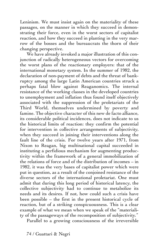Leninism. We must insist again on the materiality of these passages, on the manner in which they succeed in demonstrating their force, even in the worst sectors of capitalist reaction, and how they succeed in planting in the very marrow of the bosses and the bureaucrats the thorn of their changing perspective.

We have already invoked a major illustration of this conjunction of radically heterogeneous vectors for overcoming the worst plans of the reactionary employers: that of the international monetary system. In the summer of 1982, the declaration of non-payment of debts and the threat of bankruptcy among the large Latin American countries struck a perhaps fatal blow against Reaganomics. The internal resistance of the working classes in the developed countries to unemployment and inflation thus found itself objectively associated with the suppression of the proletariats of the Third World, themselves undermined by poverty and famine. The objective character of this new de facto alliance, its considerable political incidences, does not indicate to us the historical limits of reaction: they confirm the potential for intervention in collective arrangements of subjectivity, when they succeed in joining their interventions along the fault line of the crisis. For twelve years after 1971, from Nixon to Reagan, big multinational capital succeeded in instituting a perfidious mechanism for augmenting productivity within the framework of a general immobilization of the relations of force and of the distribution of incomes – in 1982, it was the very bases of capitalist power which were put in question, as a result of the conjoined resistance of the diverse sectors of the international proletariat. One must admit that during this long period of historical latency, the collective subjectivity had to continue to metabolize its needs and its desires. If not, how could such a crisis have been possible – the first in the present historical cycle of reaction, but of a striking conspicuousness. This is a clear example of what we mean when we speak of the "materiality of the passageways of the recomposition of subjectivity."

Parallel to a growing consciousness of the irreversible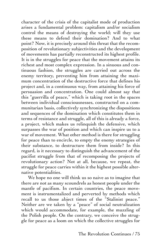character of the crisis of the capitalist mode of production arises a fundamental problem: capitalism and/or socialism control the means of destroying the world; will they use these means to defend their domination? And to what point? Now, it is precisely around this threat that the recomposition of revolutionary subjectivities and the development of movements has partially reconstructed its highest profile. It is in the struggles for peace that the movement attains its richest and most complex expression. In a sinuous and continuous fashion, the struggles are carried out across the enemy territory, preventing him from attaining the maximum concentration of the destructive force that defines his project and, in a continuous way, from attaining his force of persuasion and concentration. One could almost say that this "guerrilla of peace," which is taking root in the spaces between individual consciousnesses, constructed on a communitarian basis, collectively synchronizing the dispositions and sequences of the domination which constitutes them in terms of resistance and struggle, all of this is already a force, a project, which makes us relinquish the defensive, which surpasses the war of position and which can inspire us to a war of movement. What other method is there for struggling for peace than to encircle, to empty the enemy strategies of their substance, to destructure them from inside? In this regard, is it necessary to distinguish the advancement of the pacifist struggle from that of recomposing the projects of revolutionary action? Not at all, because, we repeat, the struggle for peace carries within it the highest possible alternative potentialities.

We hope no one will think us so naive as to imagine that there are not as many scoundrels as honest people under the mantle of pacifism. In certain countries, the peace movement is instrumentalized and perverted by methods which recall to us those abject times of the "Stalinist peace." Neither are we taken by a "peace" of social neutralization which would accommodate, for example, the muzzling of the Polish people. On the contrary, we conceive the struggle for peace as a loom on which the collective struggles for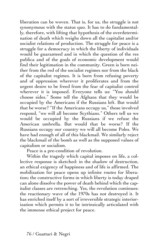liberation can be woven. That is, for us, the struggle is not synonymous with the status quo. It has to do fundamentally, therefore, with lifting that hypothesis of the overdetermination of death which weighs down all the capitalist and/or socialist relations of production. The struggle for peace is a struggle for a democracy in which the liberty of individuals would be guaranteed and in which the question of the res publica and of the goals of economic development would find their legitimation in the community. Green is born neither from the red of the socialist regimes nor from the black of the capitalist regimes. It is born from refusing poverty and of oppression wherever it proliferates and from the urgent desire to be freed from the fear of capitalist control wherever it is imposed. Everyone tells us: "You should choose sides." Some tell the Afghans that they would be occupied by the Americans if the Russians left. But would that be worse? "If the Americans occupy us," those involved respond, "we will all become Scythians." Others tell us we would be occupied by the Russians if we refuse the American umbrella. But would that be worse? If the Russians occupy our country we will all become Poles. We have had enough of all of this blackmail. We similarly reject the blackmail of the bomb as well as the supposed values of capitalism or socialism.

Peace is a pre-condition of revolution.

Within the tragedy which capital imposes on life, a collective response is sketched: in the shadow of destruction, an ethical exigency of happiness and of life is affirmed. The mobilization for peace opens up infinite routes for liberation; the constructive forms in which liberty is today draped can alone dissolve the power of death behind which the capitalist classes are retrenching. Yes, the revolution continues: the reactionary wave of the 1970s has not destroyed it. It has enriched itself by a sort of irreversible strategic interiorization which permits it to be intrinsically articulated with the immense ethical project for peace.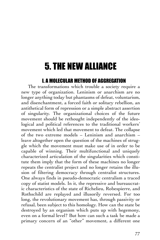# 5. THE NEW ALLIANCE

### I. A MOLECULAR METHOD OF AGGREGATION

The transformations which trouble a society require a new type of organization. Leninism or anarchism are no longer anything today but phantasms of defeat, voluntarism, and disenchantment, a forced faith or solitary rebellion, an antithetical form of repression or a simple abstract assertion of singularity. The organizational choices of the future movement should be rethought independently of the ideological and political references to the traditional workers' movement which led that movement to defeat. The collapse of the two extreme models – Leninism and anarchism – leave altogether open the question of the machines of struggle which the movement must make use of in order to be capable of winning. Their multifunctional and uniquely characterized articulation of the singularities which constitute them imply that the form of these machines no longer repeats the centralist project and no longer retains the illusion of filtering democracy through centralist structures. One always finds in pseudo-democratic centralism a traced copy of statist models. In it, the repressive and bureaucratic characteristics of the state of Richelieu, Robespierre, and Rothschild are replayed and illusorily reversed. For too long, the revolutionary movement has, through passivity or refusal, been subject to this homology. How can the state be destroyed by an organism which puts up with hegemony, even on a formal level? But how can such a task be made a primary concern of an "other" movement, a different one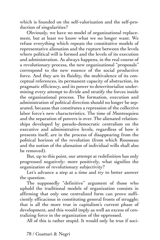which is founded on the self-valorization and the self-production of singularities?

Obviously, we have no model of organizational replacement, but at least we know what we no longer want. We refuse everything which repeats the constitutive models of representative alienation and the rupture between the levels where political will is formed and the levels of its execution and administration. As always happens, in the real course of a revolutionary process, the new organizational "proposals" correspond to the new essence of the social productive force. And they are its fluidity, the multivalence of its conceptual references, its permanent capacity of abstraction, its pragmatic efficiency, and its power to deterritorialize undermining every attempt to divide and stratify the forces inside the organizational process. The formation, execution and administration of political direction should no longer be separated, because that constitutes a repression of the collective labor force's new characteristics. The time of Montesquieu and the separation of powers is over. The alienated relationships developed by pseudo-democratic centralism on the executive and administrative levels, regardless of how it presents itself, are in the process of disappearing from the political horizon of the revolution (from which Rousseau and the notion of the alienation of individual wills shall also be removed).

But, up to this point, our attempt at redefinition has only progressed negatively: more positively, what signifies the organization of revolutionary subjectivity?

Let's advance a step at a time and try to better answer the question.

The supposedly "definitive" argument of those who uphold the traditional models of organization consists in affirming that only one centralized form can prove sufficiently efficacious in constituting general fronts of struggle; that is all the more true in capitalism's current phase of development, and this would imply as well an excess of centralizing force in the organization of the oppressed.

All of this is rather stupid. It would only be true if soci-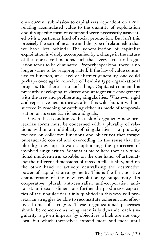ety's current submission to capital was dependent on a rule relating accumulated value to the quantity of exploitation and if a specific form of command were necessarily associated with a particular kind of social production. But isn't this precisely the sort of measure and the type of relationship that we have left behind? The generalization of capitalist exploitation is visibly accompanied by a change in the nature of the repressive functions, such that every structural regulation tends to be eliminated. Properly speaking, there is no longer value to be reappropriated. If the law of value continued to function, at a level of abstract generality, one could perhaps once again conceive of Leninist type organizational projects. But there is no such thing. Capitalist command is presently developing in direct and antagonistic engagement with the free and proliferating singularities. Whatever rigid and repressive nets it throws after this wild faun, it will not succeed in reaching or catching either its mode of temporalization or its essential riches and goals.

Given these conditions, the task of organizing new proletarian forms must be concerned with a plurality of relations within a multiplicity of singularities – a plurality focused on collective functions and objectives that escape bureaucratic control and overcoding, in the sense that the plurality develops towards optimizing the processes of involved singularities. What is at stake here then is a functional multicentrism capable, on the one hand, of articulating the different dimensions of mass intellectuality, and on the other hand of actively neutralizing the destructive power of capitalist arrangements. This is the first positive characteristic of the new revolutionary subjectivity. Its cooperative, plural, anti-centralist, anti-corporatist, antiracist, anti-sexist dimensions further the productive capacities of the singularities. Only qualified in this way will proletarian struggles be able to reconstitute coherent and effective fronts of struggle. These organizational processes should be conceived as being essentially dynamic: each singularity is given impetus by objectives which are not only local but which themselves expand more and more until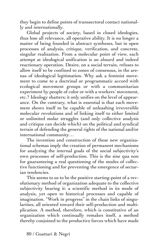they begin to define points of transsectoral contact nationally and internationally.

Global projects of society, based in closed ideologies, thus lose all relevance, all operative ability. It is no longer a matter of being founded in abstract syntheses, but in open processes of analysis, critique, verification, and concrete, singular realization. From a molecular point of view, each attempt at ideological unification is an absurd and indeed reactionary operation. Desire, on a social terrain, refuses to allow itself to be confined to zones of consensus, in the arenas of ideological legitimation. Why ask a feminist movement to come to a doctrinal or programmatic accord with ecological movement groups or with a communitarian experiment by people of color or with a workers' movement, etc.? Ideology shatters; it only unifies on the level of appearance. On the contrary, what is essential is that each movement shows itself to be capable of unleashing irreversible molecular revolutions and of linking itself to either limited or unlimited molar struggles (and only collective analysis and critique can decide which) on the political and syndical terrain of defending the general rights of the national and/or international community…

The invention and construction of these new organizational schemas imply the creation of permanent mechanisms for analyzing the internal goals of the social subjectivity's own processes of self-production. This is the sine qua non for guaranteeing a real questioning of the modes of collective functioning and for preventing the emergence of sectarian tendencies.

This seems to us to be the positive starting-point of a revolutionary method of organization adequate to the collective subjectivity bearing it: a scientific method in its mode of analysis, yet open to historical processes and capable of imagination. "Work in progress" in the chain links of singularities, all oriented toward their self-production and multiplication. A method, therefore, which is constitutive of an organization which continually remakes itself, a method thereby conjoined to the productive forces which have made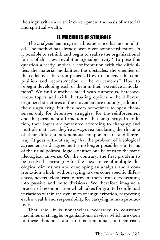the singularities and their development the basis of material and spiritual wealth.

### II. MACHINES OF STRUGGLE

The analysis has progressed; experience has accumulated. The method has already been given some verification. Is it possible to rethink and begin to realize the organizational forms of this new revolutionary subjectivity? To pose this question already implies a confrontation with the difficulties, the material modalities, the obstacles, the enemies of the collective liberation project. How to conceive the composition and reconstruction of the movements? How to rebegin developing each of them in their extensive articulations? We find ourselves faced with numerous, heterogeneous topics and with fluctuating options – the different organized structures of the movement are not only jealous of their singularity, but they seem sometimes to open themselves only for defensive struggles, for the reinforcement and the permanent affirmation of that singularity. In addition, their logics are presented according to changing and multiple matrices; they're always rearticulating the rhizome of their different autonomous components in a different way. It goes without saying that the problem of ideological agreement or disagreement is no longer posed here in terms of the usual political logic – neither one belongs to the same ideological universe. On the contrary, the first problem to be resolved is arranging for the coexistence of multiple ideological dimensions and developing an analysis and a confrontation which, without trying to overcome specific differences, nevertheless tries to prevent them from degenerating into passive and mute divisions. We therefore imagine a process of recomposition which takes for granted conflictual variations within the dynamics of singularization, respecting each's wealth and responsibility for carrying human productivity.

That said, it is nonetheless necessary to construct machines of struggle, organizational devices which are open to these dynamics and to this functional multicentrism.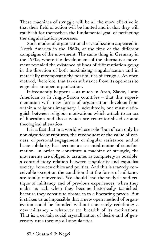These machines of struggle will be all the more effective in that their field of action will be limited and in that they will establish for themselves the fundamental goal of perfecting the singularization processes.

Such modes of organizational crystallization appeared in North America in the 1960s, at the time of the different campaigns of the movement. The same thing in Germany in the 1970s, where the development of the alternative movement revealed the existence of lines of differentiation going in the direction of both maximizing singularization and in materially recomposing the possibilities of struggle. An open method, therefore, that takes substance from its openness to engender an open organization.

It frequently happens – as much in Arab, Slavic, Latin American as in Anglo-Saxon countries – that this experimentation with new forms of organization develops from within a religious imaginary. Undoubtedly, one must distinguish between religious motivations which attach to an act of liberation and those which are reterritorialized around theological alienation.

It is a fact that in a world whose sole "burrs" can only be non-significant ruptures, the reconquest of the value of witness, of personal engagement, of singular resistance, and of basic solidarity has become an essential motor of transformation. In order to constitute a machine of struggle, the movements are obliged to assume, as completely as possible, a contradictory relation between singularity and capitalist society, between ethics and politics. And this is scarcely conceivable except on the condition that the forms of militancy are totally reinvented. We should lead the analysis and critique of militancy and of previous experiences, when they make us sad, when they become historically tarnished, because they constitute obstacles to a liberating praxis. But it strikes us as impossible that a new open method of organization could be founded without concretely redefining a new militancy – whatever the breadth of its motivations. That is, a certain social crystallization of desire and of generosity runs through all singularities.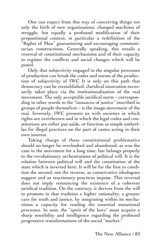One can expect from this way of conceiving things not only the birth of new organizations, changed machines of struggle, but equally a profound modification of their propositional context, in particular a redefinition of the "Rights of Man" guaranteeing and encouraging communitarian constructions. Generally speaking, this entails a renewal of constitutional mechanisms and of their capacity to register the conflicts and social changes which will be posed.

Only that subjectivity engaged in the singular processes of production can break the codes and norms of the production of subjectivity of IWC It is only on this path that democracy can be reestablished. Juridical innovation necessarily takes place via the institutionalization of the real movement. The only acceptable juridical norm – corresponding in other words to the "instances of justice" inscribed in groups of people themselves – is the image-movement of the real. Inversely, IWC presents us with societies in which rights are overthrown and in which the legal codes and constitutions are either put aside, or function as simple umbrellas for illegal practices on the part of castes acting in their own interest.

Taking charge of these constitutional problematics should no longer be overlooked and abandoned, as was the case in the movement for a long time, but belongs properly to the revolutionary orchestrations of political will. It is the relation between political will and the constitution of the state which is inverted here. It will be for the first to condition the second, not the reverse, as conservative ideologues suggest and as reactionary practices impose. This reversal does not imply renouncing the existence of a coherent juridical tradition. On the contrary, it derives from the will to promote in that tradition a higher rationality, a greater care for truth and justice, by integrating within its mechanisms a capacity for reading the essential mutational processes. In sum, the "spirit of the laws" must acquire a sharp sensibility and intelligence regarding the profound progressive transformations of the social "market."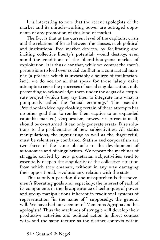It is interesting to note that the recent apologists of the market and its miracle-working power are outraged opponents of any promotion of this kind of market.

The fact is that at the current level of the capitalist crisis and the relations of force between the classes, such political and institutional free market devices, by facilitating and inciting collective liberty's potential, would destroy, even annul the conditions of the liberal-bourgeois market of exploitation. It is thus clear that, while we contest the state's pretensions to lord over social conflict in a contractual manner (a practice which is invariably a source of totalitarianism), we do not for all that speak for those falsely naive attempts to seize the processes of social singularization, only pretending to acknowledge them under the aegis of a corporate project (which they try then to integrate into what is pompously called the "social economy." The pseudo-Proudhonian ideology cloaking certain of these attempts has no other goal than to render them captive to an expanded capitalist market.) Corporatism, however it presents itself, should be overturned; it can only generate ersatz, false solutions to the problematics of new subjectivities. All statist manipulations, the ingratiating as well as the disgraceful, must be relentlessly combated. Statism and corporatism are two faces of the same obstacle to the development of autonomies and of singularities. We repeat: the machines of struggle, carried by new proletarian subjectivities, tend to essentially deepen the singularity of the collective situation from which they emanate, without in any way damaging their oppositional, revolutionary relation with the state.

This is only a paradox if one misapprehends the movement's liberating goals and, especially, the interest of each of its components in the disappearance of techniques of power and group manipulations inherent in traditional systems of representation "in the name of," supposedly, the general will. We have had our account of Menenius Agrippa and his apologists! Thus the machines of struggle will develop their productive activities and political action in direct contact with, and the same texture as the distinct contexts within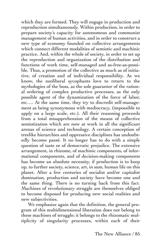which they are formed. They will engage in production and reproduction simultaneously. Within production, in order to prepare society's capacity for autonomous and communist management of human activities, and in order to construct a new type of economy founded on collective arrangements which connect different modalities of semiotic and machinic practice. And, within the whole of society, in order to set up the reproduction and organization of the distribution and functions of work time, self-managed and as-free-as-possible. Thus, a promotion of the collective as much as of initiative, of creation and of individual responsibility. As we know, the neoliberal sycophants love to return to the mythologies of the boss, as the sole guarantor of the rational ordering of complex productive processes, as the only possible agent of the dynamization of the force of labor, etc…. At the same time, they try to discredit self-management as being synonymous with mediocracy, (impossible to apply on a large scale, etc.). All their reasoning proceeds from a total misapprehension of the means of collective semiotization which are now at work in all the significant arenas of science and technology. A certain conception of treelike hierarchies and oppressive disciplines has undoubtedly become passé. It no longer has to do with a simple question of taste or of democratic prejudice. The extensive arrangement, in rhizome, of machinic components, of informational components, and of decision-making components has become an absolute necessity, if production is to keep up, to further society, science, art, in sum, human life on this planet. After a few centuries of socialist and/or capitalist domination, production and society have become one and the same thing. There is no turning back from this fact. Machines of revolutionary struggle are themselves obliged to become disposed for producing new social realities and new subjectivities.

We emphasize again that the definition, the general program of this multidimensional liberation does not belong to these machines of struggle; it belongs to the rhizomatic multiplicity of singularity processes, within each of their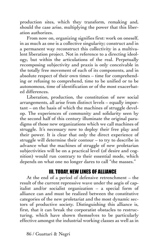production sites, which they transform, remaking and, should the case arise, multiplying the power that this liberation authorizes.

From now on, organizing signifies first: work on oneself, in as much as one is a collective singularity; construct and in a permanent way reconstruct this collectivity in a multivalent liberation project. Not in reference to a directing ideology, but within the articulations of the real. Perpetually recomposing subjectivity and praxis is only conceivable in the totally free movement of each of its components, and in absolute respect of their own times – time for comprehending or refusing to comprehend, time to be unified or to be autonomous, time of identification or of the most exacerbated differences.

Liberation, production, the constitution of new social arrangements, all arise from distinct levels – equally important – on the basis of which the machines of struggle develop. The experiences of community and solidarity seen by the second half of this century illuminate the original paradigms of those new organizations which we call machines of struggle. It's necessary now to deploy their free play and their power. It is clear that only the direct experience of struggle will determine their contour – to try to describe in advance what the machines of struggle of new proletarian subjectivities will be on a practical level (of desire and cognition) would run contrary to their essential mode, which depends on what one no longer dares to call "the masses."

#### III. TODAY, NEW LINES OF ALLIANCE

At the end of a period of defensive retrenchment – the result of the current repressive wave under the aegis of capitalist and/or socialist organization – a special form of alliance can and must be realized between the constitutive categories of the new proletariat and the most dynamic sectors of productive society. Distinguishing this alliance is, first, that it can break the corporatist obstacles to restructuring, which have shown themselves to be particularly effective amongst the industrial working classes as well as in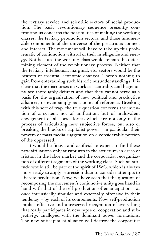the tertiary service and scientific sectors of social production. The basic revolutionary sequence presently confronting us concerns the possibilities of making the working classes, the tertiary production sectors, and those innumerable components of the universe of the precarious connect and interact. The movement will have to take up this problematic of conjunction with all of their intelligence and energy. Not because the working class would remain the determining element of the revolutionary process. Neither that the tertiary, intellectual, marginal, etc. sectors would be the bearers of essential economic changes. There's nothing to gain from entertaining such historic misunderstandings. It is clear that the discourses on workers' centrality and hegemony are thoroughly defunct and that they cannot serve as a basis for the organization of new political and productive alliances, or even simply as a point of reference. Breaking with this sort of trap, the true question concerns the invention of a system, not of unification, but of multivalent engagement of all social forces which are not only in the process of articulating new subjective forces, but also of breaking the blocks of capitalist power – in particular their powers of mass media suggestion on a considerable portion of the oppressed.

It would be fictive and artificial to expect to find these new affiliations only at ruptures in the structure, in areas of friction in the labor market and the corporatist reorganization of different segments of the working class. Such an attitude would still be part of the spirit of IWC, which is always more ready to apply repression than to consider attempts to liberate production. Now, we have seen that the question of recomposing the movement's conjunctive unity goes hand in hand with that of the self-production of emancipation – at once intrinsically singular and externally offensive in their tendency – by each of its components. Now self-production implies effective and unreserved recognition of everything that really participates in new types of cooperation and subjectivity, unalloyed with the dominant power formations. The new anticapitalist alliance will destroy the corporatist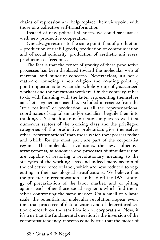chains of repression and help replace their viewpoint with those of a collective self-transformation.

Instead of new political alliances, we could say just as well: new productive cooperation.

One always returns to the same point, that of production – production of useful goods, production of communication and of social solidarity, production of aesthetic universes, production of freedom…

The fact is that the center of gravity of these productive processes has been displaced toward the molecular web of marginal and minority concerns. Nevertheless, it's not a matter of founding a new religion and creating point by point oppositions between the whole group of guaranteed workers and the precarious workers. On the contrary, it has to do with finishing with the latter representing themselves as a heterogeneous ensemble, excluded in essence from the "true realities" of production, as all the representational coordinates of capitalism and/or socialism beguile them into thinking… Yet such a transformation implies as well that numerous sectors of the working class and the privileged categories of the productive proletariats give themselves other "representations" than those which they possess today and which, for the most part, are part of the corporatist regime. The molecular revolutions, the new subjective arrangements, autonomies and processes of singularization are capable of restoring a revolutionary meaning to the struggles of the working class and indeed many sectors of the collective force of labor, which are now reduced to vegetating in their sociological stratifications. We believe that the proletarian recomposition can head off the IWC strategy of precarization of the labor market, and of pitting against each other those social segments which find themselves confronting the same market. On a small or a large scale, the potentials for molecular revolution appear every time that processes of detotalization and of deterritorialization encroach on the stratification of corporatism. Now, if it's true that the fundamental question is the inversion of the corporatist tendency, it seems equally true that the motor of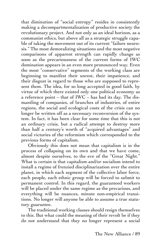that diminution of "social entropy" resides in consistently making a decompartmentalization of productive society the revolutionary project. And not only as an ideal horizon, as a communist ethics, but above all as a strategic struggle capable of taking the movement out of its current "failure neurosis." The most demoralizing situations and the most negative comparisons of apparent strength can rapidly change as soon as the precariousness of the current forms of IWC domination appears in an even more pronounced way. Even the most "conservative" segments of the working class are beginning to manifest their unrest, their impatience, and their disgust in regard to those who are supposed to represent them. The idea, for so long accepted in good faith, by virtue of which there existed only one political economy as a reference point – that of IWC – has had its day. The dismantling of companies, of branches of industries, of entire regions, the social and ecological costs of the crisis can no longer be written off as a necessary reconversion of the system. In fact, it has been clear for some time that this is not an ordinary crisis, but a radical attempt to destroy more than half a century's worth of "acquired advantages" and social victories of the reformism which corresponded to the previous forms of capitalism.

Obviously this does not mean that capitalism is in the process of collapsing on its own and that we have come, almost despite ourselves, to the eve of the "Great Night." What is certain is that capitalism and/or socialism intend to install a regime of frenzied disciplinarization over the entire planet, in which each segment of the collective labor force, each people, each ethnic group will be forced to submit to permanent control. In this regard, the guaranteed workers will be placed under the same regime as the precarious, and everything will be nuances, minute non-empirical transitions. No longer will anyone be able to assume a true statutory guarantee.

The traditional working classes should resign themselves to this. But what could the meaning of their revolt be if they do not understand that they no longer represent a social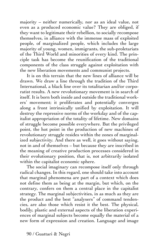majority – neither numerically, nor as an ideal value, not even as a produced economic value? They are obliged, if they want to legitimate their rebellion, to socially recompose themselves, in alliance with the immense mass of exploited people, of marginalized people, which includes the large majority of young, women, immigrants, the sub-proletariats of the Third World and minorities of every kind. The principle task has become the reunification of the traditional components of the class struggle against exploitation with the new liberation movements and communist projects.

It is on this terrain that the new lines of alliance will be drawn. We draw a line through the tradition of the Third International, a black line over its totalitarian and/or corporatist results. A new revolutionary movement is in search of itself. It is born both inside and outside the traditional workers' movement; it proliferates and potentially converges along a front intrinsically unified by exploitation. It will destroy the repressive norms of the workday and of the capitalist appropriation of the totality of lifetime. New domains of struggle become possible everywhere. But the privileged point, the hot point in the production of new machines of revolutionary struggle resides within the zones of marginalized subjectivity. And there as well, it goes without saying, not in and of themselves – but because they are inscribed in the meaning of creative production processes considered in their evolutionary position, that is, not arbitrarily isolated within the capitalist economic sphere.

The social imaginary can recompose itself only through radical changes. In this regard, one should take into account that marginal phenomena are part of a context which does not define them as being at the margin, but which, on the contrary, confers on them a central place in the capitalist strategy. The marginal subjectivities, in as much as they are the product and the best "analysers" of command tendencies, are also those which resist it the best. The physical, bodily, plastic and external aspects of the liberation experiences of marginal subjects become equally the material of a new form of expression and creation. Language and image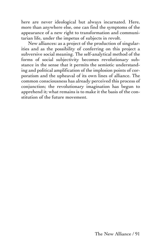here are never ideological but always incarnated. Here, more than anywhere else, one can find the symptoms of the appearance of a new right to transformation and communitarian life, under the impetus of subjects in revolt.

New alliances: as a project of the production of singularities and as the possibility of conferring on this project a subversive social meaning. The self-analytical method of the forms of social subjectivity becomes revolutionary substance in the sense that it permits the semiotic understanding and political amplification of the implosion points of corporatism and the upheaval of its own lines of alliance. The common consciousness has already perceived this process of conjunction; the revolutionary imagination has begun to apprehend it; what remains is to make it the basis of the constitution of the future movement.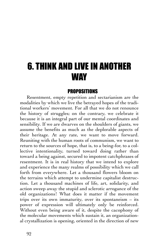### 6. THINK AND LIVE IN ANOTHER WAY

#### **PROPOSITIONS**

Resentment, empty repetition and sectarianism are the modalities by which we live the betrayed hopes of the traditional workers' movement. For all that we do not renounce the history of struggles; on the contrary, we celebrate it because it is an integral part of our mental coordinates and sensibility. If we are dwarves on the shoulders of giants, we assume the benefits as much as the deplorable aspects of their heritage. At any rate, we want to move forward. Reuniting with the human roots of communism, we want to return to the sources of hope, that is, to a being-for, to a collective intentionality, turned toward doing rather than toward a being against, secured to impotent catchphrases of resentment. It is in real history that we intend to explore and experience the many realms of possibility which we call forth from everywhere. Let a thousand flowers bloom on the terrains which attempt to undermine capitalist destruction. Let a thousand machines of life, art, solidarity, and action sweep away the stupid and sclerotic arrogance of the old organizations! What does it matter if the movement trips over its own immaturity, over its spontaneism – its power of expression will ultimately only be reinforced. Without even being aware of it, despite the cacophony of the molecular movements which sustain it, an organizational crystallization is opening, oriented in the direction of new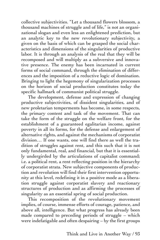collective subjectivities. "Let a thousand flowers blossom, a thousand machines of struggle and of life," is not an organizational slogan and even less an enlightened prediction, but an analytic key to the new revolutionary subjectivity, a given on the basis of which can be grasped the social characteristics and dimensions of the singularities of productive labor. It is through an analysis of the real that they will be recomposed and will multiply as a subversive and innovative presence. The enemy has been incarnated in current forms of social command, through the elimination of differences and the imposition of a reductive logic of domination. Bringing to light the hegemony of singularization processes on the horizon of social production constitutes today the specific hallmark of communist political struggle.

The development, defense and expression of changing productive subjectivities, of dissident singularities, and of new proletarian temperments has become, in some respects, the primary content and task of the movement. That can take the form of the struggle on the welfare front, for the establishment of a guaranteed egalitarian income, against poverty in all its forms, for the defense and enlargement of alternative rights, and against the mechanisms of corporatist division… If one wants, one will find there as well the tradition of struggles against rent, and this such that it is not only fundamental, real, and financial, but that it is essentially undergirded by the articulations of capitalist command; i.e. a political rent, a rent reflecting position in the hierarchy of corporatist strata. New subjective components of production and revolution will find their first intervention opportunity at this level, redefining it in a positive mode as a liberation struggle against corporatist slavery and reactionary structures of production and as affirming the processes of singularity as an essential spring of social production.

This recomposition of the revolutionary movement implies, of course, immense efforts of courage, patience, and above all, intelligence. But what progress has already been made compared to preceding periods of struggle – which were indefatigable and often despairing – by the first groups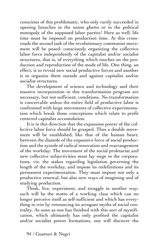conscious of this problematic, who only rarely succeeded in opening breaches in the union ghetto or in the political monopoly of the supposed labor parties! Here as well, life time must be imposed on production time. At this crossroads the second task of the revolutionary communist movement will be posed: consciously organizing the collective labor force independently of the capitalist and/or socialist structures, that is, of everything which touches on the production and reproduction of the mode of life. One thing, an effect, is to reveal new social productive forces and another is to organize them outside and against capitalist and/or socialist structures.

The development of science and technology and their massive incorporation in this transformation program are necessary, but not sufficient, conditions. No transformation is conceivable unless the entire field of productive labor is confronted with large movements of collective experimentation which break those conceptions which relate to profit centered capitalist accumulation.

It is in this direction that the expansion power of the collective labor force should be grasped. Thus a double movement will be established, like that of the human heart, between the diastole of the expansive force of social production and the systole of radical innovation and rearrangement of the workday. The movement of the social proletariat and new collective subjectivities must lay siege to the corporations, viz. the stakes regarding legislation governing the length of the workday, and impose its redefinitions and its permanent experimentation. They must impose not only a productive renewal, but also new ways of imagining and of studying production.

Think, live, experiment, and struggle in another way: such will be the motto of a working class which can no longer perceive itself as self-sufficient and which has everything to win by renouncing its arrogant myths of social centrality. As soon as one has finished with this sort of mystification, which ultimately has only profited the capitalist and/or socialist power formations, one will discover the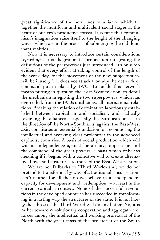great significance of the new lines of alliance which tie together the multiform and multivalent social stages at the heart of our era's productive forces. It is time that communism's imagination raise itself to the height of the changing waves which are in the process of submerging the old dominant realities.

Now it is necessary to introduce certain considerations regarding a first diagrammatic proposition integrating the definitions of the perspectives just introduced. It's only too evident that every effort at taking control of the length of the work day, by the movement of the new subjectivities, will be illusory if it does not attack frontally the network of command put in place by IWC. To tackle this network means putting in question the East-West relation, to derail the mechanism integrating the two superpowers, which has overcoded, from the 1970s until today, all international relations. Breaking the relation of domination laboriously established between capitalism and socialism, and radically reversing the alliances – especially the European ones – in the direction of the North-South axis, against the East-West axis, constitutes an essential foundation for recomposing the intellectual and working class proletariat in the advanced capitalist countries. A basis of social production which will win its independence against hierarchical oppression and the command of the great powers; a basis which only has meaning if it begins with a collective will to create alternative flows and structures to those of the East-West relation.

We are not fallbacks to "Third World-ism"; we do not pretend to transform it by way of a traditional "insurrectionism"; neither for all that do we believe in its independent capacity for development and "redemption" – at least in the current capitalist context. None of the successful revolutions in the developed countries has succeeded in transforming in a lasting way the structures of the state. It is not likely that those of the Third World will do any better. No, it is rather toward revolutionary cooperation and aggregation of forces among the intellectual and working proletariat of the North with the great mass of the proletariat of the South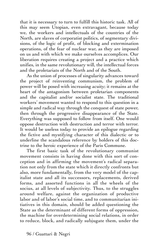that it is necessary to turn to fulfill this historic task. All of this may seem Utopian, even extravagant, because today we, the workers and intellectuals of the countries of the North, are slaves of corporatist politics, of segmentary divisions, of the logic of profit, of blocking and extermination operations, of the fear of nuclear war, as they are imposed on us and with which we make ourselves accomplices. Our liberation requires creating a project and a practice which unifies, in the same revolutionary will, the intellectual forces and the proletariats of the North and of the South.

As the union of processes of singularity advances toward the project of reinventing communism, the problem of power will be posed with increasing acuity; it remains at the heart of the antagonism between proletarian components and the capitalist and/or socialist state. The traditional workers' movement wanted to respond to this question in a simple and radical way through the conquest of state power, then through the progressive disappearance of the State. Everything was supposed to follow from itself. One would oppose destruction with destruction and terror with terror. It would be useless today to provide an epilogue regarding the fictive and mystifying character of this dialectic or to underline the scandalous reference by holders of this doctrine to the heroic experience of the Paris Commune.

The first basic task of the revolutionary communist movement consists in having done with this sort of conception and in affirming the movement's radical separation not only from the state which it directly confronts but also, more fundamentally, from the very model of the capitalist state and all its successors, replacements, derived forms, and assorted functions in all the wheels of the socius, at all levels of subjectivity. Thus, to the struggles around welfare, against the organization of productive labor and of labor's social time, and to communitarian initiatives in this domain, should be added questioning the State as the determinant of different forms of oppression, the machine for overdetermining social relations, in order to reduce, block, and radically subjugate them, under the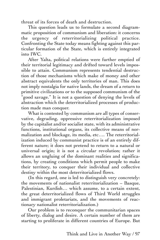threat of its forces of death and destruction.

This question leads us to formulate a second diagrammatic proposition of communism and liberation: it concerns the urgency of reterritorializing political practice. Confronting the State today means fighting against this particular formation of the State, which is entirely integrated into IWC.

After Yalta, political relations were further emptied of their territorial legitimacy and drifted toward levels impossible to attain. Communism represents tendential destruction of those mechanisms which make of money and other abstract equivalents the only territories of man. This does not imply nostalgia for native lands, the dream of a return to primitive civilizations or to the supposed communism of the "good savage." It is not a question of denying the levels of abstraction which the deterritorialized processes of production made man conquer.

What is contested by communism are all types of conservative, degrading, oppressive reterritorialization imposed by the capitalist and/or socialist state, with its administrative functions, institutional organs, its collective means of normalization and blockage, its media, etc…. The reterritorialization induced by communist practice is of an entirely different nature; it does not pretend to return to a natural or universal origin; it is not a circular revolution; rather it allows an ungluing of the dominant realities and significations, by creating conditions which permit people to make their territory, to conquer their individual and collective destiny within the most deterritorialized flows.

(In this regard, one is led to distinguish very concretely: the movements of nationalist reterritorialization – Basque, Palestinian, Kurdish… which assume, to a certain extent, the great deterritorialized flows of Third World struggles and immigrant proletariats, and the movements of reactionary nationalist reterritorialization.)

Our problem is to reconquer the communitarian spaces of liberty, dialog and desire. A certain number of them are starting to proliferate in different countries of Europe. But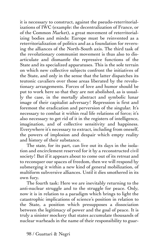it is necessary to construct, against the pseudo-reterritorializations of IWC (example: the decentralization of France, or of the Common Market), a great movement of reterritorializing bodies and minds: Europe must be reinvented as a reterritorialization of politics and as a foundation for reversing the alliances of the North-South axis. The third task of the revolutionary communist movement is thus also to disarticulate and dismantle the repressive functions of the State and its specialized apparatuses. This is the sole terrain on which new collective subjects confront the initiatives of the State, and only in the sense that the latter dispatches its teutonic cavaliers over those areas liberated by the revolutionary arrangements. Forces of love and humor should be put to work here so that they are not abolished, as is usually the case, in the mortally abstract and symbolic lunar image of their capitalist adversary! Repression is first and foremost the eradication and perversion of the singular. It's necessary to combat it within real life relations of force; it's also necessary to get rid of it in the registers of intelligence, imagination, and of collective sensitivity and happiness. Everywhere it's necessary to extract, including from oneself, the powers of implosion and despair which empty reality and history of their substance.

The state, for its part, can live out its days in the isolation and encirclement reserved for it by a reconstructed civil society! But if it appears about to come out of its retreat and to reconquer our spaces of freedom, then we will respond by submerging it within a new kind of general mobilization, of multiform subversive alliances. Until it dies smothered in its own fury.

The fourth task: Here we are inevitably returning to the anti-nuclear struggle and to the struggle for peace. Only, now it is in relation to a paradigm which brings to light the catastrophic implications of science's position in relation to the State, a position which presupposes a dissociation between the legitimacy of power and the goal of peace. It is truly a sinister mockery that states accumulate thousands of nuclear warheads in the name of their responsibility to guar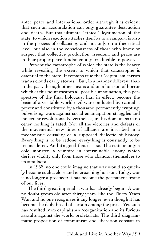antee peace and international order although it is evident that such an accumulation can only guarantee destruction and death. But this ultimate "ethical" legitimation of the state, to which reaction attaches itself as to a rampart, is also in the process of collapsing, and not only on a theoretical level, but also in the consciousness of those who know or suspect that collective production, freedom, and peace are in their proper place fundamentally irreducible to power.

Prevent the catastrophe of which the state is the bearer while revealing the extent to which that catastrophe is essential to the state. It remains true that "capitalism carries war as clouds carry storms." But, in a manner different than in the past, through other means and on a horizon of horror which at this point escapes all possible imagination, this perspective of the final holocaust has, in effect, become the basis of a veritable world civil war conducted by capitalist power and constituted by a thousand permanently erupting, pulverizing wars against social emancipation struggles and molecular revolutions. Nevertheless, in this domain, as in no other, nothing is fated. Not all the victories and defeats of the movement's new lines of alliance are inscribed in a mechanistic causality or a supposed dialectic of history. Everything is to be redone, everything is constantly to be reconsidered. And it's good that it is so. The state is only a cold monster, a vampire in interminable agony which derives vitality only from those who abandon themselves to its simulacra.

In 1968, no one could imagine that war would so quickly become such a close and encroaching horizon. Today, war is no longer a prospect: it has become the permanent frame of our lives.

The third great imperialist war has already begun. A war no doubt grows old after thirty years, like the Thirty Years War, and no one recognizes it any longer; even though it has become the daily bread of certain among the press. Yet such has resulted from capitalism's reorganization and its furious assaults against the world proletariats. The third diagrammatic proposition of communism and liberation consists in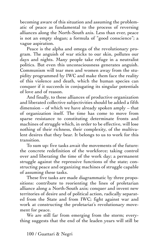becoming aware of this situation and assuming the problematic of peace as fundamental to the process of reversing alliances along the North-South axis. Less than ever, peace is not an empty slogan; a formula of "good conscience"; a vague aspiration.

Peace is the alpha and omega of the revolutionary program. The anguish of war sticks to our skin, pollutes our days and nights. Many people take refuge in a neutralist politics. But even this unconsciousness generates anguish. Communism will tear men and women away from the stupidity programmed by IWC and make them face the reality of this violence and death, which the human species can conquer if it succeeds in conjugating its singular potentials of love and of reason.

And finally, to these alliances of productive organization and liberated collective subjectivities should be added a fifth dimension – of which we have already spoken amply – that of organization itself. The time has come to move from sparse resistance to constituting determinate fronts and machines of struggle which, in order to be effective, will lose nothing of their richness, their complexity, of the multivalent desires that they bear. It belongs to us to work for this transition.

To sum up: five tasks await the movements of the future: the concrete redefinition of the workforce; taking control over and liberating the time of the work day; a permanent struggle against the repressive functions of the state; constructing peace and organizing machines of struggle capable of assuming these tasks.

These five tasks are made diagrammatic by three propositions: contribute to reorienting the lines of proletarian alliance along a North-South axis; conquer and invent new territories of desire and of political action, radically separated from the State and from IWC; fight against war and work at constructing the proletariat's revolutionary movement for peace.

We are still far from emerging from the storm; everything suggests that the end of the leaden years will still be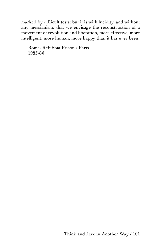marked by difficult tests; but it is with lucidity, and without any messianism, that we envisage the reconstruction of a movement of revolution and liberation, more effective, more intelligent, more human, more happy than it has ever been.

Rome, Rebibbia Prison / Paris 1983-84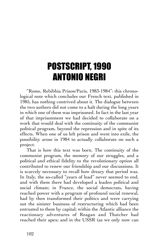# POSTSCRIPT, 1990 ANTONIO NEGRI

"Rome, Rebibbia Prison/Paris, 1983-1984": this chronological note which concludes our French text, published in 1985, has nothing contrived about it. The dialogue between the two authors did not come to a halt during the long years in which one of them was imprisoned. In fact in the last year of that imprisonment we had decided to collaborate on a work that would deal with the continuity of the communist political program, beyond the repression and in spite of its effects. When one of us left prison and went into exile, the possibility arose in 1984 to actually collaborate on such a project.

That is how this text was born. The continuity of the communist program, the memory of our struggles, and a political and ethical fidelity to the revolutionary option all contributed to renew our friendship and our discussions. It is scarcely necessary to recall how dreary that period was. In Italy, the so-called "years of lead" never seemed to end, and with them there had developed a leaden political and social climate; in France, the social democrats, having reached power with a program of profound social renewal, had by then transformed their politics and were carrying out the sinister business of restructuring which had been entrusted to them by capital; within the Atlantic alliance the reactionary adventures of Reagan and Thatcher had reached their apex; and in the USSR (as we only now can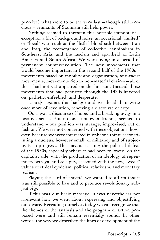perceive) what were to be the very last – though still ferocious – remnants of Stalinism still held power.

Nothing seemed to threaten this horrible immobility – except for a bit of background noise, an occasional "limited" or "local" war, such as the "little" bloodbath between Iran and Iraq, the reemergence of collective cannibalism in Southeast Asia, and the fascism and apartheid of Latin America and South Africa. We were living in a period of permanent counterrevolution. The new movements that would become important in the second half of the 1980s – movements based on mobility and organization, anti-racist movements, movements rich in non-material desires – all of these had not yet appeared on the horizon. Instead those movements that had persisted through the 1970s lingered on, pathetic, enfeebled, and desperate.

Exactly against this background we decided to write once more of revolution, renewing a discourse of hope.

Ours was a discourse of hope, and a breaking away in a positive sense. But no one, not even friends, seemed to understand – our position was strange, improvised, out of fashion. We were not concerned with these objections, however, because we were interested in only one thing: reconstituting a nucleus, however small, of militancy and of subjectivity-in-progress. This meant resisting the political defeat of the 1970s, especially where it had been followed, on the capitalist side, with the production of an ideology of repentance, betrayal and self-pity, seasoned with the new, "weak" values of ethical cynicism, political relativism, and monetary realism.

Playing the card of naiveté, we wanted to affirm that it was still possible to live and to produce revolutionary subjectivity.

If this was our basic message, it was nevertheless not irrelevant how we went about expressing and objectifying our desire. Rereading ourselves today we can recognize that the themes of the analysis and the program of action proposed were and still remain essentially sound. In other words, the way we described the lines of development of the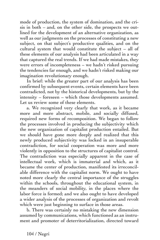mode of production, the system of domination, and the crisis in both – and, on the other side, the prospects we outlined for the development of an alternative organization, as well as our judgments on the processes of constituting a new subject, on that subject's productive qualities, and on the cultural system that would constitute the subject – all of these elements of our analysis had been articulated in a way that captured the real trends. If we had made mistakes, they were errors of incompleteness – we hadn't risked pursuing the tendencies far enough, and we hadn't risked making our imagination revolutionary enough.

In brief: while the greater part of our analysis has been confirmed by subsequent events, certain elements have been contradicted, not by the historical developments, but by the intensity – foreseen – which those developments assumed. Let us review some of these elements.

a. We recognized very clearly that work, as it became more and more abstract, mobile, and socially diffused, required new forms of recomposition. We began to follow the processes involved in producing the subjectivity which the new organization of capitalist production entailed. But we should have gone more deeply and realized that this newly produced subjectivity was locked in an insuperable contradiction, for social cooperation was more and more violently in opposition to the structures of capitalist control. The contradiction was especially apparent in the case of intellectual work, which is immaterial and which, as it became the center of production, manifested its irreconcilable difference with the capitalist norm. We ought to have noted more clearly the central importance of the struggles within the schools, throughout the educational system, in the meanders of social mobility, in the places where the labor force is formed; and we also ought to have developed a wider analysis of the processes of organization and revolt which were just beginning to surface in those areas.

b. There was certainly no mistaking the new dimension assumed by communications, which functioned as an instrument and promoter of deterritorialization, directed toward

104 / Negri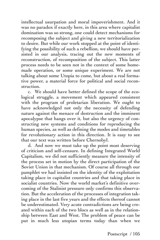intellectual usurpation and moral impoverishment. And it was no paradox if exactly here, in this area where capitalist domination was so strong, one could detect mechanisms for recomposing the subject and giving a new territorialization to desire. But while our work stopped at the point of identifying the possibility of such a rebellion, we should have persisted in our analysis, tracing out the new moments of reconstruction, of recomposition of the subject. This latter process needs to be seen not in the context of some homemade operation, or some unique experiment. We are not talking about some Utopia to come, but about a real formative power, a material force for political and social reconstruction.

c. We should have better defined the scope of the ecological struggle, a movement which appeared consistent with the program of proletarian liberation. We ought to have acknowledged not only the necessity of defending nature against the menace of destruction and the imminent apocalypse that hangs over it, but also the urgency of constructing new systems and conditions for reproducing the human species, as well as defining the modes and timetables for revolutionary action in this direction. It is easy to see that our text was written before Chernobyl.

d. And now we must take up the point most deserving of criticism and self-censure. In defining Integrated World Capitalism, we did not sufficiently measure the intensity of the process set in motion by the direct participation of the Soviet Union in that mechanism. Of course all through our pamphlet we had insisted on the identity of the exploitation taking place in capitalist countries and that taking place in socialist countries. Now the world market's definitive overcoming of the Stalinist pressure only confirms this observation. But the acceleration of the processes of integration taking place in the last five years and the effects thereof cannot be underestimated. Very acute contradictions are being created within each of the two blocs as well as in the relationship between East and West. The problem of peace can be put in much less utopian terms today than when we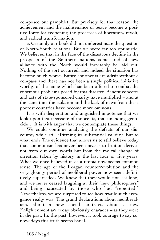composed our pamphlet. But precisely for that reason, the achievement and the maintenance of peace become a positive force for reopening the processes of liberation, revolt, and radical transformation.

e. Certainly our book did not underestimate the question of North-South relations. But we were far too optimistic. We believed that in the face of the disastrous decline in the prospects of the Southern nations, some kind of new alliance with the North would inevitably be laid out. Nothing of the sort occurred, and indeed the situation has become much worse. Entire continents are adrift without a compass and there has not been a single political initiative worthy of the name which has been offered to combat the enormous problems posed by this disaster. Benefit concerts and acts of state-sponsored charity have multiplied – and at the same time the isolation and the lack of news from these poorest countries have become more ominous.

It is with desperation and anguished impotence that we look upon that massacre of innocents, that unending genocide… It is with anger that we contemplate these things.

We could continue analyzing the defects of our discourse, while still affirming its substantial validity. But to what end? The evidence that allows us to still believe today that communism has never been nearer to fruition derives not from our own words but from the radical change of direction taken by history in the last four or five years. What we once believed in as a utopia now seems common sense. The age of the Reagan counterrevolution and the very gloomy period of neoliberal power now seem definitively superseded. We knew that they would not last long, and we never ceased laughing at their "new philosophers" and being nauseated by those who had "repented." Nevertheless, we are surprised to see how fragile such arrogance really was. The grand declarations about neoliberalism, about a new social contract, about a new Enlightenment are today obviously charades – as they were in the past. In. the past, however, it took courage to say so; nowadays this truth seems banal.

106 / Negri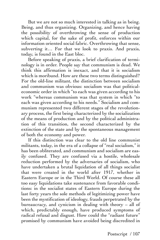But we are not so much interested in talking as in being. Being, and thus organizing. Organizing, and hence having the possibility of overthrowing the sense of production which capital, for the sake of profit, enforces within our information oriented social fabric. Overthrowing that sense, subverting it… For that we look to praxis. And praxis, today, is found in the East bloc.

Before speaking of praxis, a brief clarification of terminology is in order. People say that communism is dead. We think this affirmation is inexact, and that it is socialism which is moribund. How are these two terms distinguished? For the old-line militant, the distinction between socialism and communism was obvious: socialism was that politicaleconomic order in which "to each was given according to his work "whereas communism was that system in which "to each was given according to his needs." Socialism and communism represented two different stages of the revolutionary process, the first being characterized by the socialization of the means of production and by the political administration of this transition, the second characterized by the extinction of the state and by the spontaneous management of both the economy and power.

If this distinction was clear to the old line communist militants, today, in the era of a collapse of "real socialism," it has been obliterated, and communism and socialism are easily confused. They are confused via a hostile, wholesale reduction performed by the adversaries of socialism, who have undertaken a brutal liquidation of all things socialist that were created in the world after 1917, whether in Eastern Europe or in the Third World. Of course these all too easy liquidations take sustenance from favorable conditions: in the socialist states of Eastern Europe during the last forty years the sole methods of legitimizing power have been the mystification of ideology, frauds perpetrated by the bureaucracy, and cynicism in dealing with theory – all of which, predictably enough, have produced symptoms of radical refusal and disgust. How could the "radiant future" promised by communism have avoided being discredited in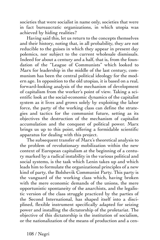societies that were socialist in name only, societies that were in fact bureaucratic organizations, in which utopia was achieved by hiding realities?

Having said this, let us return to the concepts themselves and their history, noting that, in all probability, they are not reducible to the guises in which they appear in present day polemics, nor subject to the current wholesale dismissals. Indeed for about a century and a half, that is, from the foundation of the "League of Communists" which looked to Marx for leadership in the middle of the last century, communism has been the central political ideology for the modern age. In opposition to the old utopias, it is based on a real, forward-looking analysis of the mechanism of development of capitalism from the worker's point of view. Taking a scientific look at the social-economic dynamics of the capitalist system as it lives and grows solely by exploiting the labor force, the party of the working class can define the strategies and tactics for the communist future, setting as its objectives the destruction of the mechanism of capitalist accumulation and the conquest of political power. Marx brings us up to this point, offering a formidable scientific apparatus for dealing with this project.

The subsequent transfer of Marx's theoretical analysis to the problem of revolutionary mobilization within the new context of European capitalism at the beginning of a century marked by a radical instability in the various political and social systems, is the task which Lenin takes up and which leads him to formulate the organizational principles of a new kind of party, the Bolshevik Communist Party. This party is the vanguard of the working class which, having broken with the mere economic demands of the unions, the mere opportunistic spontaneity of the anarchists, and the legalistic version of the class struggle practiced by the parties of the Second International, has shaped itself into a disciplined, flexible instrument specifically adapted for seizing power and installing the dictatorship of the proletariat. The objective of this dictatorship is the institution of socialism, or the nationalization of the means of production and a cen-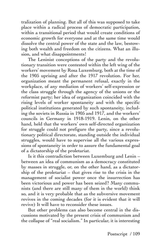tralization of planning. But all of this was supposed to take place within a radical process of democratic participation, within a transitional period that would create conditions of economic growth for everyone and at the same time would dissolve the central power of the state and the law, bestowing both wealth and freedom on the citizens. What an illusion, and what disappointments!

The Leninist conceptions of the party and the revolutionary transition were contested within the left wing of the workers' movement by Rosa Luxemburg, both at the time of the 1905 uprising and after the 1917 revolution. For her, organization meant the permanent refusal, exactly in the workplace, of any mediation of workers' self-expression or the class struggle through the agency of the unions or the reformist party; her idea of organization coincided with the rising levels of worker spontaneity and with the specific political institutions generated by such spontaneity, including the soviets in Russia in 1905 and 1917, and the workers' councils in Germany in 1918-1919. Lenin, on the other hand, held that the workers' own self-directed organization for struggle could not prefigure the party, since a revolutionary political directorate, standing outside the individual struggles, would have to supervise all the various expressions of spontaneity in order to assure the fundamental goal of a dictatorship of the proletariat.

Is it this contradiction between Luxemburg and Lenin – between an idea of communism as a democracy constituted by masses in struggle, or, on the other hand, as a dictatorship of the proletariat – that gives rise to the crisis in the management of socialist power once the insurrection has been victorious and power has been seized? Many communists (and there are still many of them in the world) think so, and it is very probable that as the subversive movement revives in the coming decades (for it is evident that it will revive) It will have to reconsider these issues.

But other problems can also become central in the discussions motivated by the present crisis of communism and the collapse of "real socialism." In particular, it is interesting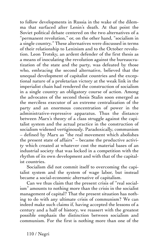to follow developments in Russia in the wake of the dilemma that surfaced after Lenin's death. At that point the Soviet political debate centered on the two alternatives of a "permanent revolution," or, on the other hand, "socialism in a single country." These alternatives were discussed in terms of their relationship to Leninism and to the October revolution. Leon Trotsky, an ardent defender of the first thesis as a means of inoculating the revolution against the bureaucratization of the state and the party, was defeated by those who, embracing the second alternative, believed that the unequal development of capitalist countries and the exceptional nature of a proletarian victory at the weak link in the imperialist chain had rendered the construction of socialism in a single country an obligatory course of action. Among the advocates of the second thesis Stalin soon emerged as the merciless executor of an extreme centralization of the party and an enormous concentration of power in the administrative-repressive apparatus. Thus the distance between Marx's theory of a class struggle against the capitalist system and the actual practice in the construction of socialism widened vertiginously. Paradoxically, communism – defined by Marx as "the real movement which abolishes the present state of affairs" – became the productive activity which created at whatever cost the material bases of an industrial society that was locked in a competition with the rhythm of its own development and with that of the capitalist countries.

Socialism did not commit itself to overcoming the capitalist system and the system of wage labor, but instead became a social-economic alternative of capitalism.

Can we thus claim that the present crisis of "real socialism" amounts to nothing more than the crisis in the socialist management of capital? That the present situation has nothing to do with any ultimate crisis of communism? We can indeed make such claims if, having accepted the lessons of a century and a half of history, we reassert with the greatest possible emphasis the distinction between socialism and communism. For the first is nothing more than one of the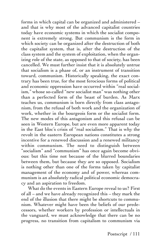forms in which capital can be organized and administered – and that is why most of the advanced capitalist countries today have economic systems in which the socialist component is extremely strong. But communism is the form in which society can be organized after the destruction of both the capitalist system, that is, after the destruction of the class system and the system of exploitation, when the organizing role of the state, as opposed to that of society, has been cancelled. We must further insist that it is absolutely untrue that socialism is a phase of, or an instrument of transition toward, communism. Historically speaking, the exact contrary has been true, for the most ferocious forms of political and economic oppression have occurred within "real socialism," whose so-called "new socialist man" was nothing other than a perfected form of the beast of burden. As Marx teaches us, communism is born directly from class antagonism, from the refusal of both work and the organization of work, whether in the bourgeois form or the socialist form. The new modes of this antagonism and this refusal can be seen in Western Europe, but are even more apparent today in the East bloc's crisis of "real socialism." That is why the revolt in the eastern European nations constitutes a strong incentive for a renewed discussion and a renewed militancy within communism. The need to distinguish between "socialism" and "communism" has once again become obvious: but this time not because of the blurred boundaries between them, but because they are so opposed. Socialism is nothing other than one of the forms taken by capitalist management of the economy and of power, whereas communism is an absolutely radical political economic democracy and an aspiration to freedom.

What do the events in Eastern Europe reveal to us? First of all – and we have already recognized this – they mark the end of the illusion that there might be shortcuts to communism. Whatever might have been the beliefs of our predecessors, whether workers by profession or intellectuals in the vanguard, we must acknowledge that there can be no progress, no transition from capitalism to communism via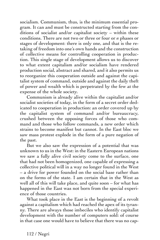socialism. Communism, thus, is the minimum essential program. It can and must be constructed starting from the conditions of socialist and/or capitalist society – within these conditions. There are not two or three or four or *n* phases or stages of development: there is only one, and that is the retaking of freedom into one's own hands and the construction of collective means for controlling cooperation in production. This single stage of development allows us to discover to what extent capitalism and/or socialism have rendered production social, abstract and shared, and it also permits us to reorganize this cooperation outside and against the capitalist system of command, outside and against the daily theft of power and wealth which is perpetrated by the few at the expense of the whole society.

Communism is already alive within the capitalist and/or socialist societies of today, in the form of a secret order dedicated to cooperation in production: an order covered up by the capitalist system of command and/or bureaucracy, crushed between the opposing forces of those who command and those who follow commands, a new order which strains to become manifest but cannot. In the East bloc we saw mass protest explode in the form of a pure negation of the past.

But we also saw the expression of a potential that was unknown to us in the West: in the Eastern European nations we saw a fully alive civil society come to the surface, one that had not been homogenized, one capable of expressing a collective political will in a way no longer found in the West – a drive for power founded on the social base rather than on the forms of the state. I am certain that in the West as well all of this will take place, and quite soon – for what has happened in the East was not born from the special experience of those countries.

What took place in the East is the beginning of a revolt against a capitalism which had reached the apex of its tyranny. There are always those imbeciles who identify capitalist development with the number of computers sold: of course in that case one would have to believe that there was no cap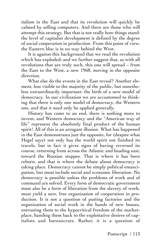italism in the East and that its revolution will quickly be calmed by selling computers. And there are those who will attempt this strategy. But that is not really how things stand: the level of capitalist development is defined by the degree of social cooperation in production. From this point of view, the Eastern bloc is in no way behind the West.

It is against this background that we read the revolution which has exploded; and we further suggest that, as with all revolutions that are truly such, this one will spread – from the East to the West, a new 1968, moving in the opposite direction.

What else do the events in the East reveal? Another element, less visible to the majority of the public, but nonetheless extraordinarily important: the birth of a new model of democracy. In our civilization we are accustomed to thinking that there is only one model of democracy, the Western one, and that it need only be applied generally.

History has come to an end, there is nothing more to invent, and Western democracy and the "American way of life" represent the absolutely final product of the human spirit! All of this is an arrogant illusion. What has happened in the East demonstrates just the opposite, for (despite what Hegel says) not only has the world spirit not finished its travels, but in fact it gives signs of having reversed its course, returning from across the Atlantic and heading east, toward the Russian steppes. That is where it has been reborn, and that is where the debate about democracy is taking place. Democracy cannot be simply political emancipation, but must include social and economic liberation. No democracy is possible unless the problems of work and of command are solved. Every form of democratic government must also be a form of liberation from the slavery of work, must yield a new, free organization of cooperation in production. It is not a question of putting factories and the organization of social work in the hands of new bosses, entrusting them to the hypocritical freedom of the marketplace, handing them back to the exploitative desires of capitalists and bureaucrats. Rather, it is a question of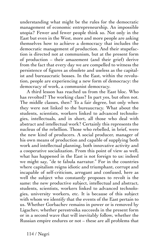understanding what might be the rules for the democratic management of economic entrepreneurship. An impossible utopia? Fewer and fewer people think so. Not only in the East but even in the West, more and more people are asking themselves how to achieve a democracy that includes the democratic management of production. And their stupefaction is directed not at communism, but at the present form of production – their amazement (and their grief) derive from the fact that every day we are compelled to witness the persistence of figures as obsolete and useless as the capitalist and bureaucratic bosses. In the East, within the revolution, people are experiencing a new form of democracy: the democracy of work, a communist democracy.

A third lesson has reached us from the East bloc. Who has revolted? The working class? In part yes, but often not. The middle classes, then? To a fair degree, but only when they were not linked to the bureaucracy. What about the students, scientists, workers linked to advanced technologies, intellectuals, and in short, all those who deal with abstract and intellectual work? Certainly this represents the nucleus of the rebellion. Those who rebelled, in brief, were the new kind of producers. A social producer, manager of his own means of production and capable of supplying both work and intellectual planning, both innovative activity and a cooperative socialization. From this point of view as well, what has happened in the East is not foreign to us: indeed we might say, "de te fabula narratur." For in the countries where capitalism reigns idiotic and triumphant, corrupt and incapable of self-criticism, arrogant and confused, here as well the subject who constantly proposes to revolt is the same: the new productive subject, intellectual and abstract, students, scientists, workers linked to advanced technologies, university workers, etc. It is because of this subject with whom we identify that the events of the East pertain to us. Whether Gorbachev remains in power or is removed by Ligachev, whether perestroika succeeds in the present form or in a second wave that will inevitably follow, whether the Russian empire endures or not – these are all problems that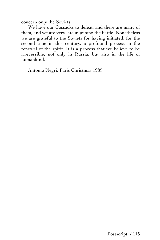concern only the Soviets.

We have our Cossacks to defeat, and there are many of them, and we are very late in joining the battle. Nonetheless we are grateful to the Soviets for having initiated, for the second time in this century, a profound process in the renewal of the spirit. It is a process that we believe to be irreversible, not only in Russia, but also in the life of humankind.

Antonio Negri, Paris Christmas 1989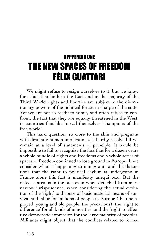## APPPENDIX ONE THE NEW SPACES OF FREEDOM FÉLIX GUATTARI

We might refuse to resign ourselves to it, but we know for a fact that both in the East and in the majority of the Third World rights and liberties are subject to the discretionary powers of the political forces in charge of the state. Yet we are not so ready to admit, and often refuse to confront, the fact that they are equally threatened in the West, in countries that like to call themselves 'champions of the free world'.

This hard question, so close to the skin and pregnant with dramatic human implications, is hardly resolved if we remain at a level of statements of principle. It would be impossible to fail to recognize the fact that for a dozen years a whole bundle of rights and freedoms and a whole series of spaces of freedom continued to lose ground in Europe. If we consider what is happening to immigrants and the distortions that the right to political asylum is undergoing in France alone this fact is manifestly unequivocal. But the defeat stares us in the face even when detached from mere narrow jurisprudence, when considering the actual evolution of the 'right' to dispose of basic material means of survival and labor for millions of people in Europe (the unemployed, young and old people, the precarious); the 'right to difference' for all kinds of minorities; and the 'right' to effective democratic expression for the large majority of peoples. Militants might object that the conflicts related to formal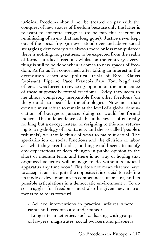juridical freedoms should not be treated on par with the conquest of new spaces of freedom because only the latter is relevant to concrete struggles (to be fair, this reaction is reminiscing of an era that has long gone). Justice never kept out of the social fray (it never stood over and above social struggles); democracy was always more or less manipulated; there is nothing, no greatness, to be expected from the realm of formal juridical freedom, whilst, on the contrary, everything is still to be done when it comes to new spaces of freedom. As far as I'm concerned, after taking an interest in the extradition cases and political trials of Bifo, Klauss Croissant, Piperno, Pace, Francois Pain, Toni Negri and others, I was forced to revise my opinion on the importance of these supposedly formal freedoms. Today they seem to me almost completely inseparable from other freedoms 'on the ground', to speak like the ethnologists. Now more than ever we must refuse to remain at the level of a global denunciation of bourgeois justice: doing so would be formal indeed. The independence of the judiciary is often really nothing but a decoy; instead of resigning to this and returning to a mythology of spontaneity and the so-called 'people's tribunals', we should think of ways to make it actual. The specialization of social functions and the division of labor are what they are; besides, nothing would seem to justify any expectations of deep changes in public opinion in the short or medium term; and there is no way of hoping that organized societies will manage to do without a judicial apparatus any time soon! This does not mean that we have to accept it as it is, quite the opposite: it is crucial to redefine its mode of development, its competences, its means, and its possible articulations in a democratic environment… To do so struggles for freedoms must also be given new instruments to take us forward:

- Ad hoc interventions in practical affaires where rights and freedoms are undermined;

- Longer term activities, such as liaising with groups of lawyers, magistrates, social workers and prisoners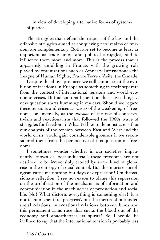… in view of developing alternative forms of systems of justice.

The struggles that defend the respect of the law and the offensive struggles aimed at conquering new realms of freedom are complementary. Both are set to become at least as important as trade union and political struggles, and to influence them more and more. This is the process that is apparently unfolding in France, with the growing role played by organizations such as Amnesty International, the League of Human Rights, France Terre d'Asile, the Cimade.

Despite the above premises we still cannot treat the evolution of freedoms in Europe as something in itself separate from the context of international tensions and world economic crises. But as soon as I mention these two things a new question starts humming in my ears. Should we regard these tensions and crises as *causes* of the weakening of freedoms, or, inversely, as the *outcome* of the rise of conservativism and reactionarism that followed the 1960s wave of struggles for freedoms? What I'd like to demonstrate is that our analysis of the tension between East and West and the world crisis would gain considerable grounds if we reconsidered them from the perspective of this question on freedoms.

I sometimes wonder whether in our societies, imprudently known as 'post-industrial', these freedoms are not destined to be irreversibly eroded by some kind of global rise in the entropy of social control. But this morose sociologism earns me nothing but days of depression! On dispassionate reflection, I see no reason to blame this repression on the proliferation of the mechanisms of information and communication in the machineries of production and social life. No! What distorts everything is something else! It is not techno-scientific 'progress', but the inertia of outmoded social relations: international relations between blocs and this permanent arms race that sucks the blood out of the economy and anaesthetizes its spirits! So I would be inclined to say that the international tension is probably less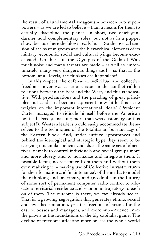the result of a fundamental antagonism between two superpowers – as we are led to believe – than a means for them to actually 'discipline' the planet. In short, two chief gendarmes hold complementary roles, but not as in a puppet show, because here the blows really hurt! So the overall tension of the system grows and the hierarchical elements of its military, economic, social and cultural wings become exacerbated. Up there, in the Olympus of the Gods of War, much noise and many threats are made – as well as, unfortunately, many very dangerous things too! – so that at the bottom, at all levels, the flunkies are kept silent!

In this respect, the defense of individual and collective freedoms never was a serious issue in the conflict-ridden relations between the East and the West, and this is indicative. With proclamations and the parading of great principles put aside, it becomes apparent how little this issue weights on the important international 'deals' (President Carter managed to ridicule himself before the American political class by insisting more than was customary on this subject!). Western leaders would easily accommodate themselves to the techniques of the totalitarian bureaucracy of the Eastern block. And, under surface appearances and behind the ideological and strategic hype they seem to be carrying out similar policies and share the same set of objectives: namely to control individuals and social groups more and more closely and to normalize and integrate them, if possible facing no resistance from them and without them even realizing it – making use of Collective Infrastructures for their formation and 'maintenance', of the media to model their thinking and imaginary, and (no doubt in the future) of some sort of permanent computer radio control to allocate a territorial residence and economic trajectory to each on of them. The outcome is there, we can already see it! That is: a growing segregation that generates ethnic, sexual and age discrimination, greater freedom of action for the cast of bosses and managers, and more subservience from the pawns at the foundations of the big capitalist game. The decline of freedoms affecting more or less the whole world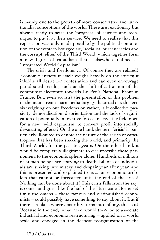is mainly due to the growth of more conservative and functionalist conceptions of the world. These are reactionary but always ready to seize the 'progress' of science and technique, to put it at their service. We need to realize that this repression was only made possible by the political conjunction of the western bourgeoisie, 'socialist' bureaucracies and the corrupt 'elites' of the Third World, which together form a new figure of capitalism that I elsewhere defined as 'Integrated World Capitalism' .

The crisis and freedoms … Of course they are related! Economic anxiety in itself weighs heavily on the spirits; it inhibits all desire for contestation and can even encourage paradoxical results, such as the shift of a fraction of the communist electorate towards Le Pen's National Front in France. But, even so, isn't the presentation of this problem in the mainstream mass media largely distorted? Is this crisis weighing on our freedoms or, rather, is it collective passivity, demoralization, disorientation and the lack of organization of potentially innovative forces to leave the field open for a new 'wild capitalism' to convert profit into socially devastating effects? On the one hand, the term 'crisis' is particularly ill-suited to denote the nature of the series of catastrophes that has been shaking the world, and primarily the Third World, for the past ten years. On the other hand, it would be completely illegitimate to circumscribe these phenomena to the economic sphere alone. Hundreds of millions of human beings are starving to death, billions of individuals are sinking into misery and despair year after year, and this is presented and explained to us as an economic problem that cannot be forecasted until the end of the crisis! Nothing can be done about it! This crisis falls from the sky; it comes and goes, like the hail of the Hurricane Hortense! Only the omens – these famous and distinguished economists – could possibly have something to say about it. But if there is a place where absurdity turns into infamy, this is it! Because in the end, what need would there be to associate industrial and economic restructuring – applied on a world scale and engaged in the deepest reorganization of the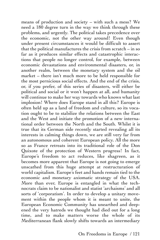means of production and society – with such a mess? We need a 180 degree turn in the way we think through these problems, and urgently. The political takes precedence over the economic, not the other way around! Even though under present circumstances it would be difficult to assert that the political manufactures the crisis from scratch  $-\text{in}$  so far as it produces similar effects and catastrophic interactions that people no longer control, for example, between economic devastations and environmental disasters, or, in another realm, between the monetary system and the oil market – there isn't much more to be held responsible for the most pernicious social effects. And the end of the crisis, or, if you prefer, of this series of disasters, will either be political and social or it won't happen at all, and humanity will continue to make her way towards who knows what last implosion! Where does Europe stand in all this? Europe is often held up as a land of freedom and culture, so its vocation ought to be to stabilize the relations between the East and the West and initiate the promotion of a new international order between the North and the South. Whilst it is true that its German side recently started revealing all its interests in calming things down, we are still very far from an autonomous and coherent European policy. All the more so as France retreats into its traditional role of the Don Quixote of the protection of Western progress! In fact, Europe's freedom to act reduces, like shagreen, as it becomes more apparent that Europe is not going to emerge unscathed from this huge attempt at restructuration of world capitalism. Europe's feet and hands remain tied to the economic and monetary axiomatic strategy of the USA. More than ever, Europe is entangled in what the technocrats claim to be nationalist and statist 'archaisms' and all sorts of 'corporatism'. In order to develop a unitary movement within the people whom it is meant to unite, the European Economic Community has unearthed and deepened the very hatreds we thought had died out for a long time, and to make matters worse the whole of its Mediterranean flank slowly shifts towards an intermediary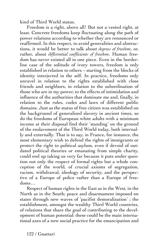kind of Third World status.

Freedom is a right, above all! But not a vested right, at least. Concrete freedoms keep fluctuating along the path of power relations according to whether they are renounced or reaffirmed. In this respect, to avoid generalities and abstractions, it would be better to talk about *degrees of freedom*, or, rather, about *differential coefficients of freedom*. Human freedom has never existed all in one piece. Even in the borderline case of the solitude of ivory towers, freedom is only established in relation to others – starting from the blocks of identity interjected in the self. In practice, freedoms only unravel in relation to the rights established with close friends and neighbors, in relation to the subordination of those who are in my power, to the effects of intimidation and influence of the authorities that dominate me and, finally, in relation to the rules, codes and laws of different public domains. Just as the status of free citizen was established on the background of generalized slavery in ancient times, so do the freedoms of European white adults with a minimum income at their disposal find their 'standing' on the ground of the enslavement of the Third World today, both internally and externally. That is to say, in France, for instance, the most elementary wish to defend the rights of immigrants or protect the right to political asylum, even if devoid of outdated political theories or emanating from simple charity, could end up taking us very far because it puts under question not only the respect of formal rights but a whole conception of the world, of crucial axioms of segregation, racism, withdrawal, ideology of security, and the perspective of a Europe of police rather than a Europe of freedoms…

Respect of human rights in the East as in the West, in the North as in the South; peace and disarmament imposed on states through new waves of 'pacifist demoralization' ; the establishment, amongst the wealthy Third World countries, of relations that share the goal of contributing to the development of human potential: these could be the main international axes of a new social practice for the emancipation and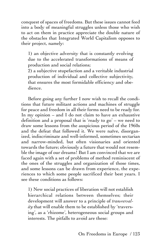conquest of spaces of freedoms. But these issues cannot feed into a body of meaningful struggles unless those who wish to act on them in practice appreciate the double nature of the obstacles that Integrated World Capitalism opposes to their project, namely:

1) an objective adversity that is constantly evolving due to the accelerated transformations of means of production and social relations;

2) a subjective stupefaction and a veritable industrial production of individual and collective subjectivity, that ensures the most formidable efficiency and obedience.

Before going any further I now wish to recall the conditions that future militant actions and machines of struggle for peace and freedom in all their forms need to be ready for. In my opinion – and I do not claim to have an exhaustive definition and a proposal that is 'ready to go' – we need to draw some lessons from the auspicious period of the 1960s and the defeat that followed it. We were naïve, disorganized, indiscriminate and well-informed, sometimes sectarian and narrow-minded, but often visionaries and oriented towards the future; obviously a future that would not resemble the image of our dreams! But I am convinced that we are faced again with a set of problems of method reminiscent of the ones of the struggles and organization of those times, and some lessons can be drawn from experience, the experiences to which some people sacrificed their best years. I see these conditions as follows:

1) New social practices of liberation will not establish hierarchical relations between themselves; their development will answer to a principle of *transversality* that will enable them to be established by 'traversing', as a 'rhizome', heterogeneous social groups and interests. The pitfalls to avoid are these: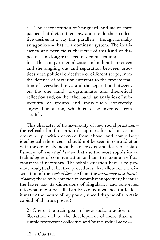a – The reconstitution of 'vanguard' and major state parties that dictate their law and mould their collective desires in a way that parallels – though formally antagonizes – that of a dominant system. The inefficiency and pernicious character of this kind of dispositif is no longer in need of demonstration;

b – The compartmentalization of militant practices and the singling out and separation between practices with political objectives of different scope, from the defense of sectarian interests to the transformation of everyday life … and the separation between, on the one hand, programmatic and theoretical reflection and, on the other hand, an analytics of subjectivity of groups and individuals concretely engaged in action, which is to be invented from scratch.

This character of transversality of new social practices – the refusal of authoritarian disciplines, formal hierarchies, orders of priorities decreed from above, and compulsory ideological references – should not be seen in contradiction with the obviously inevitable, necessary and desirable establishment of *centers of decision* that use the most sophisticated technologies of communication and aim to maximum efficaciousness if necessary. The whole question here is to promote analytical collective procedures that allow for the dissociation of the *work of decision* from the *imaginary investments of power*; these only coincide in capitalist subjectivity because the latter lost its dimensions of singularity and converted into what might be called an Eros of equivalence (little does it matter the nature of my power, since I dispose of a certain capital of abstract power).

2) One of the main goals of new social practices of liberation will be the development of more than a simple protection: collective and/or individual *process-*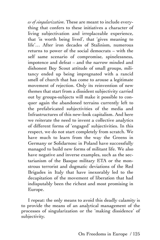*es of singularization*. These are meant to include everything that confers to these initiatives a character of living subjectivation and irreplaceable experience, that 'is worth being lived', that 'gives meaning to life'… After iron decades of Stalinism, numerous returns to power of the social democrats – with the self same scenario of compromise, spinelessness, impotence and defeat – and the narrow minded and dishonest Boy Scout attitude of small groups, militancy ended up being impregnated with a rancid smell of church that has come to arouse a legitimate movement of rejection. Only its reinvention of new themes that start from a dissident subjectivity carried out by groups-subjects will make it possible to conquer again the abandoned terrains currently left to the prefabricated subjectivities of the media and Infrastructures of this new-look capitalism. And here we reiterate the need to invent a collective analytics of different forms of 'engaged' subjectivities. In this respect, we do not start completely from scratch. We have much to learn from the way the Greens in Germany or Solidarnosc in Poland have successfully managed to build new forms of militant life. We also have negative and inverse examples, such as the sectarianism of the Basque military ETA or the monstrous terrorist and dogmatic deviations of the Red Brigades in Italy that have inexorably led to the decapitation of the movement of liberation that had indisputably been the richest and most promising in Europe.

I repeat: the only means to avoid this deadly calamity is to provide the means of an analytical management of the processes of singularization or the 'making dissidence' of subjectivity.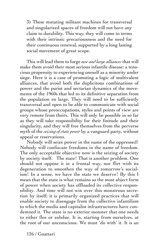3) These mutating militant machines for transversal and singularized spaces of freedom will not have any claim to durability. This way, they will come to terms with their intrinsic precariousness and the need for their continuous renewal, supported by a long lasting social movement of great scope.

This will lead them to forge *new and large alliances* that will make them avoid their most serious infantile disease: a tenacious propensity to experiencing oneself as a minority under siege. Here it is a case of promoting a logic of multivalent alliances, that avoid both the duplicitous combinations of power and the purist and sectarian dynamics of the movements of the 1960s that led to its definitive separation from the population en large. They will need to be sufficiently transversal and open to be able to communicate with social groups whose preoccupations, styles and points of view are very remote from theirs. This will only be possible in so far as they will take responsibility for their finitude and their singularity, and they will free themselves from the perverse myth of the *seizing of state power* by a vanguard party, without appeal or reservations.

Nobody will seize power in the name of the oppressed! Nobody will confiscate freedoms in the name of freedom. The only acceptable objective now is the seizing of society by society itself. The state! That is another problem. One should not oppose it in a frontal way, nor flirt with its degeneration to smoothen the way of tomorrow's socialism! In a sense, we have the state we deserve! By this I mean that the state is what remains as the most abject form of power when society has offloaded its collective responsibility. And time will not win over this monstrous secretion by itself; it is primarily organized practices that will enable society to disengage from the collective infantilism to which the media and capitalist infrastructures have condemned it. The state is no exterior monster that one needs to either flee or subdue. It is, starting from ourselves, at the root of our unconscious. We must 'do with' it. It is an

126 / Guattari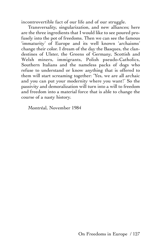incontrovertible fact of our life and of our struggle.

Transversality, singularization, and new alliances; here are the three ingredients that I would like to see poured profusely into the pot of freedoms. Then we can see the famous 'immaturity' of Europe and its well known 'archaisms' change their color. I dream of the day the Basques, the clandestines of Ulster, the Greens of Germany, Scottish and Welsh miners, immigrants, Polish pseudo-Catholics, Southern Italians and the nameless packs of dogs who refuse to understand or know anything that is offered to them will start screaming together: 'Yes, we are all archaic and you can put your modernity where you want!' So the passivity and demoralization will turn into a will to freedom and freedom into a material force that is able to change the course of a nasty history.

Montréal, November 1984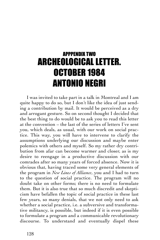## APPPENDIX TWO ARCHEOLOGICAL LETTER. OCTOBER 1984 ANTONIO NEGRI

I was invited to take part in a talk in Montreal and I am quite happy to do so, but I don't like the idea of just sending a contribution by mail. It would be perceived as a dry and arrogant gesture. So on second thought I decided that the best thing to do would be to ask you to read this letter at the convention – the last of the series of letters I've sent you, which deals, as usual, with our work on social practice. This way, you will have to intervene to clarify the assumptions underlying our discussion and maybe enter polemics with others and myself. So my rather dry contribution from afar can become warmer and closer, as is my desire to reengage in a productive discussion with our comrades after so many years of forced absence. Now it is obvious that, having traced some very general elements of the program in *New Lines of Alliance*, you and I had to turn to the question of social practice. The program will no doubt take on other forms; there is no need to formulate them. But it is also true that so much discredit and skepticism have befallen the topic of social practice in these last few years, so many denials, that we not only need to ask whether a social practice, i.e. a subversive and transformative militancy, is possible, but indeed if it is even possible to formulate a program and a communicable revolutionary discourse. To understand and eventually dispel these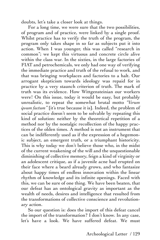doubts, let's take a closer look at things.

For a long time, we were sure that the two possibilities, of program and of practice, were linked by a single proof. Whilst practice has to verify the truth of the program, the program only takes shape in so far as subjects put it into action. When I was younger, this was called "research in common"; we kept this virtuous and concrete circle alive within the class war. In the sixties, in the large factories of FIAT and petrochemicals, we only had one way of verifying the immediate practice and truth of the refusal to work, and that was bringing workplaces and factories to a halt. Our arrogant skepticism towards ideology was repaid for in practice by a very staunch criterion of truth. The mark of truth was its evidence. How Wittgensteinian our workers were! On this issue, today it would be easy, but probably unrealistic, to repeat the somewhat brutal motto *"Verum ipsum factum"* [it's true because it is]. Indeed, the problem of social practice doesn't seem to be solvable by repeating this kind of solution: neither by the theoretical repetition of a method nor by the nostalgic recollection of the happy practices of the olden times. A method is not an instrument that can be indifferently used as if the expression of a hegemonic subject, an emergent truth, or a triumphant historicity. This is why today we don't believe those who, in the midst of the current weakening of the will and the unquestionable diminishing of collective memory, feign a kind of virginity or an adolescent critique, as if a juvenile acne had erupted on their face where a beard already grows, and who fantasize about happy times of endless innovation within the linear rhythm of knowledge and its infinite openings. Faced with this, we can be sure of one thing. We have been beaten, that our defeat has an ontological gravity as important as the wealth of needs, desires and intelligence that resulted from the transformations of collective conscience and revolutionary action.

So our question is: does the import of this defeat cancel the import of the transformation? I don't know. In any case, let's have a look. We have suffered defeat. We must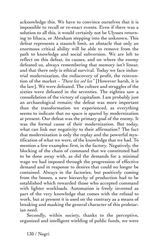acknowledge this. We have to convince ourselves that it is impossible to recall or re-enact events. Even if there was a solution to all this, it would certainly not be Ulysses returning to Ithaca, or Abraham stepping into the unknown. This defeat represents a staunch limit, an obstacle that only an enormous critical ability will be able to remove from the path to knowledge and social subversion. We are left to reflect on this defeat, its causes, and on where the enemy defeated us, always remembering that memory isn't linear, and that there only is ethical survival. Today we face industrial modernization, the rediscovery of profit, the reinvention of the market – *"Dura lex sed lex"* [However harsh, it is the law]. We were defeated. The culture and struggles of the sixties were defeated in the seventies. The eighties saw a consolidation of the victory of capitalism. I am probably just an archaeological remain; the defeat was more important than the transformation we experienced, as everything seems to indicate that no space is spared by modernization at present. Our defeat was the primary goal of the enemy. It was the formal cause of their modernization. But today, what can link our negativity to their affirmation? The fact that modernization is only the replay and the powerful mystification of what we were, of the knowledge that we had. To mention a few examples: first, in the factory. Negatively, the blocking of the chain of command that we constituted had to be done away with, as did the demands for a minimal wage we had imposed through the progression of effective demand and in response to desires that could no longer be contained. Always in the factories, but positively coming from the bosses, a new hierarchy of production had to be established which rewarded those who accepted command with lighter workloads. Automation is freely invented as part of the very knowledge that comes with the refusal to work, but at present it is used on the contrary as a means of breaking and masking the general character of this proletarian need.

Secondly, within society, thanks to the perceptive, organized and intelligent wielding of public funds, we were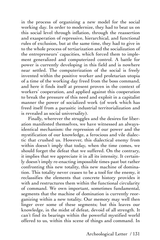in the process of organizing a new model for the social working day. In order to modernize, they had to beat us on this social level through inflation, through the reassertion and exasperation of repressive, hierarchical, and functional rules of exclusion, but at the same time, they had to give in to the whole process of tertiarization and the socialization of the entrepreneurs' capacities, which forced them to implement generalized and computerized control. A battle for power is currently developing in this field and is nowhere near settled. The computerization of the social is freely invented within the positive worker and proletarian utopia of a time of the working day freed from the boss command, and here it finds itself at present proven in the context of workers' cooperation, and applied against this cooperation to break the pressure of this need and exploit in a capitalist manner the power of socialized work (of work which has freed itself from a parasitic industrial territorialization and is revealed as social universality).

Finally, wherever the struggles and the desires for liberation manifested themselves, we have witnessed an alwaysidentical mechanism: the repression of our power and the mystification of our knowledge, a ferocious and vile dialectic that crushed us. However, this dialectical enemy from within doesn't imply that today, when the time comes, we should forget the defeat that we suffered. On the contrary, it implies that we appreciate it in all its intensity. It certainly doesn't imply re-enacting impossible times past but rather confronting this new totality, this new machine of domination. This totality never ceases to be a tool for the enemy, it reclassifies the elements that concrete history provides it with and restructures them within the functional circularity of command. We own important, sometimes fundamental, segments that the machine of domination is currently reorganizing within a new totality. Our memory may well then linger over some of these segments; but this leaves our knowledge, in the midst of defeat, devoid of all strength. It can't find its bearings within the powerful mystified world offered to us, within this scene of things and command. In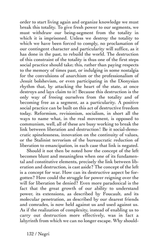order to start living again and organize knowledge we must break this totality. To give fresh power to our segments, we must withdraw our being-segment from the totality in which it is imprisoned. Unless we destroy the totality to which we have been forced to comply, no proclamation of our contingent character and particularity will suffice, as it has done in the past, to rebuild the world. The destruction of this constraint of the totality is thus one of the first steps social practice should take; this, rather than paying respects to the memory of times past, or indulging in some nostalgia for the convulsions of anarchism or the professionalism of Jesuit bolshevism, or even participating in the Dionysian rhythm that, by attacking the heart of the state, at once destroys and lays claim to it! Because this destruction is the only way of freeing ourselves from the totality and of becoming free as a segment, as a particularity. A positive social practice can be built on this act of destructive freedom today. Reformism, revisionism, socialism, in short all the ways to name what, in the real movement, is opposed to communism, well, all of these are busy working to break the link between liberation and destruction! Be it social-democratic spinelessness, innovation on the continuity of values, or the Stalinist terrorism of the bureaucratic reduction of liberation to emancipation, in each case that link is negated.

Should it not then be noted how the concept of the left becomes blunt and meaningless when one of its fundamental and constitutive elements, precisely the link between liberation and destruction, is cast aside? The concept of the left is a concept for war. How can its destructive aspect be forgotten? How could the struggle for power reigning over the will for liberation be denied? Even more paradoxical is the fact that the great growth of our ability to understand power, its extensions, as described by Foucault, and its molecular penetration, as described by our dearest friends and comrades, is now held against us and used against us. As if the realization of complexity, instead of enabling us to carry out destruction more effectively, was in fact a labyrinth from which we can no longer escape. Why should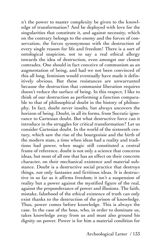n't the power to master complexity be given to the knowledge of transformation? And be deployed with love for the singularities that constitute it, and against necessity, which on the contrary belongs to the enemy and the forces of conservation, the forces synonymous with the destruction of every single reason for life and freedom! There is a sort of ontological suspicion, not to say a real ethical allergy towards the idea of destruction, even amongst our closest comrades. One should in fact conceive of communism as an augmentation of being, and had we not been convinced of this all long, feminism would eventually have made it definitively obvious. But these resistances are unwarranted because the destruction that communist liberation requires doesn't reduce the surface of being. In this respect, I like to think of our destruction as performing a function comparable to that of philosophical doubt in the history of philosophy. In fact, doubt never insults, but always uncovers the horizon of being. Doubt, in all its forms, from Socratic ignorance to Cartesian doubt. But what destructive force can it introduce in the struggles for critical transformation? Let us consider Cartesian doubt. In the world of the sixteenth century, which saw the rise of the bourgeoisie and the birth of the modern state, a time when ideas had a reality and traditions had power, when magic still constituted a central frame of reference, doubt is not only a science that concerns ideas, but most of all one that has an effect on their concrete character, on their mechanical existence and material substance. Doubt is a destructive social practice that destroys things, not only fantasies and fictitious ideas. It is destructive in so far as it affirms freedom; it isn't a suspension of reality but a power against the mystified figure of the real, against the preponderance of power and illusions. The faith, mistake, falsehood of the ethical existence of truth can only exist thanks to the destruction of the prison of knowledge. Thus, power comes before knowledge. This is always the case. In the case of the boss, who, in order to dominate us, takes knowledge away from us and must also ground his dignity on power. Power is for him a material condition for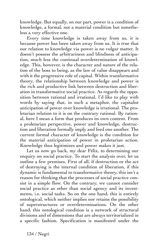knowledge. But equally, on our part, power is a condition of knowledge, a formal, not a material condition but nonetheless a very effective one.

Every time knowledge is taken away from us, it is because power has been taken away from us. It is true that our relation to knowledge via power is no vulgar matter. It doesn't possess the arbitrariness and blindness of anticipation, much less the continual overdetermination of knowledge. This, however, is the character and nature of the relation of the boss to being, as the law of value disappears and with it the progressive role of capital. Within transformative theory, the relationship between knowledge and power is the rich and productive link between destruction and liberation in transformative social practice. As regards the opposition between rational and irrational, I'd like to play with words by saying that, in such a metaphor, the capitalist anticipation of power over knowledge is irrational. The proletarian relation to it is on the contrary rational. By rational, here I mean a form that produces its own content. From a proletarian perspective, power and knowledge, destruction and liberation formally imply and feed one another. The current formal character of knowledge is the condition for the material anticipation of power in proletarian action. Knowledge thus legitimizes and power makes it just.

Let us now go back, my dear Félix, to determining our enquiry on social practice. To start the analysis over, let us outline a few premises. First of all, if destruction or the act of destroying is the internal condition of liberation, if this dynamic is fundamental to transformative theory, this isn't a reason for thinking that the processes of social practice consist in a simple flow. On the contrary, we cannot consider social practice as other than social agency and its investments, i.e. social tasks. So on the one hand, this is entirely ontological, which neither implies nor retains the possibility of superstructures or overdeterminations. On the other hand, this ontological condition is a network of structural divisions and of dimensions that are always territorialized in a specific fashion. Specification is manifested under the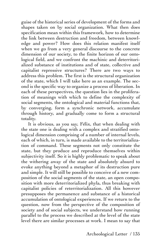guise of the historical series of development of the forms and shapes taken on by social organization. What then does specification mean within this framework, how to determine the link between destruction and freedom, between knowledge and power? How does this relation manifest itself when we go from a very general discourse to the concrete dimension of our society, to the finite horizon of our ontological field, and we confront the machinic and deterritorialized substance of institutions and of state, collective and capitalist repressive structures? There are two ways to address this problem. The first is the structural organization of the state, which I will take here as an example. The second is the specific way to organize a process of liberation. In each of these perspectives, the question lies in the proliferation of meanings with which to define the complexity of social segments, the ontological and material functions that, by converging, form a synchronic network, accumulate through history, and gradually come to form a structural totality.

It is obvious, as you say, Félix, that when dealing with the state one is dealing with a complex and stratified ontological dimension comprising of a number of internal levels, each of which, in turn, is made available to the territorialization of command. These segments not only constitute the state, but they produce and reproduce themselves within subjectivity itself. So it is highly problematic to speak about the withering away of the state and absolutely absurd to evoke anything beyond a metaphor of its destruction pure and simple. It will still be possible to conceive of a new composition of the social segments of the state, an open composition with more deterritorialized phyla, thus breaking with capitalist policies of reterritorialization. All this however presupposes the permanence and substance of a historical accumulation of ontological experiences. If we return to the question, now from the perspective of the composition of society and of social subjects, we understand how running parallel to the process we described at the level of the state level there are similar processes at work. I mean to say that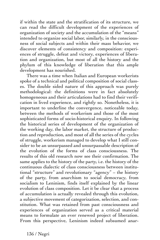if within the state and the stratification of its structure, we can read the difficult development of the experiences of organization of society and the accumulation of the "means" intended to organize social labor, similarly, in the consciousness of social subjects and within their mass behavior, we discover elements of consistency and composition: experiences of struggle, defeat and victory, experiences of liberation and organization, but most of all the history and the phylum of this knowledge of liberation that this ample development has nourished.

There was a time when Italian and European workerists spoke of a technical and political composition of social classes. The double sided nature of this approach was purely methodological: the definitions were in fact absolutely homogeneous and their articulations had to find their verification in lived experience, and rightly so. Nonetheless, it is important to underline the convergence, noticeable today, between the methods of workerism and those of the most sophisticated forms of socio-historical enquiry. In following the historical series of development of the organization of the working day, the labor market, the structure of production and reproduction, and most of all the series of the cycles of struggle, workerism managed to develop what I still consider to be an unsurpassed and unsurpassable description of the evolution of the forms of class consciousness. The results of this old research now see their confirmation. The same applies to the history of the party, i.e. the history of the continuous dialectic of class consciousness between institutional "structure" and revolutionary "agency" – the history of the party, from anarchism to social democracy, from socialism to Leninism, finds itself explained by the linear evolution of class composition. Let it be clear that a process of accumulation is actually revealed through this evolution, a subjective movement of categorization, selection, and constitution. What was retained from past consciousness and experiences of organization served as a critical material means to formulate an ever renewed project of liberation. From this perspective, Leninism indeed subsumed anar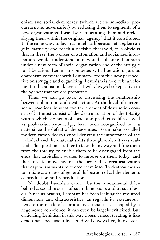chism and social democracy (which are its immediate precursors and adversaries) by reducing them to segments of a new organizational form, by recuperating them and reclassifying them within the original "agency" that it constituted. In the same way, today, inasmuch as liberation struggles can gain maturity and reach a decisive threshold, it is obvious that in these, the worker of automation and socialized information would understand and would subsume Leninism under a new form of social organization and of the struggle for liberation. Leninism competes with liberation, just as anarchism competes with Leninism. From this new perspective on struggle and organizing, Leninism is no doubt an element to be subsumed, even if it will always be kept alive in the agency that we are preparing.

Thus, we can go back to discussing the relationship between liberation and destruction. At the level of current social practices, in what can the moment of destruction consist of? It must consist of the destructuration of the totality within which segments of social and productive life, as well as proletarian knowledge, have been reorganized into a state since the defeat of the seventies. To unmake so-called modernization doesn't entail denying the importance of the technical and the material shifts through which it was realized. The question is rather to take them away and free them from the totality, to enable them to be disengaged from the ends that capitalism wishes to impose on them today, and therefore to move against the ordered reterritorialization that capitalism wants to coerce them into. To destroy means to initiate a process of general dislocation of all the elements of production and reproduction.

No doubt Leninism cannot be the fundamental drive behind a social process of such dimensions and at such levels. Since its origins, Leninism has been lacking the required dimensions and characteristics; as regards its extraneousness to the needs of a productive social class, shaped by a hegemonic conscience, it can even be largely criticized. But criticizing Leninism in this way doesn't mean treating it like dead dog – because it lives and will always live, like a stark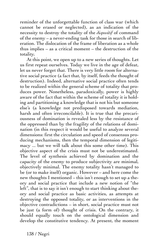reminder of the unforgettable function of class war (which cannot be erased or neglected), as an indication of the necessity to destroy the totality of the *dispositif* of command of the enemy – a never-ending task for those in search of liberation. The dislocation of the frame of liberation as a whole thus implies – as a critical moment – the destruction of the totality.

At this point, we open up to a new series of thoughts. Let us first repeat ourselves. Today we live in the age of defeat, let us never forget that. There is very little room for alternative social practice (a fact that, by itself, feeds the thought of destruction). Indeed, alternative social practice often tends to be realized within the general scheme of totality that produces power. Nonetheless, paradoxically, power is highly aware of the fact that within the scheme of totality it is holding and partitioning a knowledge that is not his but someone else's (a knowledge not predisposed towards mediation, harsh and often irreconcilable). It is true that the precariousness of domination is revealed less by the resistance of the oppressed than by the fragility of the relations of domination (in this respect it would be useful to analyze several dimensions: first the circulation and speed of consensus producing mechanisms, then the temporal dimension of legitimacy ... but we will talk about this some other time). This objective aspect of the crisis must not be underestimated. The level of synthesis achieved by domination and the capacity of the enemy to produce subjectivity are minimal, objectively minimal. The enemy totality hasn't managed to be (or to make itself) organic. However – and here come the new thoughts I mentioned – this isn't enough to set up a theory and social practice that include a new notion of "the left", that is to say it isn't enough to start thinking about theory and social practice as basic activities, as attempts at destroying the opposed totality, or as interventions in the objective contradictions – in short, social practice must not be just (a form of) thought of crisis. On the contrary, it should equally touch on the ontological dimension and develop the constitutive tendency. At present, the moment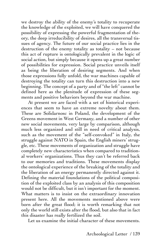we destroy the ability of the enemy's totality to recuperate the knowledge of the exploited, we will have conquered the possibility of expressing the powerful fragmentation of theory, the deep irreducibility of desires, all the transversal tissues of agency. The future of our social practice lies in the destruction of the enemy totality as totality – not because this act of rupture is ontologically prevalent in the logic of social action, but simply because it opens up a great number of possibilities for expression. Social practice unveils itself as being the liberation of desiring segments. And when those expressions fully unfold, the war machines capable of destroying the totality can turn this destruction into a new beginning. The concept of a party and of "the left" cannot be defined here as the plenitude of expression of these segments and positive behaviors beyond the war machine.

At present we are faced with a set of historical experiences that seem to have an extreme novelty about them. These are Solidarnosc in Poland, the development of the Greens movement in West Germany, and a number of other new social movements, very large by comparison, although much less organized and still in need of critical analysis, such as the movement of the "self-convoked" in Italy, the struggle against NATO in Spain, the English miners' struggle, etc. These movements of organization and struggle have completely new characteristics when compared to traditional workers' organizations. Thus they can't be referred back to our memories and traditions. These movements display the ontological experience of the breaking of the totality and the liberation of an energy permanently directed against it. Defining the material foundations of the political composition of the exploited class by an analysis of this composition would not be difficult, but it isn't important for the moment. What matters is to insist on the extraordinary innovation present here. All the movements mentioned above were born after the great flood; it is worth remarking that not only the world still exists after the flood, but also that in fact this disaster has really fertilized the soil.

Let us examine the initial character of these movements.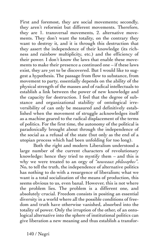First and foremost, they are social movements; secondly, they aren't reformist but different movements. Therefore, they are 1. transversal movements, 2. alternative movements. They don't want the totality, on the contrary they want to destroy it, and it is through this destruction that they assert the independence of their knowledge (its richness and rainbow multiplicity, etc.) and the efficiency of their power. I don't know the laws that enable these movements to make their presence a continued one – if these laws exist, they are yet to be discovered. But I would like to suggest a hypothesis. The passage from flow to substance, from movement to party, essentially depends on the ability of the physical strength of the masses and of radical intellectuals to establish a link between the power of new knowledge and the capacity for destruction. I feel that the degree of substance and organizational stability of ontological irreversibility of can only be measured and definitively established when the movement of struggle acknowledges itself as a machine geared to the radical displacement of the terms of politics. For the first time, the autonomy of the political is paradoxically brought about through the independence of the social as a refusal of the state (but only as the end of a utopian process which had been unfolding for too long).

Both the right and modern Liberalism understood a large number of the current characters of revolutionary knowledge: hence they tried to mystify them – and this is why we were treated to an orgy of *"nouveaux philosophes"*. No, to tell the truth, the independence of alternative politics has nothing to do with a resurgence of liberalism; what we want is a total socialization of the means of production, this seems obvious to us, even banal. However, this is not where the problem lies. The problem is a different one, and absolutely crucial. Freedom consists in positing an essential diversity in a world where all the possible conditions of freedom and truth have otherwise vanished, absorbed into the totality of power. Only the irruption of the other, of an ontological alternative into the sphere of institutional politics can give liberation a new meaning and thus establish a transfor-

140 / Negri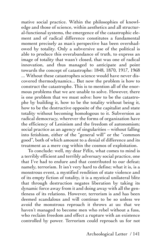mative social practice. Within the philosophies of knowledge and those of science, within aesthetics and all structural-functional systems, the emergence of the catastrophic element and of radical difference constitutes a fundamental moment precisely as man's perspective has been overshadowed by totality. Only a subversive use of the political is able to produce this overabundance of truth, to express an image of totality that wasn't closed, that was one of radical innovation, and thus managed to anticipate and point towards the concept of catastrophe: 1848, 1870, 1917, 1968 ... Without these catastrophes science would have never discovered thermodynamics... But now the problem is how to construct the catastrophe. This is to mention all of the enormous problems that we are unable to solve. However, there is one problem that we must solve: how to be the catastrophe by building it, how to be the totality without being it, how to be the destructive opposite of the capitalist and state totality without becoming homologous to it. Subversion as radical democracy, wherever the forms of organization have the efficiency of Leninism and the freedom of autonomism; social practice as an agency of singularities – without falling into fetishism, either of the "general will" or the "common good", both of which amount to a denial of difference and its treatment as a mere cog within the cosmos of exploitation.

To conclude: well, my dear Félix, what comes to mind is a terribly efficient and terribly adversary social practice, one that I've had to endure and that contributed to our defeat; namely, terrorism. It isn't very hard to define; what it is, is a monstrous event, a mystified rendition of state violence and of its empty fiction of totality, it is a mystical unilateral blitz that through destruction negates liberation by taking its dynamic force away from it and doing away with all the gentleness of its relations. However, terrorism is and has been deemed scandalous and will continue to be so unless we avoid the monstrous reproach it throws at us: that we haven't managed to become men who rebel without a fuss, who reclaim freedom and effect a rupture with an existence controlled by power. Terrorism could reproach us for not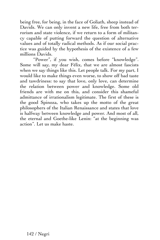being free, for being, in the face of Goliath, sheep instead of Davids. We can only invent a new life, free from both terrorism and state violence, if we return to a form of militancy capable of putting forward the question of alternative values and of totally radical methods. As if our social practice was guided by the hypothesis of the existence of a few millions Davids.

"Power", if you wish, comes before "knowledge". Some will say, my dear Félix, that we are almost fascists when we say things like this. Let people talk. For my part, I would like to make things even worse, to show off bad taste and tawdriness: to say that love, only love, can determine the relation between power and knowledge. Some old friends are with me on this, and consider this shameful admittance of irrationalism legitimate. The first of these is the good Spinoza, who takes up the motto of the great philosophers of the Italian Renaissance and states that love is halfway between knowledge and power. And most of all, the eternal and Goethe-like Lenin: "at the beginning was action". Let us make haste.